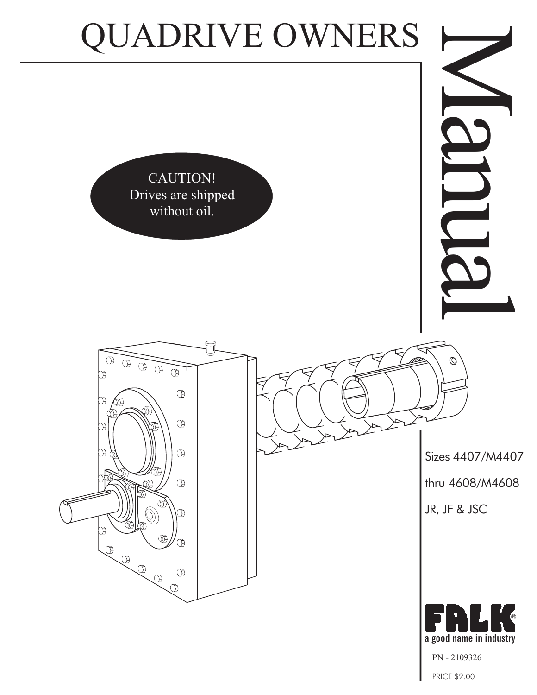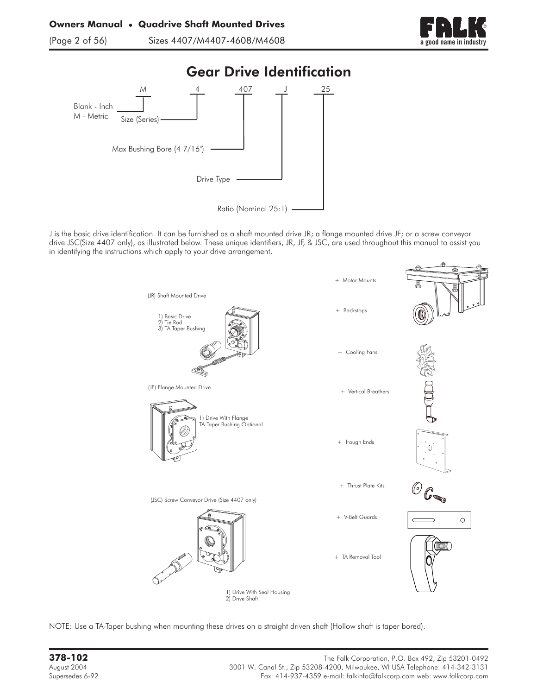

# **Gear Drive Identification**



J is the basic drive identification. It can be furnished as a shaft mounted drive JR; a flange mounted drive JF; or a screw conveyor drive JSC(Size 4407 only), as illustrated below. These unique identifiers, JR, JF, & JSC, are used throughout this manual to assist you in identifying the instructions which apply to your drive arrangement.



NOTE: Use a TA-Taper bushing when mounting these drives on a straight driven shaft (Hollow shaft is taper bored).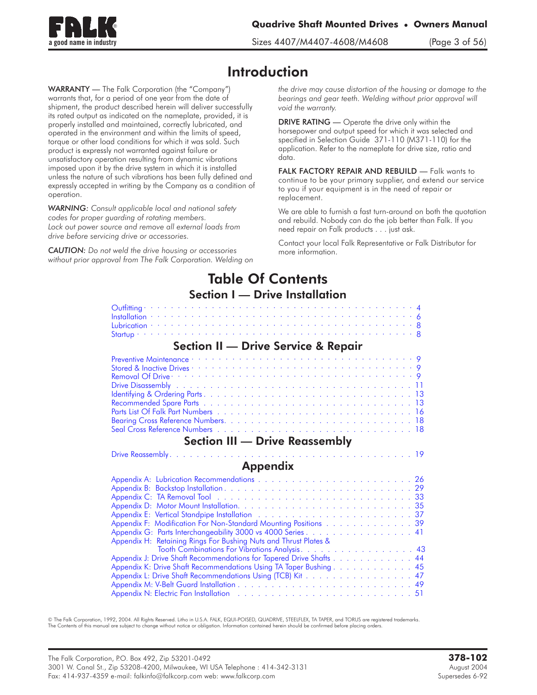

 $S = \frac{1}{2}$ 

# **Introduction**

WARRANTY — The Falk Corporation (the "Company") warrants that, for a period of one year from the date of shipment, the product described herein will deliver successfully its rated output as indicated on the nameplate, provided, it is properly installed and maintained, correctly lubricated, and operated in the environment and within the limits of speed, torque or other load conditions for which it was sold. Such product is expressly not warranted against failure or unsatisfactory operation resulting from dynamic vibrations imposed upon it by the drive system in which it is installed unless the nature of such vibrations has been fully defined and expressly accepted in writing by the Company as a condition of operation.

*WARNING: Consult applicable local and national safety codes for proper guarding of rotating members. Lock out power source and remove all external loads from drive before servicing drive or accessories.*

*CAUTION: Do not weld the drive housing or accessories without prior approval from The Falk Corporation. Welding on* *the drive may cause distortion of the housing or damage to the bearings and gear teeth. Welding without prior approval will void the warranty.*

**DRIVE RATING** — Operate the drive only within the horsepower and output speed for which it was selected and specified in Selection Guide 371-110 (M371-110) for the application. Refer to the nameplate for drive size, ratio and data.

FALK FACTORY REPAIR AND REBUILD - Falk wants to continue to be your primary supplier, and extend our service to you if your equipment is in the need of repair or replacement.

We are able to furnish a fast turn-around on both the quotation and rebuild. Nobody can do the job better than Falk. If you need repair on Falk products... just ask.

Contact your local Falk Representative or Falk Distributor for more information.

# **Table Of Contents Section I — Drive Installation**

|  |  |  | <b>Section II - Drive Service &amp; Repair</b> |  |  |  |  |  |  |  |  |  |  |  |  |  |  |  |  |
|--|--|--|------------------------------------------------|--|--|--|--|--|--|--|--|--|--|--|--|--|--|--|--|

# **Section III — Drive Reassembly**

| <b>Appendix</b>                                                     |
|---------------------------------------------------------------------|
|                                                                     |
|                                                                     |
|                                                                     |
|                                                                     |
|                                                                     |
| Appendix F: Modification For Non-Standard Mounting Positions 39     |
| Appendix G: Parts Interchangeability 3000 vs 4000 Series 41         |
| Appendix H: Retaining Rings For Bushing Nuts and Thrust Plates &    |
| Tooth Combinations For Vibrations Analysis. 43                      |
| Appendix J: Drive Shaft Recommendations for Tapered Drive Shafts 44 |
| Appendix K: Drive Shaft Recommendations Using TA Taper Bushing 45   |
| Appendix L: Drive Shaft Recommendations Using (TCB) Kit 47          |
|                                                                     |
|                                                                     |

© The Falk Corporation, 1992, 2004. All Rights Reserved. Litho in U.S.A. FALK, EQUI-POISED, QUADRIVE, STEELFLEX, TA TAPER, and TORUS are registered trademarks. The Contents of this manual are subject to change without notice or obligation. Information contained herein should be confirmed before placing orders.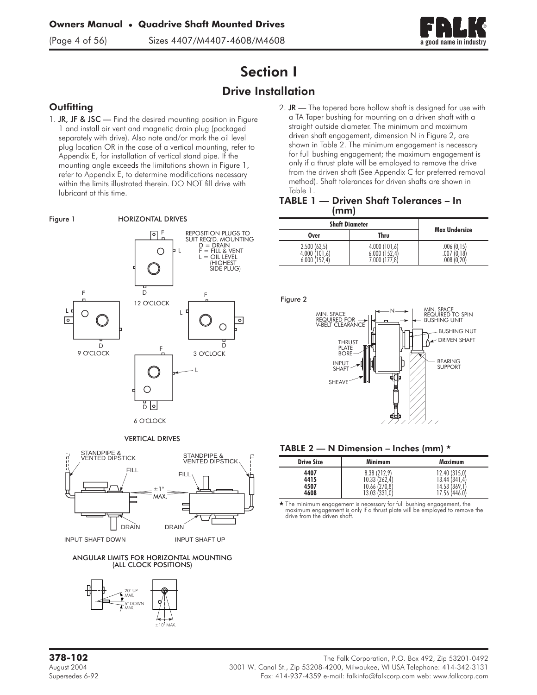$\frac{1}{2}$ 



# **Section I Drive Installation**

# **Outfitting**

1. JR, JF & JSC - Find the desired mounting position in Figure 1 and install air vent and magnetic drain plug (packaged separately with drive). Also note and/or mark the oil level plug location OR in the case of a vertical mounting, refer to Appendix E, for installation of vertical stand pipe. If the mounting angle exceeds the limitations shown in Figure 1, refer to Appendix E, to determine modifications necessary within the limits illustrated therein. DO NOT fill drive with lubricant at this time.

#### Figure 1 HORIZONTAL DRIVES



#### VERTICAL DRIVES



#### ANGULAR LIMITS FOR HORIZONTAL MOUNTING (ALL CLOCK POSITIONS)



2. JR - The tapered bore hollow shaft is designed for use with a TA Taper bushing for mounting on a driven shaft with a straight outside diameter. The minimum and maximum driven shaft engagement, dimension N in Figure 2, are shown in Table 2. The minimum engagement is necessary for full bushing engagement; the maximum engagement is only if a thrust plate will be employed to remove the drive from the driven shaft (See Appendix C for preferred removal method). Shaft tolerances for driven shafts are shown in Table 1.

#### TABLE 1 — Driven Shaft Tolerances – In (mm)

| <b>Shaft Diameter</b>                       | <b>Max Undersize</b>                          |                                         |
|---------------------------------------------|-----------------------------------------------|-----------------------------------------|
| Over                                        | Thru                                          |                                         |
| 2.500(63,5)<br>4.000(101.6)<br>6.000(152,4) | 4.000(101,6)<br>6.000(152,4)<br>7.000 (177,8) | .006(0,15)<br>.007 (0,18)<br>.008(0,20) |

Figure 2



#### TABLE 2 — N Dimension – Inches (mm)  $\star$

| <b>Drive Size</b> | Minimum       | Maximum       |
|-------------------|---------------|---------------|
| 4407              | 8.38(212,9)   | 12.40 (315,0) |
| 4415              | 10.33 (262,4) | 13.44 (341,4) |
| 4507              | 10.66 (270,8) | 14.53 (369,1  |
| 4608              | 13.03(331,0)  | 17.56 (446.0) |

 The minimum engagement is necessary for full bushing engagement, the maximum engagement is only if a thrust plate will be employed to remove the drive from the driven shaft.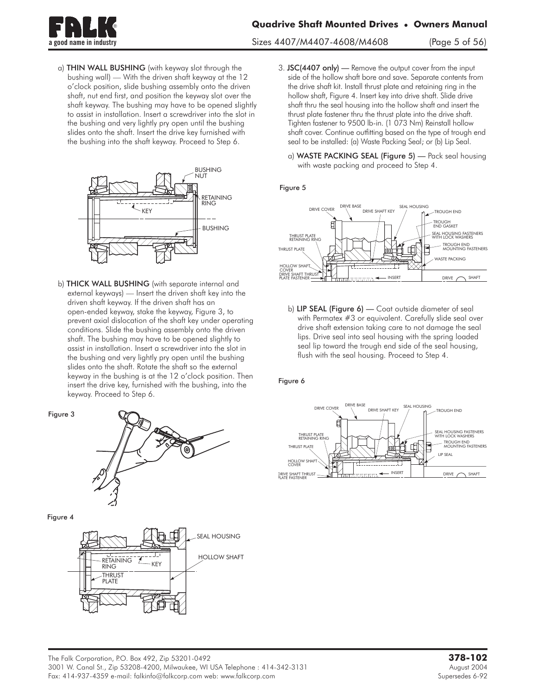

# $S = \frac{1}{2}$

a) THIN WALL BUSHING (with keyway slot through the bushing wall) — With the driven shaft keyway at the 12 o'clock position, slide bushing assembly onto the driven shaft, nut end first, and position the keyway slot over the shaft keyway. The bushing may have to be opened slightly to assist in installation. Insert a screwdriver into the slot in the bushing and very lightly pry open until the bushing slides onto the shaft. Insert the drive key furnished with the bushing into the shaft keyway. Proceed to Step 6.



b) THICK WALL BUSHING (with separate internal and external keyways) — Insert the driven shaft key into the driven shaft keyway. If the driven shaft has an open-ended keyway, stake the keyway, Figure 3, to prevent axial dislocation of the shaft key under operating conditions. Slide the bushing assembly onto the driven shaft. The bushing may have to be opened slightly to assist in installation. Insert a screwdriver into the slot in the bushing and very lightly pry open until the bushing slides onto the shaft. Rotate the shaft so the external keyway in the bushing is at the 12 o'clock position. Then insert the drive key, furnished with the bushing, into the keyway. Proceed to Step 6.



Figure 4



- 3. JSC(4407 only) Remove the output cover from the input side of the hollow shaft bore and save. Separate contents from the drive shaft kit. Install thrust plate and retaining ring in the hollow shaft, Figure 4. Insert key into drive shaft. Slide drive shaft thru the seal housing into the hollow shaft and insert the thrust plate fastener thru the thrust plate into the drive shaft. Tighten fastener to 9500 lb-in. (1 073 Nm) Reinstall hollow shaft cover. Continue outfitting based on the type of trough end seal to be installed: (a) Waste Packing Seal; or (b) Lip Seal.
	- a) WASTE PACKING SEAL (Figure 5) Pack seal housing with waste packing and proceed to Step 4.

#### Figure 5



b) LIP SEAL (Figure 6) - Coat outside diameter of seal with Permatex #3 or equivalent. Carefully slide seal over drive shaft extension taking care to not damage the seal lips. Drive seal into seal housing with the spring loaded seal lip toward the trough end side of the seal housing, flush with the seal housing. Proceed to Step 4.

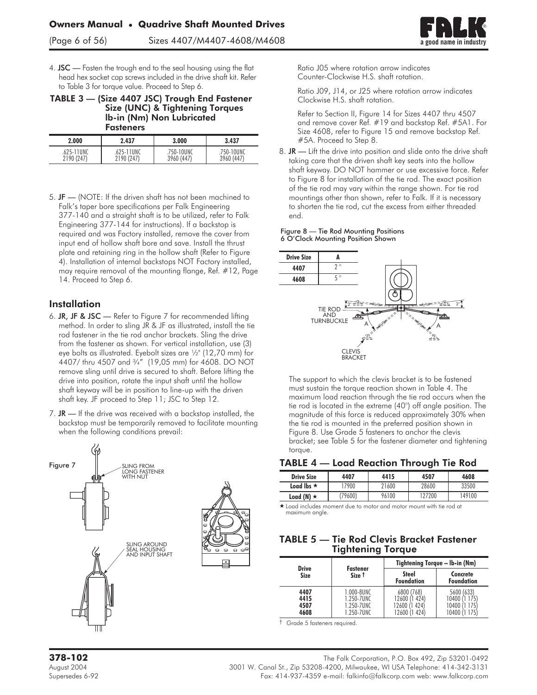$\frac{1}{2}$ 



4. JSC — Fasten the trough end to the seal housing using the flat head hex socket cap screws included in the drive shaft kit. Refer to Table 3 for torque value. Proceed to Step 6.

TABLE 3 — (Size 4407 JSC) Trough End Fastener Size (UNC) & Tightening Torques lb-in (Nm) Non Lubricated **Fasteners** 

| 2.000      | 2.437      | 3.000      | 3.437      |
|------------|------------|------------|------------|
| .625-11UNC | .625-11UNC | 750-10UNC  | .750-10UNC |
| 2190 (247) | 2190 (247) | 3960 (447) | 3960 (447) |

5. JF — (NOTE: If the driven shaft has not been machined to Falk's taper bore specifications per Falk Engineering 377-140 and a straight shaft is to be utilized, refer to Falk Engineering 377-144 for instructions). If a backstop is required and was Factory installed, remove the cover from input end of hollow shaft bore and save. Install the thrust plate and retaining ring in the hollow shaft (Refer to Figure 4). Installation of internal backstops NOT Factory installed, may require removal of the mounting flange, Ref. #12, Page 14. Proceed to Step 6.

### **Installation**

- 6. JR, JF & JSC Refer to Figure 7 for recommended lifting method. In order to sling JR & JF as illustrated, install the tie rod fastener in the tie rod anchor brackets. Sling the drive from the fastener as shown. For vertical installation, use (3) eye bolts as illustrated. Eyebolt sizes are ½" (12,70 mm) for 4407/ thru 4507 and ¾" (19,05 mm) for 4608. DO NOT remove sling until drive is secured to shaft. Before lifting the drive into position, rotate the input shaft until the hollow shaft keyway will be in position to line-up with the driven shaft key. JF proceed to Step 11; JSC to Step 12.
- 7. JR If the drive was received with a backstop installed, the backstop must be temporarily removed to facilitate mounting when the following conditions prevail:



Ratio J05 where rotation arrow indicates Counter-Clockwise H.S. shaft rotation.

Ratio J09, J14, or J25 where rotation arrow indicates Clockwise H.S. shaft rotation.

Refer to Section II, Figure 14 for Sizes 4407 thru 4507 and remove cover Ref. #19 and backstop Ref. #5A1. For Size 4608, refer to Figure 15 and remove backstop Ref. #5A. Proceed to Step 8.

8. JR - Lift the drive into position and slide onto the drive shaft taking care that the driven shaft key seats into the hollow shaft keyway. DO NOT hammer or use excessive force. Refer to Figure 8 for installation of the tie rod. The exact position of the tie rod may vary within the range shown. For tie rod mountings other than shown, refer to Falk. If it is necessary to shorten the tie rod, cut the excess from either threaded end.

#### Figure 8 — Tie Rod Mounting Positions 6 O'Clock Mounting Position Shown



The support to which the clevis bracket is to be fastened must sustain the torque reaction shown in Table 4. The maximum load reaction through the tie rod occurs when the tie rod is located in the extreme (40°) off angle position. The magnitude of this force is reduced approximately 30% when the tie rod is mounted in the preferred position shown in Figure 8. Use Grade 5 fasteners to anchor the clevis bracket; see Table 5 for the fastener diameter and tightening torque.

#### TABLE 4 — Load Reaction Through Tie Rod

| <b>Drive Size</b> | 4407   | 4415  | 4507   | 4608   |
|-------------------|--------|-------|--------|--------|
| Load lbs $\star$  | 7900   | 21600 | 28600  | 33500  |
| Load (N) $\star$  | (79600 | 96100 | 127200 | 149100 |

 Load includes moment due to motor and motor mount with tie rod at maximum angle.

#### TABLE 5 — Tie Rod Clevis Bracket Fastener Tightening Torque

| <b>Drive</b>                 |                                                      | Tightening Torque - Ib-in (Nm)                                  |                                                               |  |  |  |  |  |
|------------------------------|------------------------------------------------------|-----------------------------------------------------------------|---------------------------------------------------------------|--|--|--|--|--|
| <b>Size</b>                  | <b>Fastener</b><br>Size t                            | <b>Steel</b><br><b>Foundation</b>                               | Concrete<br><b>Foundation</b>                                 |  |  |  |  |  |
| 4407<br>4415<br>4507<br>4608 | 1.000-8UNC<br>1.250-7UNC<br>1.250-7UNC<br>1.250-7UNC | 6800 (768)<br>12600 (1 424)<br>12600 (1<br>424<br>12600 (1 424) | 5600 (633)<br>10400 (1 175)<br>10400 (1 175)<br>10400 (1 175) |  |  |  |  |  |

† Grade 5 fasteners required.

**378-102** The Falk Corporation, P.O. Box 492, Zip 53201-0492<br>3001 W. Canal St., Zip 53208-4200, Milwaukee, WI USA Telephone: 414-342-3131 3001 W. Canal St., Zip 53208-4200, Milwaukee, WI USA Telephone: 414-342-3131 Supersedes 6-92 Fax: 414-937-4359 e-mail: falkinfo@falkcorp.com web: www.falkcorp.com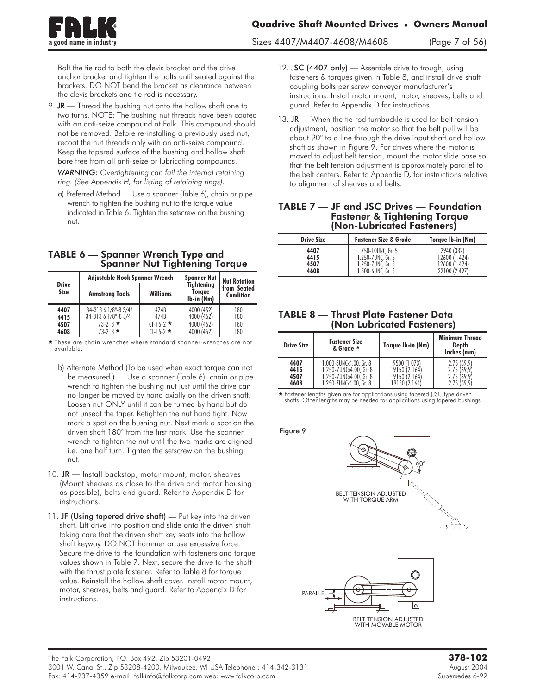

Bolt the tie rod to both the clevis bracket and the drive anchor bracket and tighten the bolts until seated against the brackets. DO NOT bend the bracket as clearance between the clevis brackets and tie rod is necessary.

9. JR - Thread the bushing nut onto the hollow shaft one to two turns. NOTE: The bushing nut threads have been coated with an anti-seize compound at Falk. This compound should not be removed. Before re-installing a previously used nut, recoat the nut threads only with an anti-seize compound. Keep the tapered surface of the bushing and hollow shaft bore free from all anti-seize or lubricating compounds.

*WARNING: Overtightening can fail the internal retaining ring. (See Appendix H, for listing of retaining rings).*

a) Preferred Method — Use a spanner (Table 6), chain or pipe wrench to tighten the bushing nut to the torque value indicated in Table 6. Tighten the setscrew on the bushing nut.

### TABLE 6 — Spanner Wrench Type and Spanner Nut Tightening Torque

|                              | <b>Adjustable Hook Spanner Wrench</b>                                            | <b>Spanner Nut</b>                               | <b>Nut Rotation</b>                                  |                          |  |  |
|------------------------------|----------------------------------------------------------------------------------|--------------------------------------------------|------------------------------------------------------|--------------------------|--|--|
| <b>Drive</b><br><b>Size</b>  | <b>Armstrong Tools</b>                                                           | <b>Williams</b>                                  | Tightening<br>Torave<br>lb-in (Nm)                   | from Seated<br>Condition |  |  |
| 4407<br>4415<br>4507<br>4608 | 34-313 6 1/8"-8 3/4"<br>34-313 6 1/8"-8 3/4"<br>$73-213 \star$<br>$73-213 \star$ | 474B<br>474B<br>$(T-15-2)$ $\star$<br>$(T-15-2)$ | 4000 (452)<br>4000 (452)<br>4000 (452)<br>4000 (452) | 180<br>180<br>180<br>180 |  |  |

 These are chain wrenches where standard spanner wrenches are not available.

- b) Alternate Method (To be used when exact torque can not be measured.) — Use a spanner (Table 6), chain or pipe wrench to tighten the bushing nut just until the drive can no longer be moved by hand axially on the driven shaft. Loosen nut ONLY until it can be turned by hand but do not unseat the taper. Retighten the nut hand tight. Now mark a spot on the bushing nut. Next mark a spot on the driven shaft 180° from the first mark. Use the spanner wrench to tighten the nut until the two marks are aligned i.e. one half turn. Tighten the setscrew on the bushing nut.
- 10.  $J\mathbb{R}$  Install backstop, motor mount, motor, sheaves (Mount sheaves as close to the drive and motor housing as possible), belts and guard. Refer to Appendix D for instructions.
- 11. JF (Using tapered drive shaft) Put key into the driven shaft. Lift drive into position and slide onto the driven shaft taking care that the driven shaft key seats into the hollow shaft keyway. DO NOT hammer or use excessive force. Secure the drive to the foundation with fasteners and toraue values shown in Table 7. Next, secure the drive to the shaft with the thrust plate fastener. Refer to Table 8 for torque value. Reinstall the hollow shaft cover. Install motor mount, motor, sheaves, belts and guard. Refer to Appendix D for instructions.
- 12. JSC (4407 only) Assemble drive to trough, using fasteners & torques given in Table 8, and install drive shaft coupling bolts per screw conveyor manufacturer's instructions. Install motor mount, motor, sheaves, belts and guard. Refer to Appendix D for instructions.
- 13. JR When the tie rod turnbuckle is used for belt tension adjustment, position the motor so that the belt pull will be about 90° to a line through the drive input shaft and hollow shaft as shown in Figure 9. For drives where the motor is moved to adjust belt tension, mount the motor slide base so that the belt tension adjustment is approximately parallel to the belt centers. Refer to Appendix D, for instructions relative to alignment of sheaves and belts.

#### TABLE 7 — JF and JSC Drives — Foundation Fastener & Tightening Torque (Non-Lubricated Fasteners)

| <b>Drive Size</b>            | <b>Fastener Size &amp; Grade</b>                                                 | Torque Ib-in (Nm)                                             |
|------------------------------|----------------------------------------------------------------------------------|---------------------------------------------------------------|
| 4407<br>4415<br>4507<br>4608 | .750-10UNC, Gr. 5<br>1.250-7UNC. Gr. 5<br>1.250-7UNC, Gr. 5<br>1.500-6UNC. Gr. 5 | 2940 (332)<br>12600 (1 424)<br>12600 (1 424)<br>22100 (2 497) |

### TABLE 8 — Thrust Plate Fastener Data (Non Lubricated Fasteners)

| <b>Drive Size</b> | <b>Fastener Size</b><br>& Grade $\star$ | Torque Ib-in (Nm) | <b>Minimum Thread</b><br><b>Depth</b><br>Inches (mm) |  |  |  |
|-------------------|-----------------------------------------|-------------------|------------------------------------------------------|--|--|--|
| 4407              | 1.000-8UNCx4.00, Gr. 8                  | 9500 (1 073)      | 2.75(69.9)                                           |  |  |  |
| 4415              | 1.250-7UNCx4.00, Gr. 8                  | 19150 (2 164)     | 2.75(69.9)                                           |  |  |  |
| 4507              | 1.250-7UNCx4.00, Gr. 8                  | 19150 (2 164)     | 2.75(69.9)                                           |  |  |  |
| 4608              | 1.250-7UNCx4.00, Gr. 8                  | 19150 (2 164)     | 2.75(69.9)                                           |  |  |  |

 Fastener lengths given are for applications using tapered (JSC type driven shafts. Other lengths may be needed for applications using tapered bushings.

Figure 9



BELT TENSION ADJUSTED<br>WITH MOVABLE MOTOR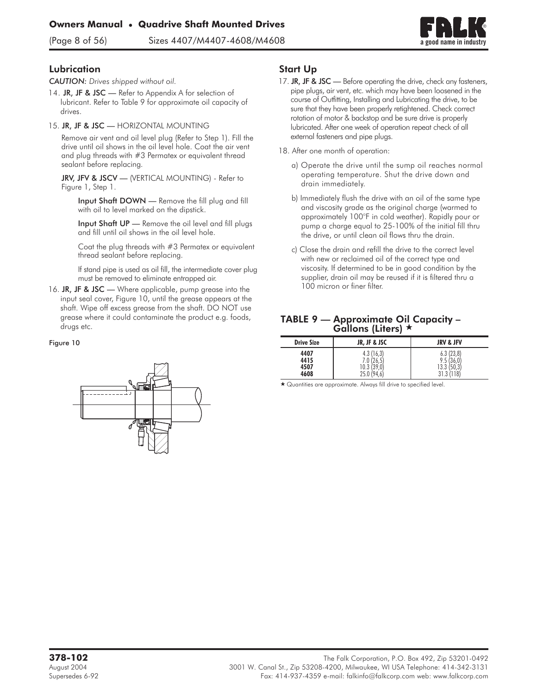Sizes 4407/M4407-4608/M4608  $\frac{1}{2}$ 



# Lubrication

*CAUTION: Drives shipped without oil.*

- 14. JR, JF & JSC Refer to Appendix A for selection of lubricant. Refer to Table 9 for approximate oil capacity of drives.
- 15. JR, JF & JSC HORIZONTAL MOUNTING

Remove air vent and oil level plug (Refer to Step 1). Fill the drive until oil shows in the oil level hole. Coat the air vent and plug threads with #3 Permatex or equivalent thread sealant before replacing.

JRV, JFV & JSCV - (VERTICAL MOUNTING) - Refer to Figure 1, Step 1.

Input Shaft DOWN — Remove the fill plug and fill with oil to level marked on the dipstick.

Input Shaft UP — Remove the oil level and fill plugs and fill until oil shows in the oil level hole.

Coat the plug threads with #3 Permatex or equivalent thread sealant before replacing.

If stand pipe is used as oil fill, the intermediate cover plug must be removed to eliminate entrapped air.

16. JR, JF & JSC — Where applicable, pump grease into the input seal cover, Figure 10, until the grease appears at the shaft. Wipe off excess grease from the shaft. DO NOT use grease where it could contaminate the product e.g. foods, drugs etc.

#### Figure 10



# Start Up

- 17. JR, JF & JSC Before operating the drive, check any fasteners, pipe plugs, air vent, etc. which may have been loosened in the course of Outfitting, Installing and Lubricating the drive, to be sure that they have been properly retightened. Check correct rotation of motor & backstop and be sure drive is properly lubricated. After one week of operation repeat check of all external fasteners and pipe plugs.
- 18. After one month of operation:
	- a) Operate the drive until the sump oil reaches normal operating temperature. Shut the drive down and drain immediately.
	- b) Immediately flush the drive with an oil of the same type and viscosity grade as the original charge (warmed to approximately 100°F in cold weather). Rapidly pour or pump a charge equal to 25-100% of the initial fill thru the drive, or until clean oil flows thru the drain.
	- c) Close the drain and refill the drive to the correct level with new or reclaimed oil of the correct type and viscosity. If determined to be in good condition by the supplier, drain oil may be reused if it is filtered thru a 100 micron or finer filter.

### TABLE 9 — Approximate Oil Capacity – Gallons (Liters)

| <b>Drive Size</b> | JR, JF & JSC | <b>JRV &amp; JFV</b> |
|-------------------|--------------|----------------------|
| 4407              | 4.3(16,3)    | 6.3(23.8)            |
| 4415              | 7.0(26.5)    | 9.5(36.0)            |
| 4507              | 10.3 (39,0   | 13.3 (50,3)          |
| 4608              | 25.0 (94,6)  | 31.3(118)            |

Quantities are approximate. Always fill drive to specified level.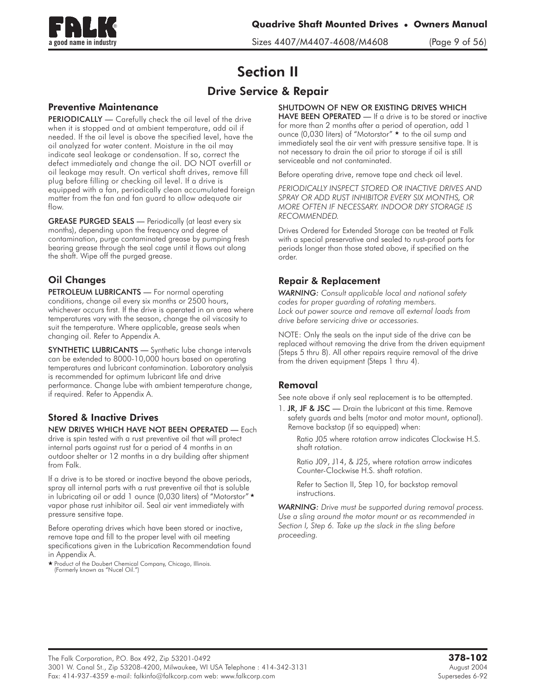

 $S = \frac{1}{2}$ 

# **Section II Drive Service & Repair**

### Preventive Maintenance

PERIODICALLY - Carefully check the oil level of the drive when it is stopped and at ambient temperature, add oil if needed. If the oil level is above the specified level, have the oil analyzed for water content. Moisture in the oil may indicate seal leakage or condensation. If so, correct the defect immediately and change the oil. DO NOT overfill or oil leakage may result. On vertical shaft drives, remove fill plug before filling or checking oil level. If a drive is equipped with a fan, periodically clean accumulated foreign matter from the fan and fan guard to allow adequate air flow.

GREASE PURGED SEALS - Periodically (at least every six months), depending upon the frequency and degree of contamination, purge contaminated grease by pumping fresh bearing grease through the seal cage until it flows out along the shaft. Wipe off the purged grease.

# **Oil Changes**

PETROLEUM LUBRICANTS - For normal operating conditions, change oil every six months or 2500 hours, whichever occurs first. If the drive is operated in an area where temperatures vary with the season, change the oil viscosity to suit the temperature. Where applicable, grease seals when changing oil. Refer to Appendix A.

SYNTHETIC LUBRICANTS — Synthetic lube change intervals can be extended to 8000-10,000 hours based on operating temperatures and lubricant contamination. Laboratory analysis is recommended for optimum lubricant life and drive performance. Change lube with ambient temperature change, if required. Refer to Appendix A.

# Stored & Inactive Drives

NEW DRIVES WHICH HAVE NOT BEEN OPERATED — Each drive is spin tested with a rust preventive oil that will protect internal parts against rust for a period of 4 months in an outdoor shelter or 12 months in a dry building after shipment from Falk.

If a drive is to be stored or inactive beyond the above periods, spray all internal parts with a rust preventive oil that is soluble in lubricating oil or add 1 ounce (0,030 liters) of "Motorstor" \* vapor phase rust inhibitor oil. Seal air vent immediately with pressure sensitive tape.

Before operating drives which have been stored or inactive, remove tape and fill to the proper level with oil meeting specifications given in the Lubrication Recommendation found in Appendix A.

Product of the Daubert Chemical Company, Chicago, Illinois. (Formerly known as "Nucel Oil.")

### SHUTDOWN OF NEW OR EXISTING DRIVES WHICH

HAVE BEEN OPERATED — If a drive is to be stored or inactive for more than 2 months after a period of operation, add 1 ounce (0,030 liters) of "Motorstor" \* to the oil sump and immediately seal the air vent with pressure sensitive tape. It is not necessary to drain the oil prior to storage if oil is still serviceable and not contaminated.

Before operating drive, remove tape and check oil level.

*PERIODICALLY INSPECT STORED OR INACTIVE DRIVES AND SPRAY OR ADD RUST INHIBITOR EVERY SIX MONTHS, OR MORE OFTEN IF NECESSARY. INDOOR DRY STORAGE IS RECOMMENDED.*

Drives Ordered for Extended Storage can be treated at Falk with a special preservative and sealed to rust-proof parts for periods longer than those stated above, if specified on the order.

### Repair & Replacement

*WARNING: Consult applicable local and national safety codes for proper guarding of rotating members. Lock out power source and remove all external loads from drive before servicing drive or accessories.*

NOTE: Only the seals on the input side of the drive can be replaced without removing the drive from the driven equipment (Steps 5 thru 8). All other repairs require removal of the drive from the driven equipment (Steps 1 thru 4).

### Removal

See note above if only seal replacement is to be attempted.

1. JR, JF & JSC — Drain the lubricant at this time. Remove safety guards and belts (motor and motor mount, optional). Remove backstop (if so equipped) when:

Ratio J05 where rotation arrow indicates Clockwise H.S. shaft rotation.

Ratio J09, J14, & J25, where rotation arrow indicates Counter-Clockwise H.S. shaft rotation.

Refer to Section II, Step 10, for backstop removal instructions.

*WARNING: Drive must be supported during removal process. Use a sling around the motor mount or as recommended in Section I, Step 6. Take up the slack in the sling before proceeding.*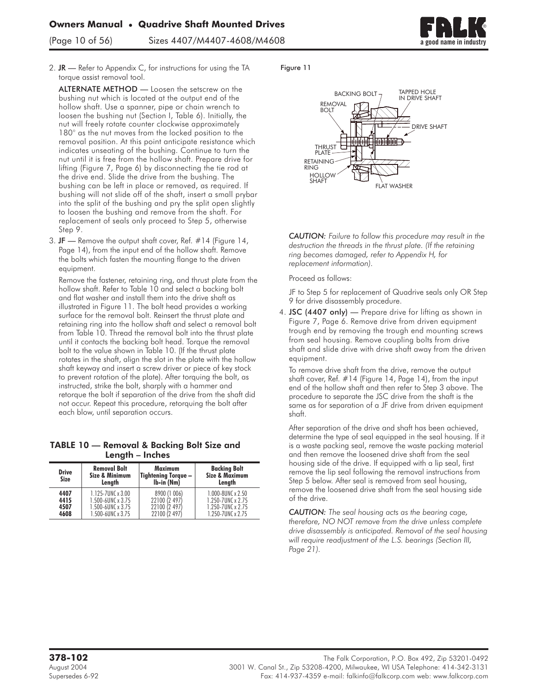## **Owners Manual** • **Quadrive Shaft Mounted Drives**

Sizes 4407/M4407-4608/M4608  $\frac{1}{\sqrt{2}}$ 

2. JR — Refer to Appendix C, for instructions for using the TA torque assist removal tool.

ALTERNATE METHOD — Loosen the setscrew on the bushing nut which is located at the output end of the hollow shaft. Use a spanner, pipe or chain wrench to loosen the bushing nut (Section I, Table 6). Initially, the nut will freely rotate counter clockwise approximately 180° as the nut moves from the locked position to the removal position. At this point anticipate resistance which indicates unseating of the bushing. Continue to turn the nut until it is free from the hollow shaft. Prepare drive for lifting (Figure 7, Page 6) by disconnecting the tie rod at the drive end. Slide the drive from the bushing. The bushing can be left in place or removed, as required. If bushing will not slide off of the shaft, insert a small prybar into the split of the bushing and pry the split open slightly to loosen the bushing and remove from the shaft. For replacement of seals only proceed to Step 5, otherwise Step 9.

3. JF — Remove the output shaft cover, Ref. #14 (Figure 14, Page 14), from the input end of the hollow shaft. Remove the bolts which fasten the mounting flange to the driven equipment.

Remove the fastener, retaining ring, and thrust plate from the hollow shaft. Refer to Table 10 and select a backing bolt and flat washer and install them into the drive shaft as illustrated in Figure 11. The bolt head provides a working surface for the removal bolt. Reinsert the thrust plate and retaining ring into the hollow shaft and select a removal bolt from Table 10. Thread the removal bolt into the thrust plate until it contacts the backing bolt head. Torque the removal bolt to the value shown in Table 10. (If the thrust plate rotates in the shaft, align the slot in the plate with the hollow shaft keyway and insert a screw driver or piece of key stock to prevent rotation of the plate). After torquing the bolt, as instructed, strike the bolt, sharply with a hammer and retorque the bolt if separation of the drive from the shaft did not occur. Repeat this procedure, retorquing the bolt after each blow, until separation occurs.

#### TABLE 10 — Removal & Backing Bolt Size and Length – Inches

| <b>Drive</b><br><b>Size</b> | <b>Removal Bolt</b><br><b>Size &amp; Minimum</b><br>Length | <b>Maximum</b><br><b>Tightening Torque -</b><br>$Ib-in(Nm)$ | <b>Backing Bolt</b><br><b>Size &amp; Maximum</b><br>Length |  |  |
|-----------------------------|------------------------------------------------------------|-------------------------------------------------------------|------------------------------------------------------------|--|--|
| 4407                        | 1.125-7UNC x 3.00                                          | 8900 (1 006)                                                | 1.000-8UNC x 2.50                                          |  |  |
| 4415                        | 1.500-6UNC x 3.75                                          | 22100 (2 497)                                               | 1.250-7UNC x 2.75                                          |  |  |
| 4507                        | 1.500-6UNC x 3.75                                          | 22100 (2 497)                                               | 1.250-7UNC x 2.75                                          |  |  |
| 4608                        | 1.500-6UNC x 3.75                                          | 22100 (2 497)                                               | 1.250-7UNC x 2.75                                          |  |  |

Figure 11



*CAUTION: Failure to follow this procedure may result in the destruction the threads in the thrust plate. (If the retaining ring becomes damaged, refer to Appendix H, for replacement information).*

Proceed as follows:

JF to Step 5 for replacement of Quadrive seals only OR Step 9 for drive disassembly procedure.

4. JSC (4407 only) — Prepare drive for lifting as shown in Figure 7, Page 6. Remove drive from driven equipment trough end by removing the trough end mounting screws from seal housing. Remove coupling bolts from drive shaft and slide drive with drive shaft away from the driven equipment.

To remove drive shaft from the drive, remove the output shaft cover, Ref. #14 (Figure 14, Page 14), from the input end of the hollow shaft and then refer to Step 3 above. The procedure to separate the JSC drive from the shaft is the same as for separation of a JF drive from driven equipment shaft.

After separation of the drive and shaft has been achieved, determine the type of seal equipped in the seal housing. If it is a waste packing seal, remove the waste packing material and then remove the loosened drive shaft from the seal housing side of the drive. If equipped with a lip seal, first remove the lip seal following the removal instructions from Step 5 below. After seal is removed from seal housing, remove the loosened drive shaft from the seal housing side of the drive.

*CAUTION: The seal housing acts as the bearing cage, therefore, NO NOT remove from the drive unless complete drive disassembly is anticipated. Removal of the seal housing will require readjustment of the L.S. bearings (Section III, Page 21).*

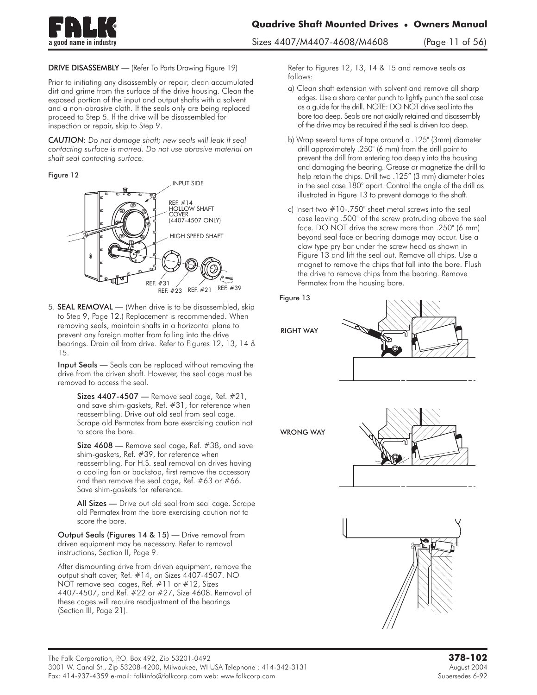

 $S = \{x, y, w\}$ 

DRIVE DISASSEMBLY — (Refer To Parts Drawing Figure 19)

Prior to initiating any disassembly or repair, clean accumulated dirt and grime from the surface of the drive housing. Clean the exposed portion of the input and output shafts with a solvent and a non-abrasive cloth. If the seals only are being replaced proceed to Step 5. If the drive will be disassembled for inspection or repair, skip to Step 9.

*CAUTION: Do not damage shaft; new seals will leak if seal contacting surface is marred. Do not use abrasive material on shaft seal contacting surface.*

#### Figure 12



5. SEAL REMOVAL — (When drive is to be disassembled, skip to Step 9, Page 12.) Replacement is recommended. When removing seals, maintain shafts in a horizontal plane to prevent any foreign matter from falling into the drive bearings. Drain oil from drive. Refer to Figures 12, 13, 14 & 15.

Input Seals — Seals can be replaced without removing the drive from the driven shaft. However, the seal cage must be removed to access the seal.

Sizes 4407-4507 — Remove seal cage, Ref. #21, and save shim-gaskets, Ref. #31, for reference when reassembling. Drive out old seal from seal cage. Scrape old Permatex from bore exercising caution not to score the bore.

Size 4608 — Remove seal cage, Ref. #38, and save shim-gaskets, Ref. #39, for reference when reassembling. For H.S. seal removal on drives having a cooling fan or backstop, first remove the accessory and then remove the seal cage, Ref. #63 or #66. Save shim-gaskets for reference.

All Sizes - Drive out old seal from seal cage. Scrape old Permatex from the bore exercising caution not to score the bore.

Output Seals (Figures 14 & 15) — Drive removal from driven equipment may be necessary. Refer to removal instructions, Section II, Page 9.

After dismounting drive from driven equipment, remove the output shaft cover, Ref. #14, on Sizes 4407-4507. NO NOT remove seal cages, Ref. #11 or #12, Sizes 4407-4507, and Ref. #22 or #27, Size 4608. Removal of these cages will require readjustment of the bearings (Section III, Page 21).

Refer to Figures 12, 13, 14 & 15 and remove seals as follows:

- a) Clean shaft extension with solvent and remove all sharp edges. Use a sharp center punch to lightly punch the seal case as a guide for the drill. NOTE: DO NOT drive seal into the bore too deep. Seals are not axially retained and disassembly of the drive may be required if the seal is driven too deep.
- b) Wrap several turns of tape around a .125" (3mm) diameter drill approximately .250" (6 mm) from the drill point to prevent the drill from entering too deeply into the housing and damaging the bearing. Grease or magnetize the drill to help retain the chips. Drill two .125" (3 mm) diameter holes in the seal case 180° apart. Control the angle of the drill as illustrated in Figure 13 to prevent damage to the shaft.
- c) Insert two #10-.750" sheet metal screws into the seal case leaving .500" of the screw protruding above the seal face. DO NOT drive the screw more than .250" (6 mm) beyond seal face or bearing damage may occur. Use a claw type pry bar under the screw head as shown in Figure 13 and lift the seal out. Remove all chips. Use a magnet to remove the chips that fall into the bore. Flush the drive to remove chips from the bearing. Remove Permatex from the housing bore.

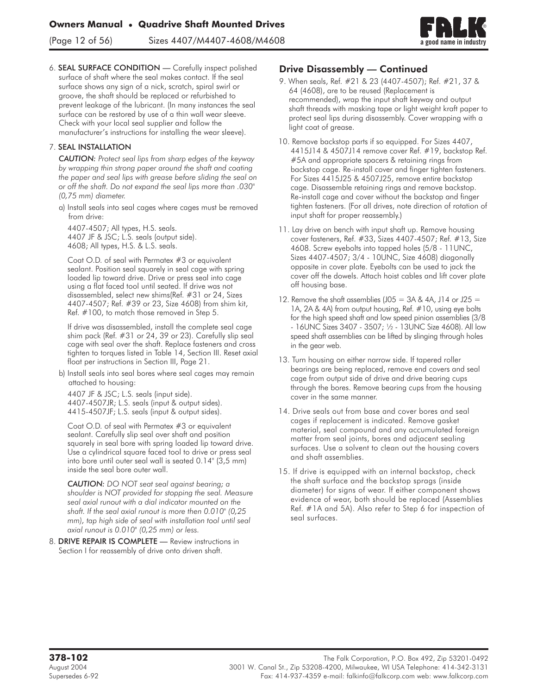® **a good name in industry**

- Sizes 4407/M4407-4608/M4608  $\frac{1}{\sqrt{2}}$
- 6. SEAL SURFACE CONDITION Carefully inspect polished surface of shaft where the seal makes contact. If the seal surface shows any sign of a nick, scratch, spiral swirl or groove, the shaft should be replaced or refurbished to prevent leakage of the lubricant. (In many instances the seal surface can be restored by use of a thin wall wear sleeve. Check with your local seal supplier and follow the manufacturer's instructions for installing the wear sleeve).

### 7. SEAL INSTALLATION

*CAUTION: Protect seal lips from sharp edges of the keyway by wrapping thin strong paper around the shaft and coating the paper and seal lips with grease before sliding the seal on or off the shaft. Do not expand the seal lips more than .030" (0,75 mm) diameter.*

a) Install seals into seal cages where cages must be removed from drive:

4407-4507; All types, H.S. seals. 4407 JF & JSC; L.S. seals (output side). 4608; All types, H.S. & L.S. seals.

Coat O.D. of seal with Permatex #3 or equivalent sealant. Position seal squarely in seal cage with spring loaded lip toward drive. Drive or press seal into cage using a flat faced tool until seated. If drive was not disassembled, select new shims(Ref. #31 or 24, Sizes 4407-4507; Ref. #39 or 23, Size 4608) from shim kit, Ref. #100, to match those removed in Step 5.

If drive was disassembled, install the complete seal cage shim pack (Ref. #31 or 24, 39 or 23). Carefully slip seal cage with seal over the shaft. Replace fasteners and cross tighten to torques listed in Table 14, Section III. Reset axial float per instructions in Section III, Page 21.

b) Install seals into seal bores where seal cages may remain attached to housing:

4407 JF & JSC; L.S. seals (input side). 4407-4507JR; L.S. seals (input & output sides). 4415-4507JF; L.S. seals (input & output sides).

Coat O.D. of seal with Permatex #3 or equivalent sealant. Carefully slip seal over shaft and position squarely in seal bore with spring loaded lip toward drive. Use a cylindrical square faced tool to drive or press seal into bore until outer seal wall is seated 0.14" (3,5 mm) inside the seal bore outer wall.

*CAUTION: DO NOT seat seal against bearing; a shoulder is NOT provided for stopping the seal. Measure seal axial runout with a dial indicator mounted on the shaft. If the seal axial runout is more then 0.010" (0,25 mm), tap high side of seal with installation tool until seal axial runout is 0.010" (0,25 mm) or less.*

8. DRIVE REPAIR IS COMPLETE — Review instructions in Section I for reassembly of drive onto driven shaft.

# Drive Disassembly — Continued

- 9. When seals, Ref. #21 & 23 (4407-4507); Ref. #21, 37 & 64 (4608), are to be reused (Replacement is recommended), wrap the input shaft keyway and output shaft threads with masking tape or light weight kraft paper to protect seal lips during disassembly. Cover wrapping with a light coat of grease.
- 10. Remove backstop parts if so equipped. For Sizes 4407, 4415J14 & 4507J14 remove cover Ref. #19, backstop Ref. #5A and appropriate spacers & retaining rings from backstop cage. Re-install cover and finger tighten fasteners. For Sizes 4415J25 & 4507J25, remove entire backstop cage. Disassemble retaining rings and remove backstop. Re-install cage and cover without the backstop and finger tighten fasteners. (For all drives, note direction of rotation of input shaft for proper reassembly.)
- 11. Lay drive on bench with input shaft up. Remove housing cover fasteners, Ref. #33, Sizes 4407-4507; Ref. #13, Size 4608. Screw eyebolts into tapped holes (5/8 - 11UNC, Sizes 4407-4507; 3/4 - 10UNC, Size 4608) diagonally opposite in cover plate. Eyebolts can be used to jack the cover off the dowels. Attach hoist cables and lift cover plate off housing base.
- 12. Remove the shaft assemblies (J05 =  $3A & 4A$ , J14 or J25 = 1A, 2A & 4A) from output housing, Ref. #10, using eye bolts for the high speed shaft and low speed pinion assemblies (3/8 - 16UNC Sizes 3407 - 3507; ½ - 13UNC Size 4608). All low speed shaft assemblies can be lifted by slinging through holes in the gear web.
- 13. Turn housing on either narrow side. If tapered roller bearings are being replaced, remove end covers and seal cage from output side of drive and drive bearing cups through the bores. Remove bearing cups from the housing cover in the same manner.
- 14. Drive seals out from base and cover bores and seal cages if replacement is indicated. Remove gasket material, seal compound and any accumulated foreign matter from seal joints, bores and adjacent sealing surfaces. Use a solvent to clean out the housing covers and shaft assemblies.
- 15. If drive is equipped with an internal backstop, check the shaft surface and the backstop sprags (inside diameter) for signs of wear. If either component shows evidence of wear, both should be replaced (Assemblies Ref. #1A and 5A). Also refer to Step 6 for inspection of seal surfaces.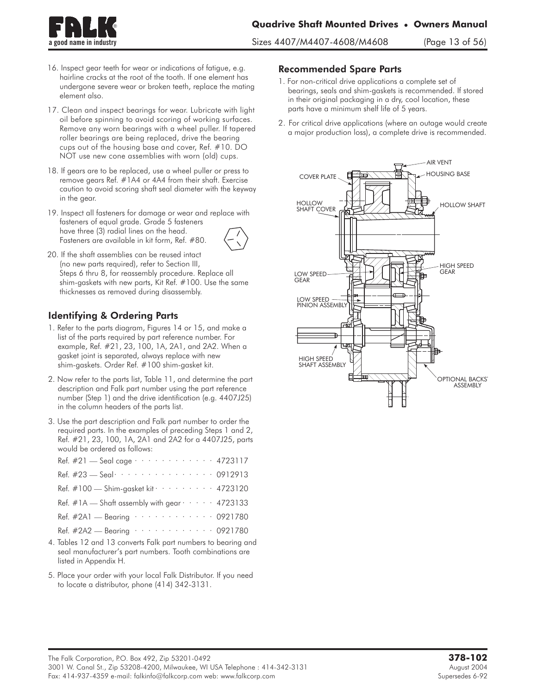

 $S = \{x, y, w\}$ 

- 16. Inspect gear teeth for wear or indications of fatigue, e.g. hairline cracks at the root of the tooth. If one element has undergone severe wear or broken teeth, replace the mating element also.
- 17. Clean and inspect bearings for wear. Lubricate with light oil before spinning to avoid scoring of working surfaces. Remove any worn bearings with a wheel puller. If tapered roller bearings are being replaced, drive the bearing cups out of the housing base and cover, Ref. #10. DO NOT use new cone assemblies with worn (old) cups.
- 18. If gears are to be replaced, use a wheel puller or press to remove gears Ref. #1A4 or 4A4 from their shaft. Exercise caution to avoid scoring shaft seal diameter with the keyway in the gear.
- 19. Inspect all fasteners for damage or wear and replace with fasteners of equal grade. Grade 5 fasteners have three (3) radial lines on the head. Fasteners are available in kit form, Ref. #80.
- 20. If the shaft assemblies can be reused intact (no new parts required), refer to Section III, Steps 6 thru 8, for reassembly procedure. Replace all shim-gaskets with new parts, Kit Ref. #100. Use the same thicknesses as removed during disassembly.

# Identifying & Ordering Parts

- 1. Refer to the parts diagram, Figures 14 or 15, and make a list of the parts required by part reference number. For example, Ref. #21, 23, 100, 1A, 2A1, and 2A2. When a gasket joint is separated, always replace with new shim-gaskets. Order Ref. #100 shim-gasket kit.
- 2. Now refer to the parts list, Table 11, and determine the part description and Falk part number using the part reference number (Step 1) and the drive identification (e.g. 4407J25) in the column headers of the parts list.
- 3. Use the part description and Falk part number to order the required parts. In the examples of preceding Steps 1 and 2, Ref. #21, 23, 100, 1A, 2A1 and 2A2 for a 4407J25, parts would be ordered as follows: Ref. #21 — Seal cage ············ 4723117 Ref. #23 — Seal··············· 0912913

| Ref. $\#100$ - Shim-gasket kit $\cdots$ $\cdots$ $\cdots$ 4723120 |  |  |  |  |  |  |
|-------------------------------------------------------------------|--|--|--|--|--|--|
| Ref. $#1A$ - Shaft assembly with gear $\cdots$ 4723133            |  |  |  |  |  |  |
| Ref. #2A1 — Bearing $\cdots \cdots \cdots \cdots \cdots$ 0921780  |  |  |  |  |  |  |
| Ref. #2A2 - Bearing $\cdots$ $\cdots$ $\cdots$ $\cdots$ 0921780   |  |  |  |  |  |  |

- 4. Tables 12 and 13 converts Falk part numbers to bearing and seal manufacturer's part numbers. Tooth combinations are listed in Appendix H.
- 5. Place your order with your local Falk Distributor. If you need to locate a distributor, phone (414) 342-3131.

### Recommended Spare Parts

- 1. For non-critical drive applications a complete set of bearings, seals and shim-gaskets is recommended. If stored in their original packaging in a dry, cool location, these parts have a minimum shelf life of 5 years.
- 2. For critical drive applications (where an outage would create a major production loss), a complete drive is recommended.

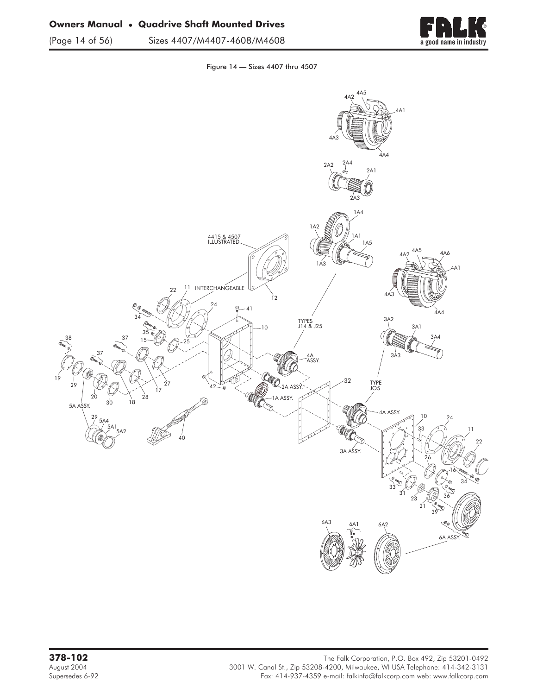

Figure 14 — Sizes 4407 thru 4507

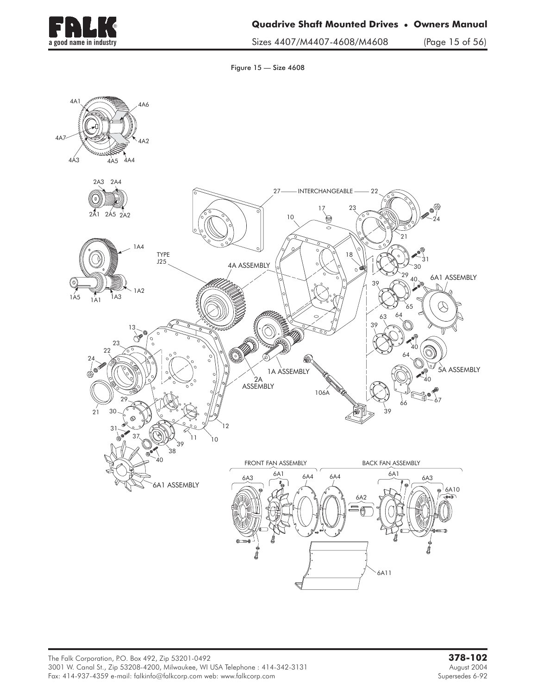

Figure 15 — Size 4608

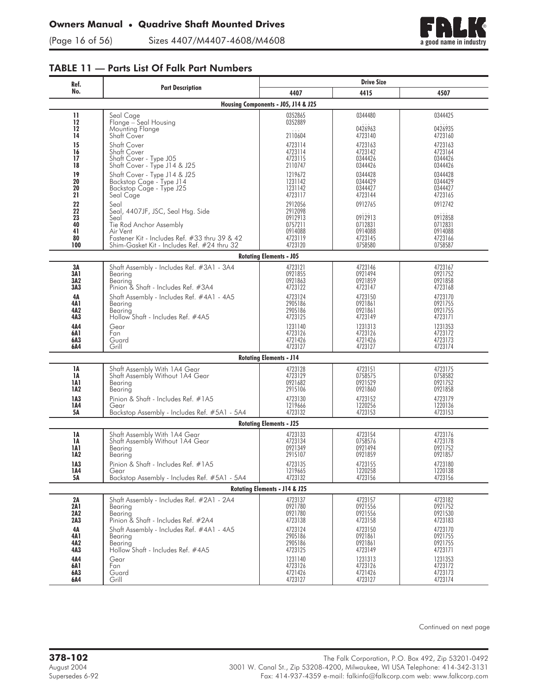# $\frac{1}{\sqrt{2\pi}}$   $\frac{1}{\sqrt{2\pi}}$



### TABLE 11 — Parts List Of Falk Part Numbers

| Ref.                                     |                                                                                  | <b>Drive Size</b>                   |                    |                    |  |  |  |  |
|------------------------------------------|----------------------------------------------------------------------------------|-------------------------------------|--------------------|--------------------|--|--|--|--|
| No.                                      | <b>Part Description</b>                                                          | 4407                                | 4415               | 4507               |  |  |  |  |
|                                          |                                                                                  | Housing Components - J05, J14 & J25 |                    |                    |  |  |  |  |
| 11                                       | Seal Cage                                                                        | 0352865                             | 0344480            | 0344425            |  |  |  |  |
| 12<br>12                                 | Flange - Seal Housing<br>Mounting Flange                                         | 0352889                             | 0426963            | 0426935            |  |  |  |  |
| 14                                       | Shaft Cover                                                                      | 2110604                             | 4723140            | 4723160            |  |  |  |  |
| 15<br>16                                 | Shaft Cover<br>Shaft Cover                                                       | 4723114<br>4723114                  | 4723163<br>4723142 | 4723163<br>4723164 |  |  |  |  |
| 17<br>18                                 | Shaft Cover - Type J05<br>Shaft Cover - Type J14 & J25                           | 4723115<br>2110747                  | 0344426<br>0344426 | 0344426<br>0344426 |  |  |  |  |
| 19                                       | Shaft Cover - Type J14 & J25                                                     | 1219672                             | 0344428            | 0344428            |  |  |  |  |
| 20                                       | Backstop Cage - Type J14                                                         | 1231142                             | 0344429            | 0344429            |  |  |  |  |
| 20<br>21                                 | Backstop Cage - Type J25<br>Seal Cage                                            | 1231142<br>4723117                  | 0344427<br>4723144 | 0344427<br>4723165 |  |  |  |  |
| 22                                       | Seal                                                                             | 2912056                             | 0912765            | 0912742            |  |  |  |  |
| 22<br>23                                 | Seal, 4407JF, JSC, Seal Hsg. Side<br>Seal                                        | 2912098<br>0912913                  | 0912913            | 0912858            |  |  |  |  |
| 40<br>41                                 | Tie Rod Anchor Assembly                                                          | 0757211                             | 0712831            | 0712831            |  |  |  |  |
| 80                                       | Air Vent<br>Fastener Kit - Includes Ref. #33 thru 39 & 42                        | 0914088<br>4723119                  | 0914088<br>4723145 | 0914088<br>4723166 |  |  |  |  |
| 100                                      | Shim-Gasket Kit - Includes Ref. #24 thru 32                                      | 4723120                             | 0758580            | 0758587            |  |  |  |  |
| <b>Rotating Elements - J05</b>           |                                                                                  |                                     |                    |                    |  |  |  |  |
| 3Α<br>3A1                                | Shaft Assembly - Includes Ref. #3A1 - 3A4<br>Bearing                             | 4723121<br>0921855                  | 4723146<br>0921494 | 4723167<br>0921752 |  |  |  |  |
| 3A2                                      | Bearing                                                                          | 0921863                             | 0921859            | 0921858            |  |  |  |  |
| 3A3<br>4Α                                | Pinion & Shaft - Includes Ref. #3A4<br>Shaft Assembly - Includes Ref. #4A1 - 4A5 | 4723122<br>4723124                  | 4723147<br>4723150 | 4723168<br>4723170 |  |  |  |  |
| 4A1                                      | Bearing                                                                          | 2905186                             | 0921861            | 0921755            |  |  |  |  |
| 4A2<br>4A3                               | Bearing<br>Hollow Shaft - Includes Ref. #4A5                                     | 2905186<br>4723125                  | 0921861<br>4723149 | 0921755<br>4723171 |  |  |  |  |
| 4A4                                      | Gear                                                                             | 1231140                             | 1231313            | 1231353            |  |  |  |  |
| 6A1<br>6A3                               | Fan<br>Guard                                                                     | 4723126<br>4721426                  | 4723126<br>4721426 | 4723172<br>4723173 |  |  |  |  |
| 6A4                                      | Grill                                                                            | 4723127                             | 4723127            | 4723174            |  |  |  |  |
|                                          |                                                                                  | <b>Rotating Elements - J14</b>      |                    |                    |  |  |  |  |
| 1A<br>1A                                 | Shaft Assembly With 1A4 Gear                                                     | 4723128<br>4723129                  | 4723151<br>0758575 | 4723175<br>0758582 |  |  |  |  |
| 1A1                                      | Shaft Assembly Without 1A4 Gear<br>Bearing                                       | 0921682                             | 0921529            | 0921752            |  |  |  |  |
| 1A2                                      | Bearing                                                                          | 2915106                             | 0921860            | 0921858            |  |  |  |  |
| 1A3<br>1A4                               | Pinion & Shaft - Includes Ref. #1A5<br>Gear                                      | 4723130<br>1219666                  | 4723152<br>1220256 | 4723179<br>1220136 |  |  |  |  |
| 5A                                       | Backstop Assembly - Includes Ref. #5A1 - 5A4                                     | 4723132                             | 4723153            | 4723153            |  |  |  |  |
|                                          |                                                                                  | <b>Rotating Elements - J25</b>      |                    |                    |  |  |  |  |
| 1A<br>1A                                 | Shaft Assembly With 1A4 Gear<br>Shaft Assembly Without 1A4 Gear                  | 4723133<br>4723134                  | 4723154<br>0758576 | 4723176<br>4723178 |  |  |  |  |
| 1A1                                      | Bearina                                                                          | 0921349                             | 0921494            | 0921752            |  |  |  |  |
| 1A2                                      | Bearing                                                                          | 2915107                             | 0921859            | 0921857            |  |  |  |  |
| 1A3<br>1A4                               | Pinion & Shaft - Includes Ref. #1A5<br>earٿ                                      | 4723135<br>1219665                  | 4723155<br>1220258 | 4723180<br>1220138 |  |  |  |  |
| 5Α                                       | Backstop Assembly - Includes Ref. #5A1 - 5A4                                     | 4723132                             | 4723156            | 4723156            |  |  |  |  |
| <b>Rotating Elements - J14 &amp; J25</b> |                                                                                  |                                     |                    |                    |  |  |  |  |
| 2A<br>2A1                                | Shaft Assembly - Includes Ref. #2A1 - 2A4<br>Bearing                             | 4723137<br>0921780                  | 4723157<br>0921556 | 4723182<br>0921752 |  |  |  |  |
| 2A2                                      | Bearing                                                                          | 0921780                             | 0921556            | 0921530            |  |  |  |  |
| 2A3<br>4А                                | Pinion & Shaft - Includes Ref. #2A4<br>Shaft Assembly - Includes Ref. #4A1 - 4A5 | 4723138                             | 4723158            | 4723183<br>4723170 |  |  |  |  |
| 4A1                                      | Bearina                                                                          | 4723124<br>2905186                  | 4723150<br>0921861 | 0921755            |  |  |  |  |
| 4A2<br>4A3                               | Bearing<br>Hollow Shaft - Includes Ref. #4A5                                     | 2905186<br>4723125                  | 0921861<br>4723149 | 0921755<br>4723171 |  |  |  |  |
| 4A4                                      | Gear                                                                             | 1231140                             | 1231313            | 1231353            |  |  |  |  |
| 6A1                                      | Fan                                                                              | 4723126                             | 4723126            | 4723172            |  |  |  |  |
| 6A3<br>6A4                               | Guard<br>Grill                                                                   | 4721426<br>4723127                  | 4721426<br>4723127 | 4723173<br>4723174 |  |  |  |  |

Continued on next page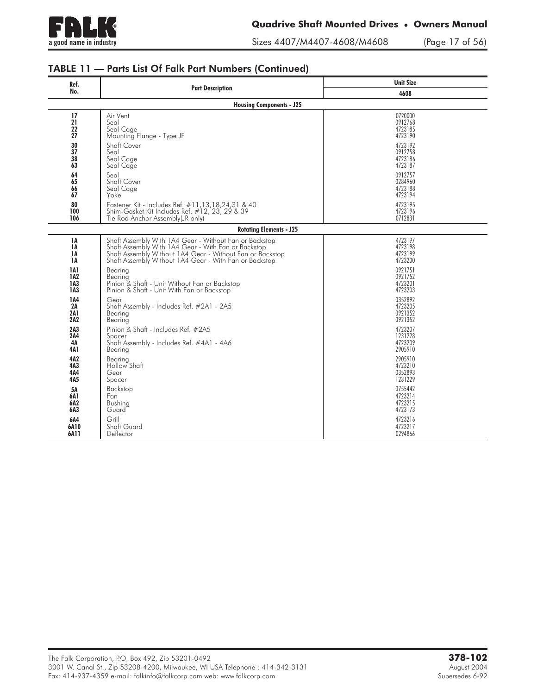

Sizes 4407/M4407-4608/M4608 (Page 17 of 56)

| Ref.       |                                                           | <b>Unit Size</b> |
|------------|-----------------------------------------------------------|------------------|
| No.        | <b>Part Description</b>                                   | 4608             |
|            | <b>Housing Components - J25</b>                           |                  |
| 17         | Air Vent                                                  | 0720000          |
| 21         | Seal                                                      | 0912768          |
| 22         | Seal Cage                                                 | 4723185          |
| 27         | Mounting Flange - Type JF                                 | 4723190          |
| 30         | Shaft Cover                                               | 4723192          |
| 37         | Seal                                                      | 0912758          |
| 38         | Seal Cage                                                 | 4723186          |
| 63         | Seal Cage                                                 | 4723187          |
| 64         | Seal                                                      | 0912757          |
| 65         | Shaft Cover                                               | 0284960          |
| 66         | Seal Cage                                                 | 4723188          |
| 67         | Yoke                                                      | 4723194          |
| 80         | Fastener Kit - Includes Ref. #11,13,18,24,31 & 40         | 4723195          |
| 100        | Shim-Gasket Kit Includes Ref. #12, 23, 29 & 39            | 4723196          |
| 106        | Tie Rod Anchor Assembly(JR only)                          | 0712831          |
|            | <b>Rotating Elements - J25</b>                            |                  |
| 1A         | Shaft Assembly With 1A4 Gear - Without Fan or Backstop    | 4723197          |
| <b>1A</b>  | Shaft Assembly With 1A4 Gear - With Fan or Backstop       | 4723198          |
| 1A         | Shaft Assembly Without 1A4 Gear - Without Fan or Backstop | 4723199          |
| 1A         | Shaft Assembly Without 1A4 Gear - With Fan or Backstop    | 4723200          |
| <b>1A1</b> | Bearing                                                   | 0921751          |
| <b>1A2</b> | Bearina                                                   | 0921752          |
| 1A3        | Pinion & Shaft - Unit Without Fan or Backstop             | 4723201          |
| 1A3        | Pinion & Shaft - Unit With Fan or Backstop                | 4723203          |
| 1A4        | Gear                                                      | 0352892          |
| 2A         | Shaft Assembly - Includes Ref. #2A1 - 2A5                 | 4723205          |
| <b>2A1</b> | Bearing                                                   | 0921352          |
| 2A2        | Bearing                                                   | 0921352          |
| 2A3        | Pinion & Shaft - Includes Ref. #2A5                       | 4723207          |
| 2A4        | Spacer                                                    | 1231228          |
| <b>4A</b>  | Shaft Assembly - Includes Ref. #4A1 - 4A6                 | 4723209          |
| 4A1        | Bearina                                                   | 2905910          |
| 4A2        | Bearing                                                   | 2905910          |
| 4A3        | Hollow Shaft                                              | 4723210          |
| <b>4A4</b> | Gear                                                      | 0352893          |
| <b>4A5</b> | Spacer                                                    | 1231229          |
| <b>5A</b>  | Backstop                                                  | 0755442          |
| 6A1        | Fan                                                       | 4723214          |
| 6A2        | <b>Bushing</b>                                            | 4723215          |
| 6A3        | Guard                                                     | 4723173          |
| 6A4        | Grill                                                     | 4723216          |
| 6A10       | Shaft Guard                                               | 4723217          |
| 6A11       | Deflector                                                 | 0294866          |

### TABLE 11 — Parts List Of Falk Part Numbers (Continued)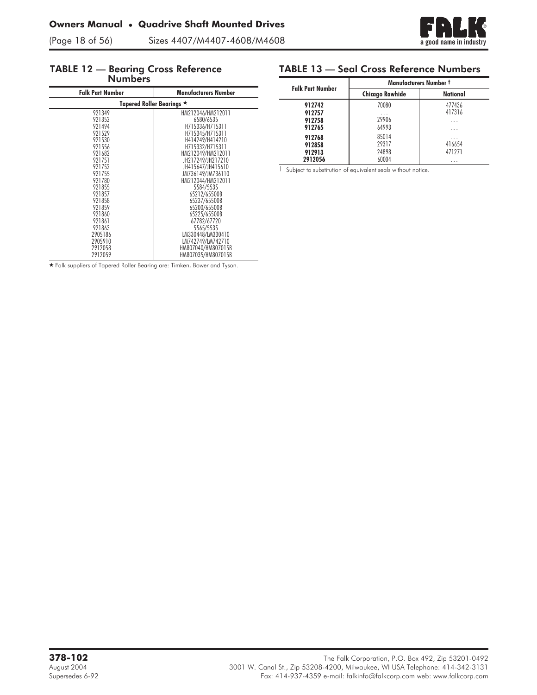$\frac{1}{\sqrt{2}}$ 



### TABLE 12 — Bearing Cross Reference Numbers

| <b>Falk Part Number</b> | <b>Manufacturers Number</b> |
|-------------------------|-----------------------------|
|                         | Tapered Roller Bearings ★   |
| 921349                  | HM212046/HM212011           |
| 921352                  | 6580/6535                   |
| 921494                  | H715336/H715311             |
| 921529                  | H715345/H715311             |
| 921530                  | H414249/H414210             |
| 921556                  | H715332/H715311             |
| 921682                  | HM212049/HM212011           |
| 921751                  | JH217249/JH217210           |
| 921752                  | JH415647/JH415610           |
| 921755                  | JM736149/JM736110           |
| 921780                  | HM212044/HM212011           |
| 921855                  | 5584/5535                   |
| 921857                  | 65212/65500B                |
| 921858                  | 65237/65500B                |
| 921859                  | 65200/65500B                |
| 921860                  | 65225/65500B                |
| 921861                  | 67782/67720                 |
| 921863                  | 5565/5535                   |
| 2905186                 | LM330448/LM330410           |
| 2905910                 | LM742749/LM742710           |
| 2912058                 | HM807040/HM807015B          |
| 2912059                 | HM807035/HM807015B          |
|                         |                             |

Falk suppliers of Tapered Roller Bearing are: Timken, Bower and Tyson.

# TABLE 13 — Seal Cross Reference Numbers

| <b>Falk Part Number</b> | Manufacturers Number t |                         |  |  |  |  |
|-------------------------|------------------------|-------------------------|--|--|--|--|
|                         | <b>Chicago Rawhide</b> | <b>National</b>         |  |  |  |  |
| 912742                  | 70080                  | 477436                  |  |  |  |  |
| 912757                  | .                      | 417316                  |  |  |  |  |
| 912758                  | 29906                  | .                       |  |  |  |  |
| 912765                  | 64993                  | .                       |  |  |  |  |
| 912768                  | 85014                  | $\cdot$ $\cdot$ $\cdot$ |  |  |  |  |
| 912858                  | 29317                  | 416654                  |  |  |  |  |
| 912913                  | 24898                  | 471271                  |  |  |  |  |
| 2912056                 | 60004                  | .                       |  |  |  |  |

† Subject to substitution of equivalent seals without notice.

Ĭ.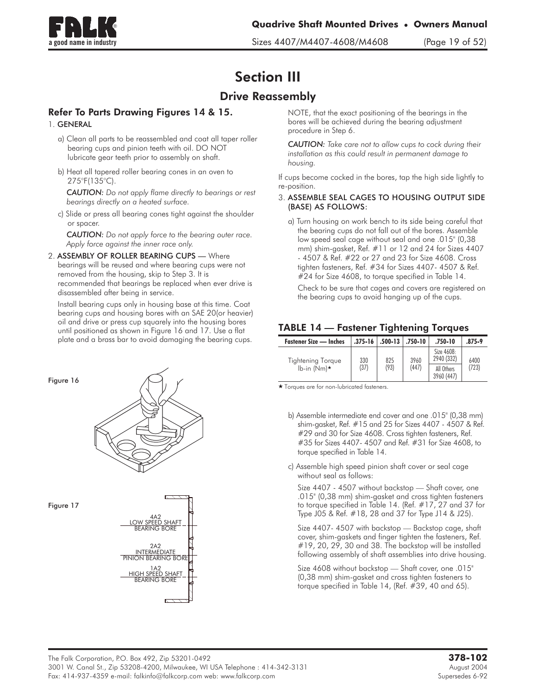

Sizes 4407/M4407-4608/M4608 (Page 19 of 52)

# **Section III Drive Reassembly**

### Refer To Parts Drawing Figures 14 & 15. 1. GENERAL

- a) Clean all parts to be reassembled and coat all taper roller bearing cups and pinion teeth with oil. DO NOT lubricate gear teeth prior to assembly on shaft.
- b) Heat all tapered roller bearing cones in an oven to 275°F(135°C).

*CAUTION: Do not apply flame directly to bearings or rest bearings directly on a heated surface.*

c) Slide or press all bearing cones tight against the shoulder or spacer.

*CAUTION: Do not apply force to the bearing outer race. Apply force against the inner race only.*

2. ASSEMBLY OF ROLLER BEARING CUPS - Where bearings will be reused and where bearing cups were not removed from the housing, skip to Step 3. It is recommended that bearings be replaced when ever drive is disassembled after being in service.

Install bearing cups only in housing base at this time. Coat bearing cups and housing bores with an SAE 20(or heavier) oil and drive or press cup squarely into the housing bores until positioned as shown in Figure 16 and 17. Use a flat plate and a brass bar to avoid damaging the bearing cups.



Figure 17



NOTE, that the exact positioning of the bearings in the bores will be achieved during the bearing adjustment procedure in Step 6.

*CAUTION: Take care not to allow cups to cock during their installation as this could result in permanent damage to housing.*

If cups become cocked in the bores, tap the high side lightly to re-position.

#### 3. ASSEMBLE SEAL CAGES TO HOUSING OUTPUT SIDE (BASE) AS FOLLOWS:

a) Turn housing on work bench to its side being careful that the bearing cups do not fall out of the bores. Assemble low speed seal cage without seal and one .015" (0,38 mm) shim-gasket, Ref. #11 or 12 and 24 for Sizes 4407 - 4507 & Ref. #22 or 27 and 23 for Size 4608. Cross tighten fasteners, Ref. #34 for Sizes 4407- 4507 & Ref. #24 for Size 4608, to torque specified in Table 14.

Check to be sure that cages and covers are registered on the bearing cups to avoid hanging up of the cups.

# TABLE 14 — Fastener Tightening Torques

| <b>Fastener Size — Inches</b>       | $.375 - 16$ | $.500-13$   | $.750 - 10$   | $.750-10$                                            | $.875 - 9$    |
|-------------------------------------|-------------|-------------|---------------|------------------------------------------------------|---------------|
| Tightening Torque<br>$lb-in (Nm)$ * | 330<br>(37) | 825<br>(93) | 3960<br>(447) | Size 4608:<br>2940 (332)<br>All Others<br>3960 (447) | 6400<br>(723) |

Torques are for non-lubricated fasteners.

- b) Assemble intermediate end cover and one .015" (0,38 mm) shim-gasket, Ref. #15 and 25 for Sizes 4407 - 4507 & Ref. #29 and 30 for Size 4608. Cross tighten fasteners, Ref. #35 for Sizes 4407- 4507 and Ref. #31 for Size 4608, to torque specified in Table 14.
- c) Assemble high speed pinion shaft cover or seal cage without seal as follows:

Size 4407 - 4507 without backstop — Shaft cover, one .015" (0,38 mm) shim-gasket and cross tighten fasteners to torque specified in Table 14. (Ref. #17, 27 and 37 for Type J05 & Ref. #18, 28 and 37 for Type J14 & J25).

Size 4407- 4507 with backstop — Backstop cage, shaft cover, shim-gaskets and finger tighten the fasteners, Ref. #19, 20, 29, 30 and 38. The backstop will be installed following assembly of shaft assemblies into drive housing.

Size 4608 without backstop — Shaft cover, one .015" (0,38 mm) shim-gasket and cross tighten fasteners to torque specified in Table 14, (Ref. #39, 40 and 65).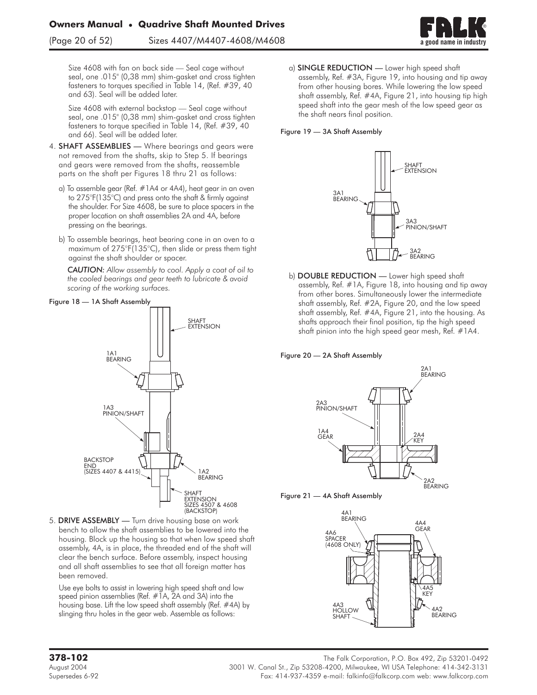$\frac{1}{2}$ 



Size 4608 with fan on back side — Seal cage without seal, one .015" (0,38 mm) shim-gasket and cross tighten fasteners to torques specified in Table 14, (Ref. #39, 40 and 63). Seal will be added later.

Size 4608 with external backstop — Seal cage without seal, one .015" (0,38 mm) shim-gasket and cross tighten fasteners to torque specified in Table 14, (Ref. #39, 40 and 66). Seal will be added later.

- 4. SHAFT ASSEMBLIES Where bearings and gears were not removed from the shafts, skip to Step 5. If bearings and gears were removed from the shafts, reassemble parts on the shaft per Figures 18 thru 21 as follows:
	- a) To assemble gear (Ref. #1A4 or 4A4), heat gear in an oven to 275°F(135°C) and press onto the shaft & firmly against the shoulder. For Size 4608, be sure to place spacers in the proper location on shaft assemblies 2A and 4A, before pressing on the bearings.
	- b) To assemble bearings, heat bearing cone in an oven to a maximum of 275°F(135°C), then slide or press them tight against the shaft shoulder or spacer.

*CAUTION: Allow assembly to cool. Apply a coat of oil to the cooled bearings and gear teeth to lubricate & avoid scoring of the working surfaces.*



5. DRIVE ASSEMBLY — Turn drive housing base on work bench to allow the shaft assemblies to be lowered into the housing. Block up the housing so that when low speed shaft assembly, 4A, is in place, the threaded end of the shaft will clear the bench surface. Before assembly, inspect housing and all shaft assemblies to see that all foreign matter has been removed.

Use eye bolts to assist in lowering high speed shaft and low speed pinion assemblies (Ref. #1A, 2A and 3A) into the housing base. Lift the low speed shaft assembly (Ref. #4A) by slinging thru holes in the gear web. Assemble as follows:

a) SINGLE REDUCTION — Lower high speed shaft assembly, Ref. #3A, Figure 19, into housing and tip away from other housing bores. While lowering the low speed shaft assembly, Ref. #4A, Figure 21, into housing tip high speed shaft into the gear mesh of the low speed gear as the shaft nears final position.

#### Figure 19 — 3A Shaft Assembly



b) DOUBLE REDUCTION — Lower high speed shaft assembly, Ref. #1A, Figure 18, into housing and tip away from other bores. Simultaneously lower the intermediate shaft assembly, Ref. #2A, Figure 20, and the low speed shaft assembly, Ref. #4A, Figure 21, into the housing. As shafts approach their final position, tip the high speed shaft pinion into the high speed gear mesh, Ref. #1A4.

#### Figure 20 — 2A Shaft Assembly



Figure 21 — 4A Shaft Assembly



**378-102** The Falk Corporation, P.O. Box 492, Zip 53201-0492<br>3001 W. Canal St., Zip 53208-4200, Milwaukee, WI USA Telephone: 414-342-3131 3001 W. Canal St., Zip 53208-4200, Milwaukee, WI USA Telephone: 414-342-3131 Supersedes 6-92 Fax: 414-937-4359 e-mail: falkinfo@falkcorp.com web: www.falkcorp.com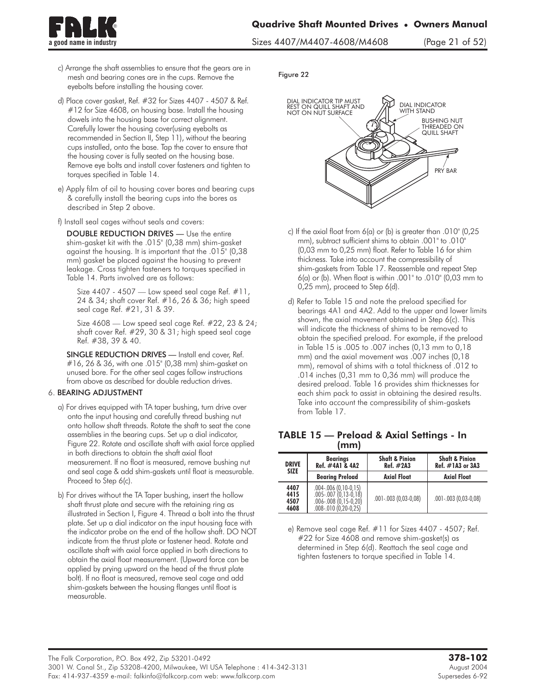

- c) Arrange the shaft assemblies to ensure that the gears are in mesh and bearing cones are in the cups. Remove the eyebolts before installing the housing cover.
- d) Place cover gasket, Ref. #32 for Sizes 4407 4507 & Ref. #12 for Size 4608, on housing base. Install the housing dowels into the housing base for correct alignment. Carefully lower the housing cover(using eyebolts as recommended in Section II, Step 11), without the bearing cups installed, onto the base. Tap the cover to ensure that the housing cover is fully seated on the housing base. Remove eye bolts and install cover fasteners and tighten to torques specified in Table 14.
- e) Apply film of oil to housing cover bores and bearing cups & carefully install the bearing cups into the bores as described in Step 2 above.
- f) Install seal cages without seals and covers:

DOUBLE REDUCTION DRIVES — Use the entire shim-gasket kit with the .015" (0,38 mm) shim-gasket against the housing. It is important that the .015" (0,38 mm) gasket be placed against the housing to prevent leakage. Cross tighten fasteners to torques specified in Table 14. Parts involved are as follows:

Size 4407 - 4507 — Low speed seal cage Ref. #11, 24 & 34; shaft cover Ref. #16, 26 & 36; high speed seal cage Ref. #21, 31 & 39.

Size 4608 — Low speed seal cage Ref. #22, 23 & 24; shaft cover Ref. #29, 30 & 31; high speed seal cage Ref. #38, 39 & 40.

SINGLE REDUCTION DRIVES - Install end cover, Ref. #16, 26 & 36, with one .015" (0,38 mm) shim-gasket on unused bore. For the other seal cages follow instructions from above as described for double reduction drives.

#### 6. BEARING ADJUSTMENT

- a) For drives equipped with TA taper bushing, turn drive over onto the input housing and carefully thread bushing nut onto hollow shaft threads. Rotate the shaft to seat the cone assemblies in the bearing cups. Set up a dial indicator, Figure 22. Rotate and oscillate shaft with axial force applied in both directions to obtain the shaft axial float measurement. If no float is measured, remove bushing nut and seal cage & add shim-gaskets until float is measurable. Proceed to Step 6(c).
- b) For drives without the TA Taper bushing, insert the hollow shaft thrust plate and secure with the retaining ring as illustrated in Section I, Figure 4. Thread a bolt into the thrust plate. Set up a dial indicator on the input housing face with the indicator probe on the end of the hollow shaft. DO NOT indicate from the thrust plate or fastener head. Rotate and oscillate shaft with axial force applied in both directions to obtain the axial float measurement. (Upward force can be applied by prying upward on the head of the thrust plate bolt). If no float is measured, remove seal cage and add shim-gaskets between the housing flanges until float is measurable.

#### Figure 22



- c) If the axial float from  $6(a)$  or (b) is greater than .010" (0,25 mm), subtract sufficient shims to obtain .001" to .010" (0,03 mm to 0,25 mm) float. Refer to Table 16 for shim thickness. Take into account the compressibility of shim-gaskets from Table 17. Reassemble and repeat Step 6(a) or (b). When float is within .001" to .010" (0,03 mm to 0,25 mm), proceed to Step 6(d).
- d) Refer to Table 15 and note the preload specified for bearings 4A1 and 4A2. Add to the upper and lower limits shown, the axial movement obtained in Step 6(c). This will indicate the thickness of shims to be removed to obtain the specified preload. For example, if the preload in Table 15 is .005 to .007 inches (0,13 mm to 0,18 mm) and the axial movement was .007 inches (0,18 mm), removal of shims with a total thickness of .012 to .014 inches (0,31 mm to 0,36 mm) will produce the desired preload. Table 16 provides shim thicknesses for each shim pack to assist in obtaining the desired results. Take into account the compressibility of shim-gaskets from Table 17.

|              | (mm)                               |                                        |                                                 |
|--------------|------------------------------------|----------------------------------------|-------------------------------------------------|
| <b>DRIVE</b> | <b>Bearings</b><br>Ref. #4A1 & 4A2 | <b>Shaft &amp; Pinion</b><br>Ref. #2A3 | <b>Shaft &amp; Pinion</b><br>$Ref. #1A3$ or 3A3 |
| <b>SIZE</b>  | <b>Bearing Preload</b>             | <b>Axial Float</b>                     | <b>Axial Float</b>                              |
| <b>AA07</b>  | 004, 006(0, 10, 0, 15)             |                                        |                                                 |

#### TABLE 15 — Preload & Axial Settings - In (mm)

4415 .005.007 (0,13-0,18)

4507 .006-.008 (0,15-0,20) 4608 .008-.010 (0,20-0,25)

e) Remove seal cage Ref. #11 for Sizes 4407 - 4507; Ref. #22 for Size 4608 and remove shim-gasket(s) as determined in Step 6(d). Reattach the seal cage and tighten fasteners to torque specified in Table 14.

**4415** .005-007 (0,13-0,18) .001-003 (0,03-0,08) .001-003 (0,03-0,08)<br>**4608** .006-008 (0,15-0,25) .001-003 (0,03-0,08) .001-003 (0,03-0,08)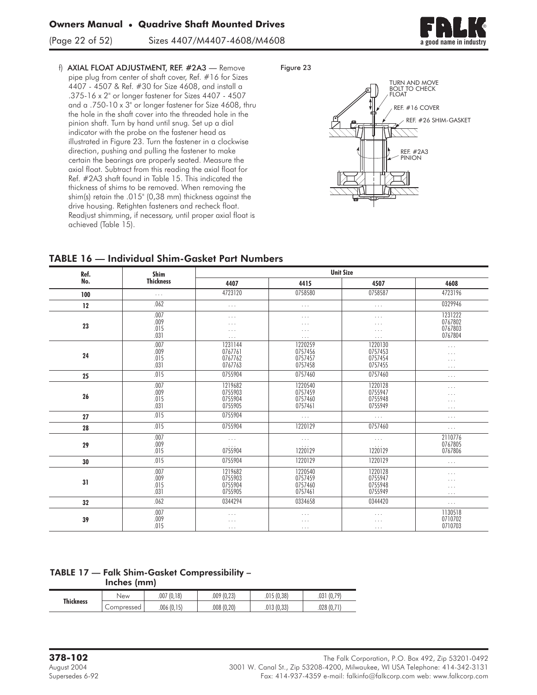Sizes 4407/M4407-4608/M4608  $\frac{1}{2}$ 



f) AXIAL FLOAT ADJUSTMENT, REF. #2A3 — Remove pipe plug from center of shaft cover, Ref. #16 for Sizes 4407 - 4507 & Ref. #30 for Size 4608, and install a .375-16 x 2" or longer fastener for Sizes 4407 - 4507 and a .750-10 x 3" or longer fastener for Size 4608, thru the hole in the shaft cover into the threaded hole in the pinion shaft. Turn by hand until snug. Set up a dial indicator with the probe on the fastener head as illustrated in Figure 23. Turn the fastener in a clockwise direction, pushing and pulling the fastener to make certain the bearings are properly seated. Measure the axial float. Subtract from this reading the axial float for Ref. #2A3 shaft found in Table 15. This indicated the thickness of shims to be removed. When removing the shim(s) retain the .015" (0,38 mm) thickness against the drive housing. Retighten fasteners and recheck float. Readjust shimming, if necessary, until proper axial float is achieved (Table 15).

Figure 23



| Ref. | Shim                         | <b>Unit Size</b>                             |                                          |                                              |                                          |  |  |  |  |
|------|------------------------------|----------------------------------------------|------------------------------------------|----------------------------------------------|------------------------------------------|--|--|--|--|
| No.  | <b>Thickness</b>             | 4407                                         | 4415                                     | 4507                                         | 4608                                     |  |  |  |  |
| 100  | $\ldots$                     | 4723120                                      | 0758580                                  | 0758587                                      | 4723196                                  |  |  |  |  |
| 12   | .062                         | $\cdots$                                     | $\cdots$                                 | $\cdots$                                     | 0329946                                  |  |  |  |  |
| 23   | .007<br>.009<br>.015<br>.031 | $\cdots$<br>$\cdots$<br>$\cdots$<br>$\cdots$ | $\cdots$<br>.<br>$\cdots$<br>$\cdots$    | $\cdots$<br>$\cdots$<br>$\cdots$<br>$\cdots$ | 1231222<br>0767802<br>0767803<br>0767804 |  |  |  |  |
| 24   | .007<br>.009<br>.015<br>.031 | 1231144<br>0767761<br>0767762<br>0767763     | 1220259<br>0757456<br>0757457<br>0757458 | 1220130<br>0757453<br>0757454<br>0757455     | .<br>.<br>.<br>$\ldots$                  |  |  |  |  |
| 25   | .015                         | 0755904                                      | 0757460                                  | 0757460                                      | $\cdots$                                 |  |  |  |  |
| 26   | .007<br>.009<br>.015<br>.031 | 1219682<br>0755903<br>0755904<br>0755905     | 1220540<br>0757459<br>0757460<br>0757461 | 1220128<br>0755947<br>0755948<br>0755949     | $\cdots$<br>.<br>$\cdots$<br>$\cdots$    |  |  |  |  |
| 27   | .015                         | 0755904                                      | $\ldots$                                 | $\cdots$                                     | $\cdots$                                 |  |  |  |  |
| 28   | .015                         | 0755904                                      | 1220129                                  | 0757460                                      | $\ldots$                                 |  |  |  |  |
| 29   | .007<br>.009<br>.015         | $\ldots$<br>$\cdots$<br>0755904              | $\cdots$<br>$\cdots$<br>1220129          | $\cdots$<br>$\cdots$<br>1220129              | 2110776<br>0767805<br>0767806            |  |  |  |  |
| 30   | .015                         | 0755904                                      | 1220129                                  | 1220129                                      | .                                        |  |  |  |  |
| 31   | .007<br>.009<br>.015<br>.031 | 1219682<br>0755903<br>0755904<br>0755905     | 1220540<br>0757459<br>0757460<br>0757461 | 1220128<br>0755947<br>0755948<br>0755949     | $\cdots$<br>.<br>$\cdots$<br>$\cdots$    |  |  |  |  |
| 32   | .062                         | 0344294                                      | 0334658                                  | 0344420                                      | $\cdots$                                 |  |  |  |  |
| 39   | .007<br>.009<br>.015         | $\cdots$<br>$\cdots$<br>$\cdots$             | $\cdots$<br>$\cdots$<br>$\cdots$         | $\cdots$<br>.<br>$\cdots$                    | 1130518<br>0710702<br>0710703            |  |  |  |  |

# TABLE 16 — Individual Shim-Gasket Part Numbers

TABLE 17 — Falk Shim-Gasket Compressibility –

Inches (mm)

|                  | New        | .007(0.18) | .009(0.23) | 5(0.38)<br>CIU. | (0.79)<br>.U3 I |
|------------------|------------|------------|------------|-----------------|-----------------|
| <b>Thickness</b> | Compressed | .006(0,15) | .008(0.20) | .013(0.33)      | .028(0.7)       |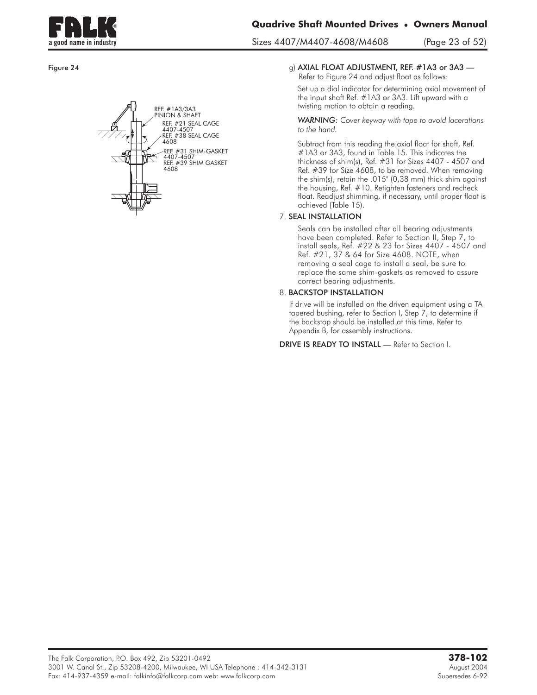

Sizes 4407/M4407-4608/M4608 (Page 23 of 52)



Figure 24 g) AXIAL FLOAT ADJUSTMENT, REF. #1A3 or 3A3 —

Refer to Figure 24 and adjust float as follows:

Set up a dial indicator for determining axial movement of the input shaft Ref. #1A3 or 3A3. Lift upward with a twisting motion to obtain a reading.

*WARNING: Cover keyway with tape to avoid lacerations to the hand.*

Subtract from this reading the axial float for shaft, Ref. #1A3 or 3A3, found in Table 15. This indicates the thickness of shim(s), Ref. #31 for Sizes 4407 - 4507 and Ref. #39 for Size 4608, to be removed. When removing the shim(s), retain the .015" (0,38 mm) thick shim against the housing, Ref. #10. Retighten fasteners and recheck float. Readjust shimming, if necessary, until proper float is achieved (Table 15).

#### 7. SEAL INSTALLATION

Seals can be installed after all bearing adjustments have been completed. Refer to Section II, Step 7, to install seals, Ref. #22 & 23 for Sizes 4407 - 4507 and Ref. #21, 37 & 64 for Size 4608. NOTE, when removing a seal cage to install a seal, be sure to replace the same shim-gaskets as removed to assure correct bearing adjustments.

#### 8. BACKSTOP INSTALLATION

If drive will be installed on the driven equipment using a TA tapered bushing, refer to Section I, Step 7, to determine if the backstop should be installed at this time. Refer to Appendix B, for assembly instructions.

DRIVE IS READY TO INSTALL — Refer to Section I.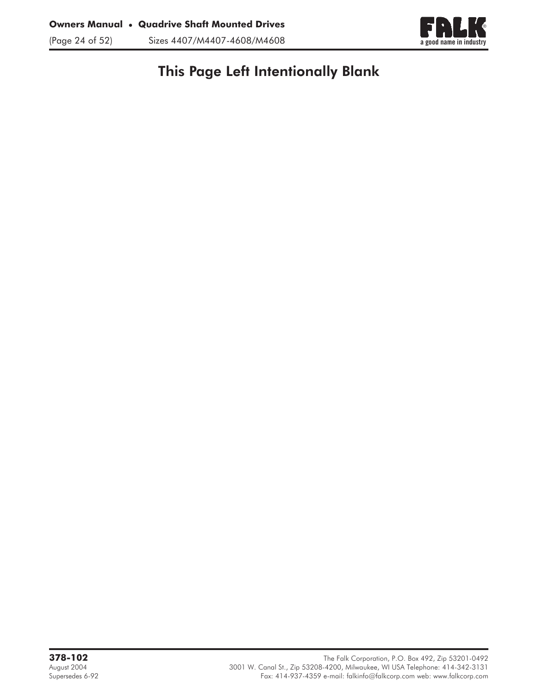

# **This Page Left Intentionally Blank**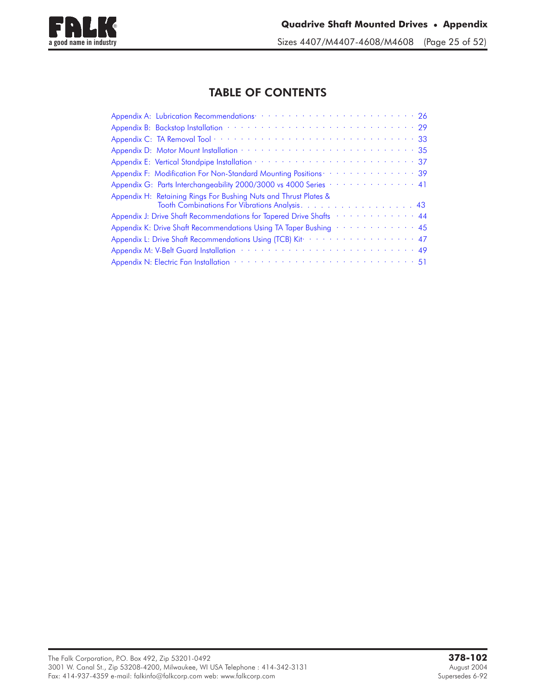

# **TABLE OF CONTENTS**

| Appendix A: Lubrication Recommendations with the state of the state of the state of the Appendix A:                |
|--------------------------------------------------------------------------------------------------------------------|
|                                                                                                                    |
|                                                                                                                    |
|                                                                                                                    |
|                                                                                                                    |
| Appendix F: Modification For Non-Standard Mounting Positions · · · · · · · · · · · · · · · 39                      |
| Appendix G: Parts Interchangeability 2000/3000 vs 4000 Series · · · · · · · · · · · · · · 41                       |
| Appendix H: Retaining Rings For Bushing Nuts and Thrust Plates &<br>Tooth Combinations For Vibrations Analysis. 43 |
| Appendix J: Drive Shaft Recommendations for Tapered Drive Shafts Fachient And Handard Add                          |
| Appendix K: Drive Shaft Recommendations Using TA Taper Bushing ············· 45                                    |
| Appendix L: Drive Shaft Recommendations Using (TCB) Kit ························· 47                               |
|                                                                                                                    |
|                                                                                                                    |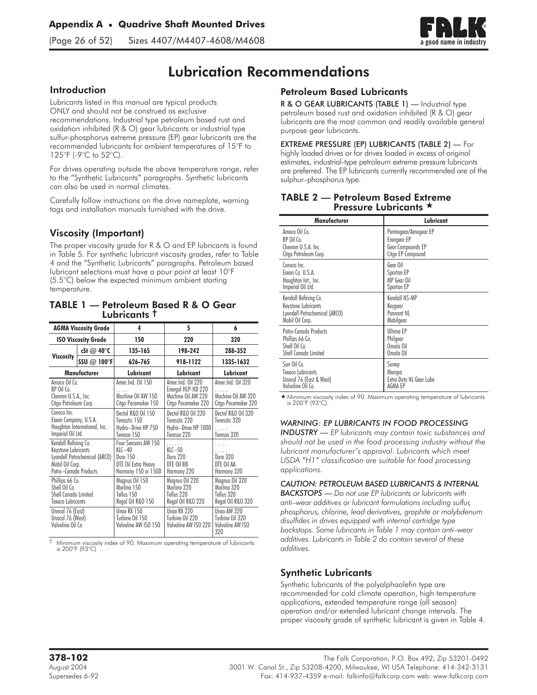

# **Lubrication Recommendations**

### **Introduction**

Lubricants listed in this manual are typical products ONLY and should not be construed as exclusive recommendations. Industrial type petroleum based rust and oxidation inhibited (R & O) gear lubricants or industrial type sulfur-phosphorus extreme pressure (EP) gear lubricants are the recommended lubricants for ambient temperatures of 15°F to 125°F (-9°C to 52°C).

For drives operating outside the above temperature range, refer to the "Synthetic Lubricants" paragraphs. Synthetic lubricants can also be used in normal climates.

Carefully follow instructions on the drive nameplate, warning tags and installation manuals furnished with the drive.

# Viscosity (Important)

The proper viscosity grade for R & O and EP lubricants is found in Table 5. For synthetic lubricant viscosity grades, refer to Table 4 and the "Synthetic Lubricants" paragraphs. Petroleum based lubricant selections must have a pour point at least 10°F (5.5°C) below the expected minimum ambient starting temperature.

|  | TABLE 1 — Petroleum Based R & O Gear |  |  |  |
|--|--------------------------------------|--|--|--|
|  | Lubricants <sup>†</sup>              |  |  |  |

| <b>AGMA Viscosity Grade</b>                                                                                              |                      | 4                                                                                          | 5                                                                                     | 6                                                                |  |
|--------------------------------------------------------------------------------------------------------------------------|----------------------|--------------------------------------------------------------------------------------------|---------------------------------------------------------------------------------------|------------------------------------------------------------------|--|
| <b>ISO Viscosity Grade</b>                                                                                               |                      | 150                                                                                        | 220                                                                                   | 320                                                              |  |
|                                                                                                                          | cSt @ 40 $\degree$ C | 135-165                                                                                    | 198-242                                                                               | 288-352                                                          |  |
| <b>Viscosity</b>                                                                                                         | SSU @ 100°F          | 626-765                                                                                    | 918-1122                                                                              | 1335-1632                                                        |  |
|                                                                                                                          | Manufacturer         | Lubricant                                                                                  | Lubricant                                                                             | Lubricant                                                        |  |
| Amoco Oil Co.<br>RP Oil Co<br>Chevron U.S.A., Inc.<br>Citgo Petroleum Corp.                                              |                      | Amer.Ind. Oil 150<br>Machine Oil AW 150<br>Citgo Pacemaker 150                             | Amer. Ind. Oil 220<br>Energol HLP-HD 220<br>Machine Oil AW 220<br>Citgo Pacemaker 220 | Amer.Ind. Oil 320<br>Machine Oil AW 320<br>Citgo Pacemaker 320   |  |
| Conoco Inc<br>Exxon Company, U.S.A.<br>Houghton International, Inc.<br>Imperial Oil Ltd.                                 |                      | Dectol R&O Oil 150<br>Teresstic 150<br>Hydro-Drive HP 750<br>Teresso 150                   | Dectol R&O Oil 220<br>Teresstic 220<br>Hydro-Drive HP 1000<br>Teresso 220             | Dectol R&O Oil 320<br>Teresstic 320<br>.<br>Teresso 320          |  |
| Kendall Refining Co.<br>Keystone Lubricants<br>Lyondell Petrochemical (ARCO)<br>Mobil Oil Corp.<br>Petro-Canada Products |                      | Four Seasons AW 150<br>KLC $-40$<br>Duro 150<br>DTE Oil Extra Heavy<br>Harmony 150 or 150D | $KLC-50$<br><b>Duro 220</b><br>DTE Oil BB<br>Harmony 220                              | <b>Duro 320</b><br>DTE Oil AA<br>Harmony 320                     |  |
| Phillips 66 Co.<br>Shell Oil Co.<br>Shell Canada Limited<br><b>Texaco Lubricants</b>                                     |                      | Magnus Oil 150<br>Morling 150<br>Tellus 150<br>Regal Oil R&O 150                           | Magnus Oil 220<br>Morling 220<br>Tellus 220<br>Regal Oil R&O 220                      | Magnus Oil 320<br>Morling 320<br>Tellus 320<br>Regal Oil R&O 320 |  |
| Unocal 76 (East)<br>Unocal 76 (West)<br>Valvoline Oil Co.                                                                |                      | <b>Unax RX 150</b><br>Turbine Oil 150<br>Valvoline AW ISO 150                              | Unax RX 220<br>Turbine Oil 220<br>Valvoline AW ISO 220                                | <b>Unnx AW 320</b><br>Turbine Oil 320<br>Valvoline AW ISO<br>320 |  |

† Minimum viscosity index of 90. Maximum operating temperature of lubricants is 200°F (93°C)

# Petroleum Based Lubricants

R & O GEAR LUBRICANTS (TABLE 1) - Industrial type petroleum based rust and oxidation inhibited (R & O) gear lubricants are the most common and readily available general purpose gear lubricants.

EXTREME PRESSURE (EP) LUBRICANTS (TABLE 2) — For highly loaded drives or for drives loaded in excess of original estimates, industrial-type petroleum extreme pressure lubricants are preferred. The EP lubricants currently recommended are of the sulphur–phosphorus type.

### TABLE 2 — Petroleum Based Extreme Pressure Lubricants  $\star$

| Manufacturer                  | Lubricant               |
|-------------------------------|-------------------------|
| Amoco Oil Co.                 | Permogear/Amogear EP    |
| BP Oil Co                     | Energear EP             |
| Chevron U.S.A. Inc.           | Gear Compounds EP       |
| Citgo Petroleum Corp.         | Citgo EP Compound       |
| Conoco Inc.                   | Gear Oil                |
| Exxon Co. U.S.A.              | Spartan EP              |
| Houghton Int., Inc.           | MP Gear Oil             |
| Imperial Oil Ltd.             | Spartan EP              |
| Kendall Refining Co.          | Kendall NS-MP           |
| Keystone Lubricants           | Keygear                 |
| Lyondell Petrochemical (ARCO) | Pennant NI              |
| Mobil Oil Corp.               | Mobilgear               |
| Petro-Canada Products         | <b>Ultima FP</b>        |
| Phillips 66 Co.               | Philgear                |
| Shell Oil Co.                 | Omala Oil               |
| Shell Canada Limited          | Omala Oil               |
| Sun Oil Co.                   | Sunep                   |
| <b>Texaco Lubricants</b>      | Meropa                  |
| Unocal 76 (East & West)       | Extra Duty NL Gear Lube |
| Valvoline Oil Co.             | AGMA FP                 |

 Minimum vixcosity index of 90. Maximum operating temperature of lubricants is 200°F (93°C).

#### *WARNING: EP LUBRICANTS IN FOOD PROCESSING*

*INDUSTRY — EP lubricants may contain toxic substances and should not be used in the food processing industry without the lubricant manufacturer's approval. Lubricants which meet USDA "H1" classification are suitable for food processing applications.*

#### *CAUTION: PETROLEUM BASED LUBRICANTS & INTERNAL*

*BACKSTOPS — Do not use EP lubricants or lubricants with anti–wear additives or lubricant formulations including sulfur, phosphorus, chlorine, lead derivatives, graphite or molybdenum disulfides in drives equipped with internal cartridge type backstops. Some lubricants in Table 1 may contain anti–wear additives. Lubricants in Table 2 do contain several of these additives.*

# Synthetic Lubricants

Synthetic lubricants of the polyalphaolefin type are recommended for cold climate operation, high temperature applications, extended temperature range (all season) operation and/or extended lubricant change intervals. The proper viscosity grade of synthetic lubricant is given in Table 4.

**378-102** The Falk Corporation, P.O. Box 492, Zip 53201-0492<br>3001 W. Canal St., Zip 53208-4200, Milwaukee, WI USA Telephone: 414-342-3131 3001 W. Canal St., Zip 53208-4200, Milwaukee, WI USA Telephone: 414-342-3131 Supersedes 6-92 Fax: 414-937-4359 e-mail: falkinfo@falkcorp.com web: www.falkcorp.com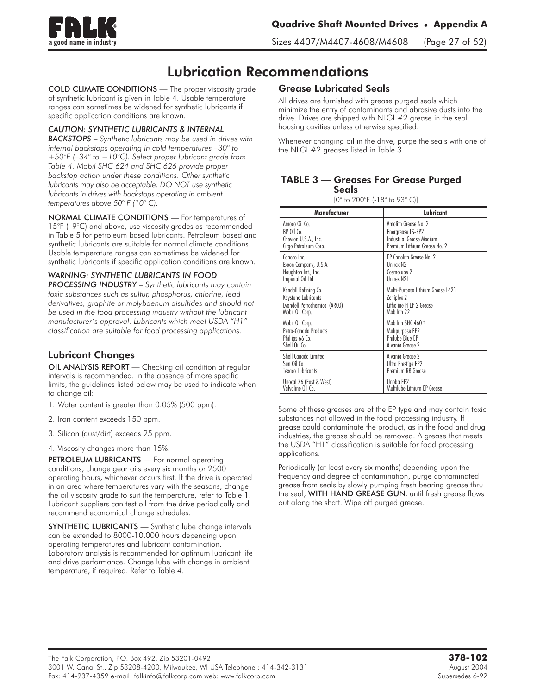

 $S = \frac{1}{2}$ 

# **Lubrication Recommendations**

COLD CLIMATE CONDITIONS — The proper viscosity grade of synthetic lubricant is given in Table 4. Usable temperature ranges can sometimes be widened for synthetic lubricants if specific application conditions are known.

*CAUTION: SYNTHETIC LUBRICANTS & INTERNAL BACKSTOPS – Synthetic lubricants may be used in drives with internal backstops operating in cold temperatures –30° to +50°F (–34° to +10°C). Select proper lubricant grade from Table 4. Mobil SHC 624 and SHC 626 provide proper backstop action under these conditions. Other synthetic*

*lubricants may also be acceptable. DO NOT use synthetic lubricants in drives with backstops operating in ambient temperatures above 50° F (10° C).*

NORMAL CLIMATE CONDITIONS — For temperatures of 15°F (–9°C) and above, use viscosity grades as recommended in Table 5 for petroleum based lubricants. Petroleum based and synthetic lubricants are suitable for normal climate conditions. Usable temperature ranges can sometimes be widened for synthetic lubricants if specific application conditions are known.

### *WARNING: SYNTHETIC LUBRICANTS IN FOOD*

*PROCESSING INDUSTRY – Synthetic lubricants may contain toxic substances such as sulfur, phosphorus, chlorine, lead derivatives, graphite or molybdenum disulfides and should not be used in the food processing industry without the lubricant manufacturer's approval. Lubricants which meet USDA "H1" classification are suitable for food processing applications.*

# Lubricant Changes

OIL ANALYSIS REPORT — Checking oil condition at regular intervals is recommended. In the absence of more specific limits, the guidelines listed below may be used to indicate when to change oil:

- 1. Water content is greater than 0.05% (500 ppm).
- 2. Iron content exceeds 150 ppm.
- 3. Silicon (dust/dirt) exceeds 25 ppm.
- 4. Viscosity changes more than 15%.

PETROLEUM LUBRICANTS - For normal operating conditions, change gear oils every six months or 2500 operating hours, whichever occurs first. If the drive is operated in an area where temperatures vary with the seasons, change the oil viscosity grade to suit the temperature, refer to Table 1. Lubricant suppliers can test oil from the drive periodically and recommend economical change schedules.

SYNTHETIC LUBRICANTS — Synthetic lube change intervals can be extended to 8000-10,000 hours depending upon operating temperatures and lubricant contamination. Laboratory analysis is recommended for optimum lubricant life and drive performance. Change lube with change in ambient temperature, if required. Refer to Table 4.

# Grease Lubricated Seals

All drives are furnished with grease purged seals which minimize the entry of contaminants and abrasive dusts into the drive. Drives are shipped with NLGI #2 grease in the seal housing cavities unless otherwise specified.

Whenever changing oil in the drive, purge the seals with one of the NLGI #2 greases listed in Table 3.

#### TABLE 3 — Greases For Grease Purged Seals

 $[0.0005, 1.001, 0.000]$ 

| $ U $ to $ZUU$ if $ - O $ to $93^\circ$ UI |                                   |  |  |  |
|--------------------------------------------|-----------------------------------|--|--|--|
| Manufacturer                               | Lubricant                         |  |  |  |
| Amoco Oil Co.                              | Amolith Grease No. 2              |  |  |  |
| BP Oil Co.                                 | Energrease LS-EP2                 |  |  |  |
| Chevron U.S.A., Inc.                       | <b>Industrial Grease Medium</b>   |  |  |  |
| Citgo Petroleum Corp.                      | Premium Lithium Grease No. 2      |  |  |  |
| Conoco Inc.                                | EP Conolith Grease No. 2          |  |  |  |
| Exxon Company, U.S.A.                      | <b>Unirex N2</b>                  |  |  |  |
| Houghton Int., Inc.                        | Cosmolube 2                       |  |  |  |
| Imperial Oil Ltd.                          | Unirex N2L                        |  |  |  |
| Kendall Refining Co.                       | Multi-Purpose Lithium Grease L421 |  |  |  |
| Keystone Lubricants                        | Zeniplex 2                        |  |  |  |
| Lyondell Petrochemical (ARCO)              | Litholine H EP 2 Grease           |  |  |  |
| Mobil Oil Corp.                            | Mobilith 22                       |  |  |  |
| Mobil Oil Corp.                            | Mobilith SHC 460 <sup>+</sup>     |  |  |  |
| Petro-Canada Products                      | Mulipurpose EP2                   |  |  |  |
| Phillips 66 Co.                            | Philube Blue EP                   |  |  |  |
| Shell Oil Co.                              | Alvania Grease 2                  |  |  |  |
| Shell Canada Limited                       | Alvania Grease 2                  |  |  |  |
| Sun Oil Co.                                | Ultra Prestige EP2                |  |  |  |
| Texaco Lubricants                          | Premium RB Grease                 |  |  |  |
| Unocal 76 (East & West)                    | Unoba EP2                         |  |  |  |
| Valvoline Oil Co.                          | Multilube Lithium EP Grease       |  |  |  |

Some of these greases are of the EP type and may contain toxic substances not allowed in the food processing industry. If grease could contaminate the product, as in the food and drug industries, the grease should be removed. A grease that meets the USDA "H1" classification is suitable for food processing applications.

Periodically (at least every six months) depending upon the frequency and degree of contamination, purge contaminated grease from seals by slowly pumping fresh bearing grease thru the seal, WITH HAND GREASE GUN, until fresh grease flows out along the shaft. Wipe off purged grease.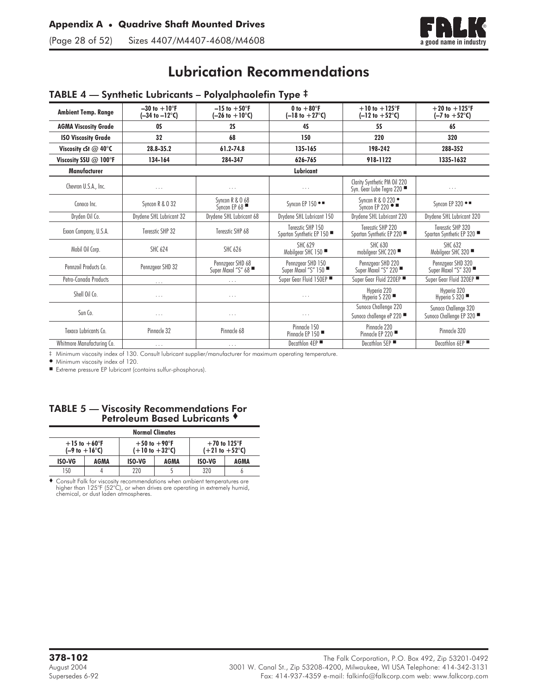

# **Lubrication Recommendations**

| <b>Ambient Temp. Range</b>  | $-30$ to $+10$ <sup>o</sup> F | $-15$ to $+50^{\circ}$ F                 | 0 to $+80^\circ$ F                            | $+10$ to $+125^{\circ}$ F                                | $+20$ to $+125^{\circ}$ F                     |
|-----------------------------|-------------------------------|------------------------------------------|-----------------------------------------------|----------------------------------------------------------|-----------------------------------------------|
|                             | $(-34 to -12^{\circ}C)$       | $(-26 \text{ to } +10^{\circ} \text{C})$ | $(-18 \text{ to } +27^{\circ} \text{C})$      | $(-12 \text{ to } +52^{\circ}C)$                         | $(-7 \text{ to } +52^{\circ} \text{C})$       |
| <b>AGMA Viscosity Grade</b> | OS                            | 2S                                       | 4S                                            | <b>5S</b>                                                | <b>6S</b>                                     |
| <b>ISO Viscosity Grade</b>  | 32                            | 68                                       | 150                                           | 220                                                      | 320                                           |
| Viscosity cSt $@$ 40 $°C$   | 28.8-35.2                     | 61.2-74.8                                | 135-165                                       | 198-242                                                  | 288-352                                       |
| Viscosity SSU @ 100°F       | 134-164                       | 284-347                                  | 626-765                                       | 918-1122                                                 | 1335-1632                                     |
| Manufacturer                |                               |                                          | Lubricant                                     |                                                          |                                               |
| Chevron U.S.A., Inc.        | $\cdots$                      | $\cdots$                                 | $\cdots$                                      | Clarity Synthetic PM Oil 220<br>Syn. Gear Lube Tegra 220 | $\cdots$                                      |
| Conoco Inc.                 | <b>Syncon R &amp; O 32</b>    | Syncon R & O 68<br>Syncon EP 68          | Syncon EP 150 •                               | Syncon R & 0 220 ●<br>Syncon EP 220 ●■                   | Syncon EP 320 •■                              |
| Dryden Oil Co.              | Drydene SHL Lubricant 32      | Drydene SHL Lubricant 68                 | Drydene SHL Lubricant 150                     | Drydene SHL Lubricant 220                                | Drydene SHL Lubricant 320                     |
| Exxon Company, U.S.A.       | Teresstic SHP 32              | Teresstic SHP 68                         | Teresstic SHP 150<br>Spartan Synthetic EP 150 | Teresstic SHP 220<br>Spartan Synthetic EP 220            | Teresstic SHP 320<br>Spartan Synthetic EP 320 |
| Mobil Oil Corp.             | <b>SHC 624</b>                | <b>SHC 626</b>                           | SHC 629<br>Mobilgear SHC 150                  | <b>SHC 630</b><br>mobilgear SHC 220                      | SHC 632<br>Mobilgear SHC 320                  |
| Pennzoil Products Co.       | Pennzgear SHD 32              | Pennzgear SHD 68<br>Super Maxol "S" 68   | Pennzgear SHD 150<br>Super Maxol "S" 150      | Pennzgear SHD 220<br>Super Maxol "S" 220                 | Pennzgear SHD 320<br>Super Maxol "S" 320      |
| Petro-Canada Products       |                               | $\cdots$                                 | Super Gear Fluid 150EP                        | Super Gear Fluid 220EP                                   | Super Gear Fluid 320EP                        |
| Shell Oil Co.               | $\cdots$                      | $\cdots$                                 | $\cdots$                                      | Hyperia 220<br>Hyperia S 220                             | Hyperia 320<br>Hyperia S 320                  |
|                             |                               |                                          |                                               | Sunoco Challenge 220                                     | Sunoco Challenge 320                          |
| Sun Co.                     | $\cdots$                      | $\cdots$                                 | $\cdots$                                      | Sunoco challenge eP 220                                  | Sunoco Challenge EP 320                       |
| Texaco Lubricants Co.       | Pinnacle 32                   | Pinnacle 68                              | Pinnacle 150<br>Pinnacle EP 150               | Pinnacle 220<br>Pinnacle EP 220                          | Pinnacle 320                                  |
| Whitmore Manufacturing Co.  | $\cdots$                      | .                                        | Decathlon 4EP ■                               | Decathlon 5EP                                            | Decathlon 6EP <sup>■</sup>                    |

## TABLE 4 — Synthetic Lubricants – Polyalphaolefin Type ‡

‡ Minimum viscosity index of 130. Consult lubricant supplier/manufacturer for maximum operating temperature.

 $\bullet$  Minimum viscosity index of 120.

Extreme pressure EP lubricant (contains sulfur-phosphorus).

# TABLE 5 — Viscosity Recommendations For Petroleum Based Lubricants +

| <b>Normal Climates</b>                                                                                                                                                                               |      |               |      |               |      |  |  |  |
|------------------------------------------------------------------------------------------------------------------------------------------------------------------------------------------------------|------|---------------|------|---------------|------|--|--|--|
| $+70$ to 125 $\degree$ F<br>$+15$ to $+60^{\circ}$ F<br>$+50$ to $+90^{\circ}$ F<br>$(-9 \text{ to } +16^{\circ}\text{C})$<br>$(+21$ to $+52^{\circ}$ C)<br>$(+10 \text{ to } +32^{\circ} \text{C})$ |      |               |      |               |      |  |  |  |
| <b>ISO-VG</b>                                                                                                                                                                                        | AGMA | <b>ISO-VG</b> | AGMA | <b>ISO-VG</b> | AGMA |  |  |  |
| 150                                                                                                                                                                                                  |      | 220           |      | 320           |      |  |  |  |

Consult Falk for viscosity recommendations when ambient temperatures are higher than 125°F (52°C), or when drives are operating in extremely humid, chemical, or dust laden atmospheres.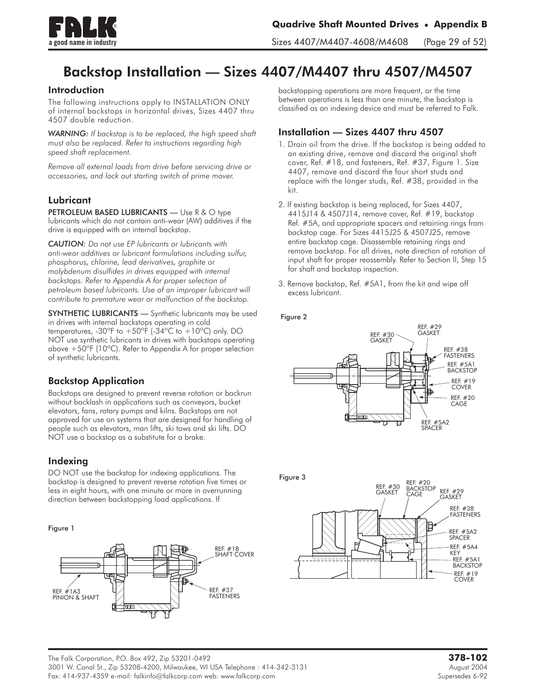

 $S = \frac{1}{2}$ 

# **Backstop Installation — Sizes 4407/M4407 thru 4507/M4507**

### **Introduction**

The following instructions apply to INSTALLATION ONLY of internal backstops in horizontal drives, Sizes 4407 thru 4507 double reduction.

*WARNING: If backstop is to be replaced, the high speed shaft must also be replaced. Refer to instructions regarding high speed shaft replacement.*

*Remove all external loads from drive before servicing drive or accessories, and lock out starting switch of prime mover.*

# Lubricant

PETROLEUM BASED LUBRICANTS - Use R & O type lubricants which do not contain anti-wear (AW) additives if the drive is equipped with an internal backstop.

*CAUTION: Do not use EP lubricants or lubricants with anti-wear additives or lubricant formulations including sulfur, phosphorus, chlorine, lead derivatives, graphite or molybdenum disulfides in drives equipped with internal backstops. Refer to Appendix A for proper selection of petroleum based lubricants. Use of an improper lubricant will contribute to premature wear or malfunction of the backstop.*

SYNTHETIC LUBRICANTS - Synthetic lubricants may be used in drives with internal backstops operating in cold temperatures,  $-30^{\circ}F$  to  $+50^{\circ}F$  ( $-34^{\circ}C$  to  $+10^{\circ}C$ ) only. DO NOT use synthetic lubricants in drives with backstops operating above +50ºF (10ºC). Refer to Appendix A for proper selection of synthetic lubricants.

# **Backstop Application**

Backstops are designed to prevent reverse rotation or backrun without backlash in applications such as conveyors, bucket elevators, fans, rotary pumps and kilns. Backstops are not approved for use on systems that are designed for handling of people such as elevators, man lifts, ski tows and ski lifts. DO NOT use a backstop as a substitute for a brake.

# **Indexing**

DO NOT use the backstop for indexing applications. The backstop is designed to prevent reverse rotation five times or less in eight hours, with one minute or more in overrunning direction between backstopping load applications. If

#### Figure 1



backstopping operations are more frequent, or the time between operations is less than one minute, the backstop is classified as an indexing device and must be referred to Falk.

# Installation — Sizes 4407 thru 4507

- 1. Drain oil from the drive. If the backstop is being added to an existing drive, remove and discard the original shaft cover, Ref. #18, and fasteners, Ref. #37, Figure 1. Size 4407, remove and discard the four short studs and replace with the longer studs, Ref. #38, provided in the kit.
- 2. If existing backstop is being replaced, for Sizes 4407, 4415J14 & 4507J14, remove cover, Ref. #19, backstop Ref. #5A, and appropriate spacers and retaining rings from backstop cage. For Sizes 4415J25 & 4507J25, remove entire backstop cage. Disassemble retaining rings and remove backstop. For all drives, note direction of rotation of input shaft for proper reassembly. Refer to Section II, Step 15 for shaft and backstop inspection.
- 3. Remove backstop, Ref. #5A1, from the kit and wipe off excess lubricant.



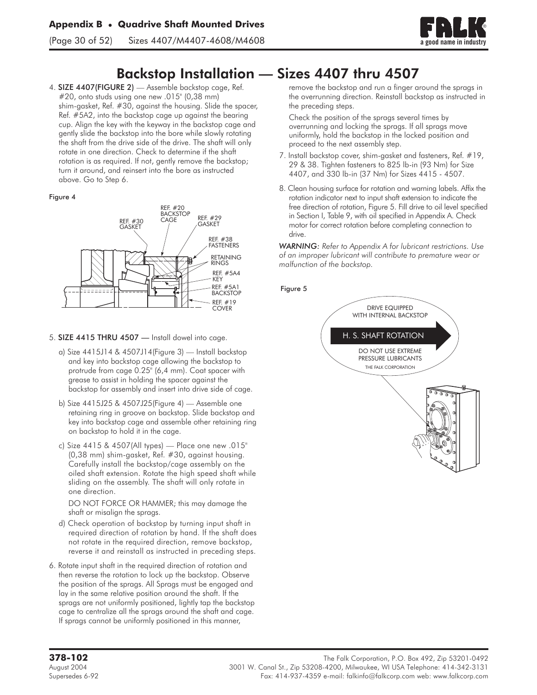

4. SIZE 4407(FIGURE 2) — Assemble backstop cage, Ref. #20, onto studs using one new .015" (0,38 mm) shim-gasket, Ref. #30, against the housing. Slide the spacer, Ref. #5A2, into the backstop cage up against the bearing cup. Align the key with the keyway in the backstop cage and gently slide the backstop into the bore while slowly rotating the shaft from the drive side of the drive. The shaft will only rotate in one direction. Check to determine if the shaft rotation is as required. If not, gently remove the backstop; turn it around, and reinsert into the bore as instructed above. Go to Step 6.

#### Figure 4



5. SIZE 4415 THRU 4507 — Install dowel into cage.

- a) Size 4415J14 & 4507J14(Figure 3) Install backstop and key into backstop cage allowing the backstop to protrude from cage 0.25" (6,4 mm). Coat spacer with grease to assist in holding the spacer against the backstop for assembly and insert into drive side of cage.
- b) Size 4415J25 & 4507J25(Figure 4) Assemble one retaining ring in groove on backstop. Slide backstop and key into backstop cage and assemble other retaining ring on backstop to hold it in the cage.
- c) Size 4415 & 4507(All types) Place one new .015" (0,38 mm) shim-gasket, Ref. #30, against housing. Carefully install the backstop/cage assembly on the oiled shaft extension. Rotate the high speed shaft while sliding on the assembly. The shaft will only rotate in one direction.

DO NOT FORCE OR HAMMER; this may damage the shaft or misalign the sprags.

- d) Check operation of backstop by turning input shaft in required direction of rotation by hand. If the shaft does not rotate in the required direction, remove backstop, reverse it and reinstall as instructed in preceding steps.
- 6. Rotate input shaft in the required direction of rotation and then reverse the rotation to lock up the backstop. Observe the position of the sprags. All Sprags must be engaged and lay in the same relative position around the shaft. If the sprags are not uniformly positioned, lightly tap the backstop cage to centralize all the sprags around the shaft and cage. If sprags cannot be uniformly positioned in this manner,

# **Backstop Installation — Sizes 4407 thru 4507**

remove the backstop and run a finger around the sprags in the overrunning direction. Reinstall backstop as instructed in the preceding steps.

Check the position of the sprags several times by overrunning and locking the sprags. If all sprags move uniformly, hold the backstop in the locked position and proceed to the next assembly step.

- 7. Install backstop cover, shim-gasket and fasteners, Ref. #19, 29 & 38. Tighten fasteners to 825 lb-in (93 Nm) for Size 4407, and 330 lb-in (37 Nm) for Sizes 4415 - 4507.
- 8. Clean housing surface for rotation and warning labels. Affix the rotation indicator next to input shaft extension to indicate the free direction of rotation, Figure 5. Fill drive to oil level specified in Section I, Table 9, with oil specified in Appendix A. Check motor for correct rotation before completing connection to drive.

*WARNING: Refer to Appendix A for lubricant restrictions. Use of an improper lubricant will contribute to premature wear or malfunction of the backstop.*

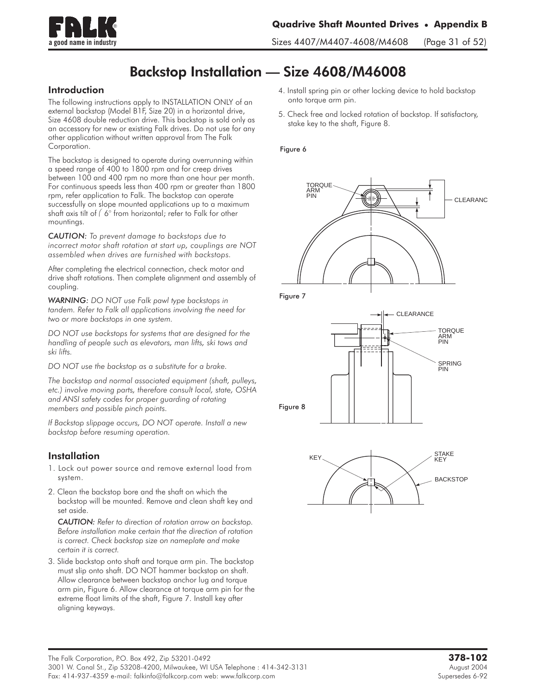

 $S = \frac{1}{2}$ 

# Backstop Installation — Size 4608/M46008

### Introduction

The following instructions apply to INSTALLATION ONLY of an external backstop (Model B1F, Size 20) in a horizontal drive, Size 4608 double reduction drive. This backstop is sold only as an accessory for new or existing Falk drives. Do not use for any other application without written approval from The Falk Corporation.

The backstop is designed to operate during overrunning within a speed range of 400 to 1800 rpm and for creep drives between 100 and 400 rpm no more than one hour per month. For continuous speeds less than 400 rpm or greater than 1800 rpm, refer application to Falk. The backstop can operate successfully on slope mounted applications up to a maximum shaft axis tilt of  $\int$  6° from horizontal; refer to Falk for other mountings.

*CAUTION: To prevent damage to backstops due to incorrect motor shaft rotation at start up, couplings are NOT assembled when drives are furnished with backstops.*

After completing the electrical connection, check motor and drive shaft rotations. Then complete alignment and assembly of coupling.

*WARNING: DO NOT use Falk pawl type backstops in tandem. Refer to Falk all applications involving the need for two or more backstops in one system.*

*DO NOT use backstops for systems that are designed for the handling of people such as elevators, man lifts, ski tows and ski lifts.*

*DO NOT use the backstop as a substitute for a brake.*

*The backstop and normal associated equipment (shaft, pulleys, etc.) involve moving parts, therefore consult local, state, OSHA and ANSI safety codes for proper guarding of rotating members and possible pinch points.*

*If Backstop slippage occurs, DO NOT operate. Install a new backstop before resuming operation.*

# **Installation**

- 1. Lock out power source and remove external load from system.
- 2. Clean the backstop bore and the shaft on which the backstop will be mounted. Remove and clean shaft key and set aside.

*CAUTION: Refer to direction of rotation arrow on backstop. Before installation make certain that the direction of rotation is correct. Check backstop size on nameplate and make certain it is correct.*

3. Slide backstop onto shaft and torque arm pin. The backstop must slip onto shaft. DO NOT hammer backstop on shaft. Allow clearance between backstop anchor lug and torque arm pin, Figure 6. Allow clearance at torque arm pin for the extreme float limits of the shaft, Figure 7. Install key after aligning keyways.

- 4. Install spring pin or other locking device to hold backstop onto torque arm pin.
- 5. Check free and locked rotation of backstop. If satisfactory, stake key to the shaft, Figure 8.

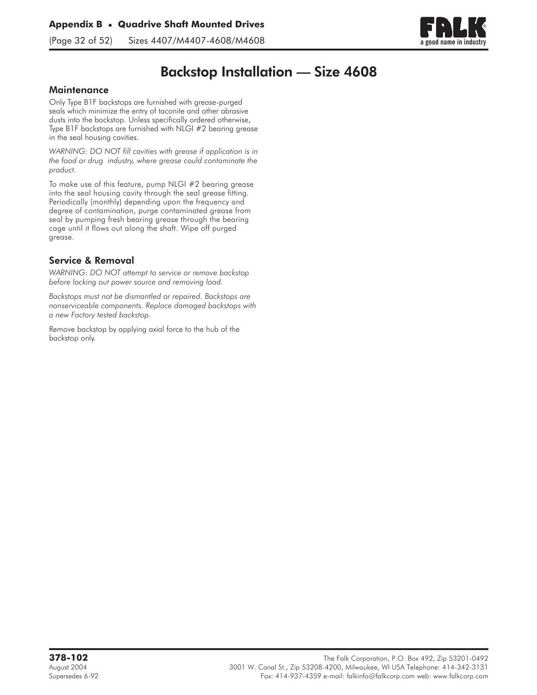

# Backstop Installation — Size 4608

## **Maintenance**

Only Type B1F backstops are furnished with grease-purged seals which minimize the entry of taconite and other abrasive dusts into the backstop. Unless specifically ordered otherwise, Type B1F backstops are furnished with NLGI #2 bearing grease in the seal housing cavities.

*WARNING: DO NOT fill cavities with grease if application is in the food or drug industry, where grease could contaminate the product.*

To make use of this feature, pump NLGI #2 bearing grease into the seal housing cavity through the seal grease fitting. Periodically (monthly) depending upon the frequency and degree of contamination, purge contaminated grease from seal by pumping fresh bearing grease through the bearing cage until it flows out along the shaft. Wipe off purged grease.

# Service & Removal

*WARNING: DO NOT attempt to service or remove backstop before locking out power source and removing load.*

*Backstops must not be dismantled or repaired. Backstops are nonserviceable components. Replace damaged backstops with a new Factory tested backstop.*

Remove backstop by applying axial force to the hub of the backstop only.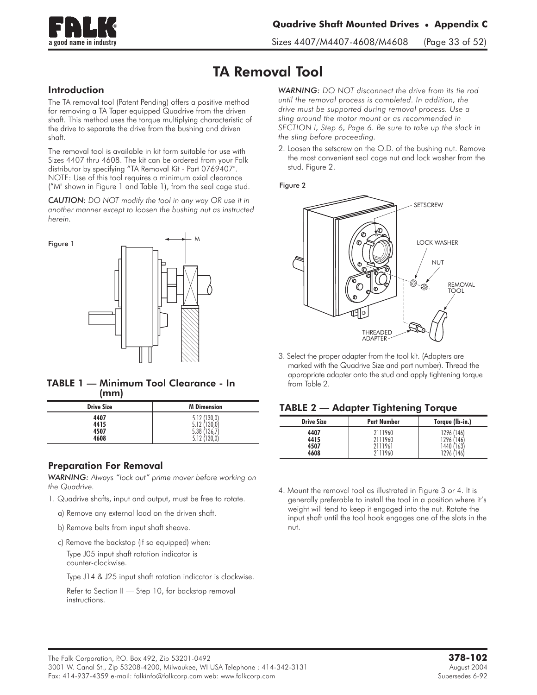

 $S = \frac{1}{2}$ 

# TA Removal Tool

### Introduction

The TA removal tool (Patent Pending) offers a positive method for removing a TA Taper equipped Quadrive from the driven shaft. This method uses the torque multiplying characteristic of the drive to separate the drive from the bushing and driven shaft.

The removal tool is available in kit form suitable for use with Sizes 4407 thru 4608. The kit can be ordered from your Falk distributor by specifying **"TA Removal Kit - Part 0769407"**. NOTE: Use of this tool requires a minimum axial clearance ("M" shown in Figure 1 and Table 1), from the seal cage stud.

*CAUTION: DO NOT modify the tool in any way OR use it in another manner except to loosen the bushing nut as instructed herein.*



TABLE 1 — Minimum Tool Clearance - In (mm)

| <b>Drive Size</b>            | <b>M</b> Dimension                         |  |  |
|------------------------------|--------------------------------------------|--|--|
| 4407<br>4415<br>4507<br>4608 | 5.12(130,0)<br>5.12 (130,0)<br>5.38 (136,7 |  |  |

### Preparation For Removal

*WARNING: Always "lock out" prime mover before working on the Quadrive.*

- 1. Quadrive shafts, input and output, must be free to rotate.
	- a) Remove any external load on the driven shaft.
	- b) Remove belts from input shaft sheave.
	- c) Remove the backstop (if so equipped) when:

Type J05 input shaft rotation indicator is counter-clockwise.

Type J14 & J25 input shaft rotation indicator is clockwise.

Refer to Section II — Step 10, for backstop removal instructions.

*WARNING: DO NOT disconnect the drive from its tie rod until the removal process is completed. In addition, the drive must be supported during removal process. Use a sling around the motor mount or as recommended in SECTION I, Step 6, Page 6. Be sure to take up the slack in the sling before proceeding.*

2. Loosen the setscrew on the O.D. of the bushing nut. Remove the most convenient seal cage nut and lock washer from the stud. Figure 2.

#### Figure 2



3. Select the proper adapter from the tool kit. (Adapters are marked with the Quadrive Size and part number). Thread the appropriate adapter onto the stud and apply tightening torque from Table 2.

### TABLE 2 — Adapter Tightening Torque

| <b>Drive Size</b>            | <b>Part Number</b>                       | Torque (Ib-in.)                                         |  |
|------------------------------|------------------------------------------|---------------------------------------------------------|--|
| 4407<br>4415<br>4507<br>4608 | 2111960<br>2111960<br>2111961<br>2111960 | 1296 (146)<br>1296 (146)<br>1440 (163)<br>1296<br>(146) |  |

4. Mount the removal tool as illustrated in Figure 3 or 4. It is generally preferable to install the tool in a position where it's weight will tend to keep it engaged into the nut. Rotate the input shaft until the tool hook engages one of the slots in the nut.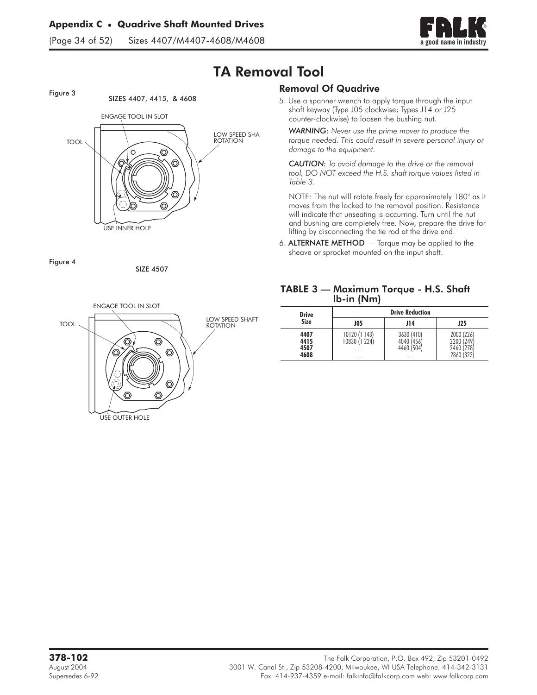$\frac{1}{2}$ 

® **a good name in industry**

# **T**A Removal Tool









# Removal Of Quadrive

5. Use a spanner wrench to apply torque through the input shaft keyway (Type J05 clockwise; Types J14 or J25 counter-clockwise) to loosen the bushing nut.

*WARNING: Never use the prime mover to produce the torque needed. This could result in severe personal injury or damage to the equipment.*

*CAUTION: To avoid damage to the drive or the removal tool, DO NOT exceed the H.S. shaft torque values listed in Table 3.*

NOTE: The nut will rotate freely for approximately 180° as it moves from the locked to the removal position. Resistance will indicate that unseating is occurring. Turn until the nut and bushing are completely free. Now, prepare the drive for lifting by disconnecting the tie rod at the drive end.

6. ALTERNATE METHOD — Torque may be applied to the sheave or sprocket mounted on the input shaft.

### TABLE 3 — Maximum Torque - H.S. Shaft lb-in (Nm)

| <b>Drive</b>                 | <b>Drive Reduction</b>                   |                                             |                                                      |  |  |
|------------------------------|------------------------------------------|---------------------------------------------|------------------------------------------------------|--|--|
| <b>Size</b>                  | JO5                                      | J14                                         | J25                                                  |  |  |
| 4407<br>4415<br>4507<br>4608 | 10120 (1 143)<br>10830 (1 224)<br>.<br>. | 3630 (410)<br>4040 (456)<br>4460 (504)<br>. | 2000 (226)<br>2200 (249)<br>2460 (278)<br>2860 (323) |  |  |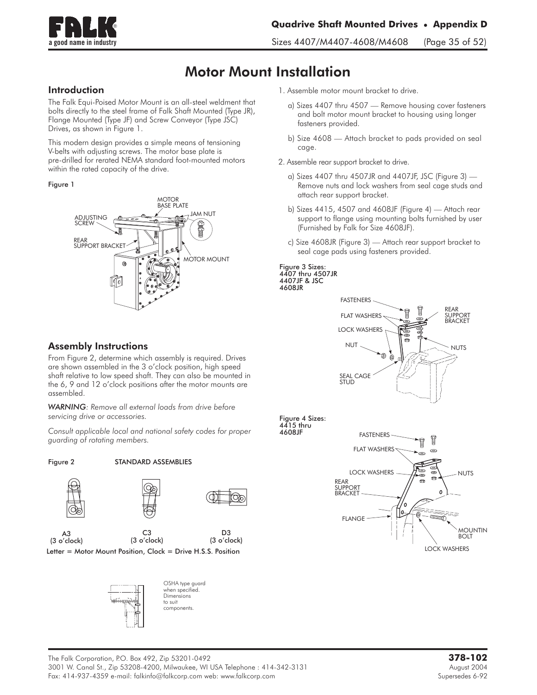

 $S = \frac{1}{2}$ 

# Motor Mount Installation

### Introduction

The Falk Equi-Poised Motor Mount is an all-steel weldment that bolts directly to the steel frame of Falk Shaft Mounted (Type JR), Flange Mounted (Type JF) and Screw Conveyor (Type JSC) Drives, as shown in Figure 1.

This modern design provides a simple means of tensioning V-belts with adjusting screws. The motor base plate is pre-drilled for rerated NEMA standard foot-mounted motors within the rated capacity of the drive.

Figure 1



# Assembly Instructions

From Figure 2, determine which assembly is required. Drives are shown assembled in the 3 o'clock position, high speed shaft relative to low speed shaft. They can also be mounted in the 6, 9 and 12 o'clock positions after the motor mounts are assembled.

*WARNING: Remove all external loads from drive before servicing drive or accessories.*

*Consult applicable local and national safety codes for proper guarding of rotating members.*

#### Figure 2 STANDARD ASSEMBLIES



Letter = Motor Mount Position, Clock = Drive H.S.S. Position



OSHA type guard when specified. Dimensions to suit components.

- 1. Assemble motor mount bracket to drive.
	- a) Sizes 4407 thru 4507 Remove housing cover fasteners and bolt motor mount bracket to housing using longer fasteners provided.
	- b) Size 4608 Attach bracket to pads provided on seal cage.
- 2. Assemble rear support bracket to drive.
	- a) Sizes 4407 thru 4507JR and 4407JF, JSC (Figure 3) Remove nuts and lock washers from seal cage studs and attach rear support bracket.
	- b) Sizes 4415, 4507 and 4608JF (Figure 4) Attach rear support to flange using mounting bolts furnished by user (Furnished by Falk for Size 4608JF).
	- c) Size 4608JR (Figure 3) Attach rear support bracket to seal cage pads using fasteners provided.







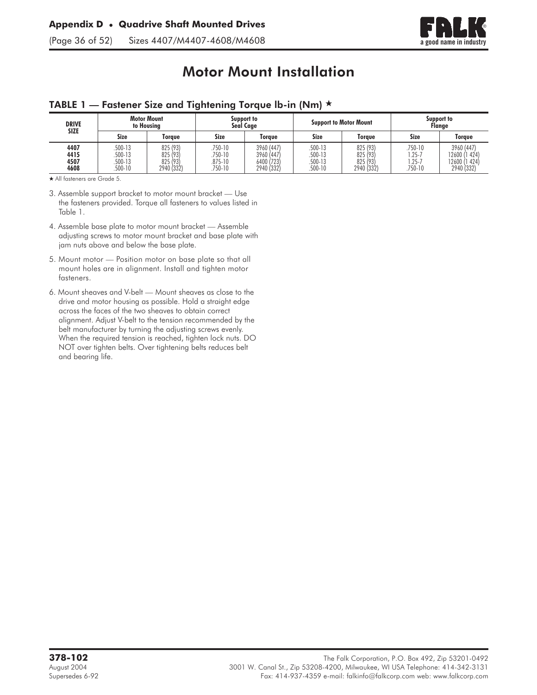

# **Motor Mount Installation**

| <b>DRIVE</b>                 |                                        | <b>Motor Mount</b><br>Support to<br><b>Support to Motor Mount</b><br>to Housina<br>Seal Caae |                                           |                                                      |                                                | Support to<br>Flange                           |                                         |                                                            |
|------------------------------|----------------------------------------|----------------------------------------------------------------------------------------------|-------------------------------------------|------------------------------------------------------|------------------------------------------------|------------------------------------------------|-----------------------------------------|------------------------------------------------------------|
| <b>SIZE</b>                  | Size                                   | Torave                                                                                       | <b>Size</b>                               | Torave                                               | <b>Size</b>                                    | Torave                                         | <b>Size</b>                             | Torave                                                     |
| 4407<br>4415<br>4507<br>4608 | 500-13<br>.500-13<br>.500-13<br>500-10 | 825 (93)<br>825 (93)<br>825 (93)<br>2940 (332)                                               | 750-10<br>750-10<br>$.875 - 10$<br>750-10 | 3960 (447)<br>3960 (447)<br>6400 (723)<br>2940 (332) | 500-13<br>$.500 - 13$<br>$.500 - 13$<br>500-10 | 825 (93)<br>825 (93)<br>825 (93)<br>2940 (332) | .750-10<br>$.25 -$<br>$.25 -$<br>750-10 | 3960 (447)<br>12600 (1 424)<br>12600 (1 424)<br>2940 (332) |

### TABLE 1 — Fastener Size and Tightening Torque Ib-in (Nm)  $\star$

All fasteners are Grade 5.

3. Assemble support bracket to motor mount bracket — Use the fasteners provided. Torque all fasteners to values listed in Table 1.

- 4. Assemble base plate to motor mount bracket Assemble adjusting screws to motor mount bracket and base plate with jam nuts above and below the base plate.
- 5. Mount motor Position motor on base plate so that all mount holes are in alignment. Install and tighten motor fasteners.
- 6. Mount sheaves and V-belt Mount sheaves as close to the drive and motor housing as possible. Hold a straight edge across the faces of the two sheaves to obtain correct alignment. Adjust V-belt to the tension recommended by the belt manufacturer by turning the adjusting screws evenly. When the required tension is reached, tighten lock nuts. DO NOT over tighten belts. Over tightening belts reduces belt and bearing life.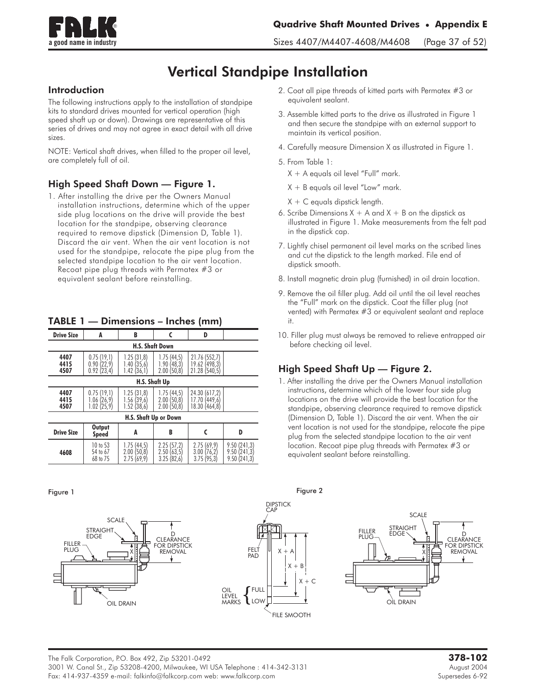$S = \frac{1}{2}$ 

# Vertical Standpipe Installatio**n**

## Introduction

The following instructions apply to the installation of standpipe kits to standard drives mounted for vertical operation (high speed shaft up or down). Drawings are representative of this series of drives and may not agree in exact detail with all drive sizes.

NOTE: Vertical shaft drives, when filled to the proper oil level, are completely full of oil.

# High Speed Shaft Down — Figure 1.

1. After installing the drive per the Owners Manual installation instructions, determine which of the upper side plug locations on the drive will provide the best location for the standpipe, observing clearance required to remove dipstick (Dimension D, Table 1). Discard the air vent. When the air vent location is not used for the standpipe, relocate the pipe plug from the selected standpipe location to the air vent location. Recoat pipe plug threads with Permatex #3 or equivalent sealant before reinstalling.

| TABLE 1 - Dimensions - Inches (mm) |                                        |                                        |                                        |                                                 |                                           |  |  |
|------------------------------------|----------------------------------------|----------------------------------------|----------------------------------------|-------------------------------------------------|-------------------------------------------|--|--|
| <b>Drive Size</b>                  | A                                      | B                                      | C                                      | D                                               |                                           |  |  |
|                                    |                                        |                                        | <b>H.S. Shaft Down</b>                 |                                                 |                                           |  |  |
| 4407<br>4415<br>4507               | 0.75(19,1)<br>0.90(22,9)<br>0.92(23,4) | 1.25(31.8)<br>1.40(35,6)<br>1.42(36,1) | 1.75(44,5)<br>1.90(48,3)<br>2.00(50,8) | 21.76 (552,7)<br>19.62 (498,3)<br>21.28(540,5)  |                                           |  |  |
|                                    | <b>H.S. Shaft Up</b>                   |                                        |                                        |                                                 |                                           |  |  |
| 4407<br>4415<br>4507               | 0.75(19,1)<br>1.06(26.9)<br>1.02(25,9) | 1.25(31.8)<br>1.56(39,6)<br>1.52(38,6) | 1.75(44.5)<br>2.00(50,8)<br>2.00(50,8) | 24.30 (617,2)<br>17.70 (449,6)<br>18.30 (464,8) |                                           |  |  |
|                                    |                                        |                                        | <b>H.S. Shaft Up or Down</b>           |                                                 |                                           |  |  |
| <b>Drive Size</b>                  | Output<br><b>Speed</b>                 | A                                      | B                                      | C                                               | D                                         |  |  |
| 4608                               | 10 to 53<br>54 to 67<br>68 to 75       | 1.75(44.5)<br>2.00(50,8)<br>2.75(69.9) | 2.25(57,2)<br>2.50(63,5)<br>3.25(82,6) | 2.75(69,9)<br>3.00(76,2)<br>3.75(95,3)          | 9.50(241,3)<br>9.50(241,3)<br>9.50(241,3) |  |  |

Figure 1



DIPSTICK<br>CAP  $\bar{\mathcal{E}}$ FELT<br>PAD  $\mathbb{Z}+\mathbb{Z}$  $X + B$  $X_{\rm eff}$  $\times$ .<br>EULI OIL<br>LEVEL MARKS LOW

Figure 2

- 2. Coat all pipe threads of kitted parts with Permatex #3 or equivalent sealant.
- 3. Assemble kitted parts to the drive as illustrated in Figure 1 and then secure the standpipe with an external support to maintain its vertical position.
- 4. Carefully measure Dimension X as illustrated in Figure 1.
- 5. From Table 1:
	- $X + A$  equals oil level "Full" mark.
	- $X + B$  equals oil level "Low" mark.

 $X + C$  equals dipstick length.

- 6. Scribe Dimensions  $X + A$  and  $X + B$  on the dipstick as illustrated in Figure 1. Make measurements from the felt pad in the dipstick cap.
- 7. Lightly chisel permanent oil level marks on the scribed lines and cut the dipstick to the length marked. File end of dipstick smooth.
- 8. Install magnetic drain plug (furnished) in oil drain location.
- 9. Remove the oil filler plug. Add oil until the oil level reaches the "Full" mark on the dipstick. Coat the filler plug (not vented) with Permatex #3 or equivalent sealant and replace it.
- 10. Filler plug must always be removed to relieve entrapped air before checking oil level.

# High Speed Shaft Up — Figure 2.

1. After installing the drive per the Owners Manual installation instructions, determine which of the lower four side plug locations on the drive will provide the best location for the standpipe, observing clearance required to remove dipstick (Dimension D, Table 1). Discard the air vent. When the air vent location is not used for the standpipe, relocate the pipe plug from the selected standpipe location to the air vent location. Recoat pipe plug threads with Permatex #3 or equivalent sealant before reinstalling.

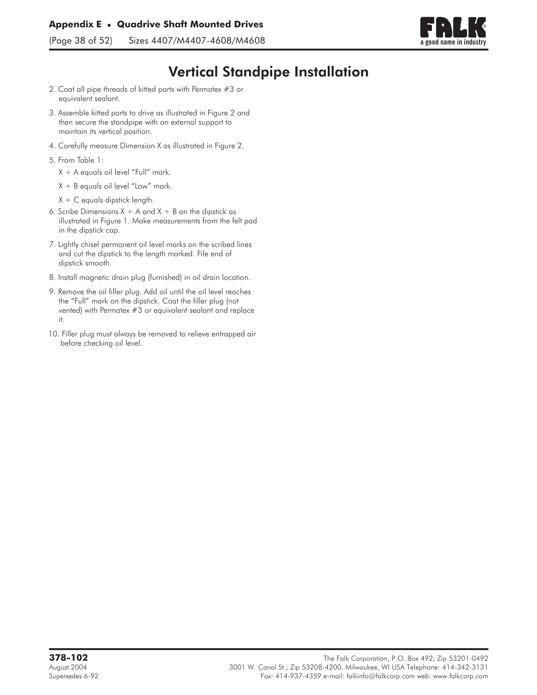$\frac{1}{2}$ 

® **a good name in industry**

# Vertical Standpipe Installatio**n**

- 2. Coat all pipe threads of kitted parts with Permatex #3 or equivalent sealant.
- 3. Assemble kitted parts to drive as illustrated in Figure 2 and then secure the standpipe with an external support to maintain its vertical position.
- 4. Carefully measure Dimension X as illustrated in Figure 2.
- 5. From Table 1:
	- $X + A$  equals oil level "Full" mark.
	- $X + B$  equals oil level "Low" mark.
	- $X + C$  equals dipstick length.
- 6. Scribe Dimensions  $X + A$  and  $X + B$  on the dipstick as illustrated in Figure 1. Make measurements from the felt pad in the dipstick cap.
- 7. Lightly chisel permanent oil level marks on the scribed lines and cut the dipstick to the length marked. File end of dipstick smooth.
- 8. Install magnetic drain plug (furnished) in oil drain location.
- 9. Remove the oil filler plug. Add oil until the oil level reaches the "Full" mark on the dipstick. Coat the filler plug (not vented) with Permatex #3 or equivalent sealant and replace it.
- 10. Filler plug must always be removed to relieve entrapped air before checking oil level.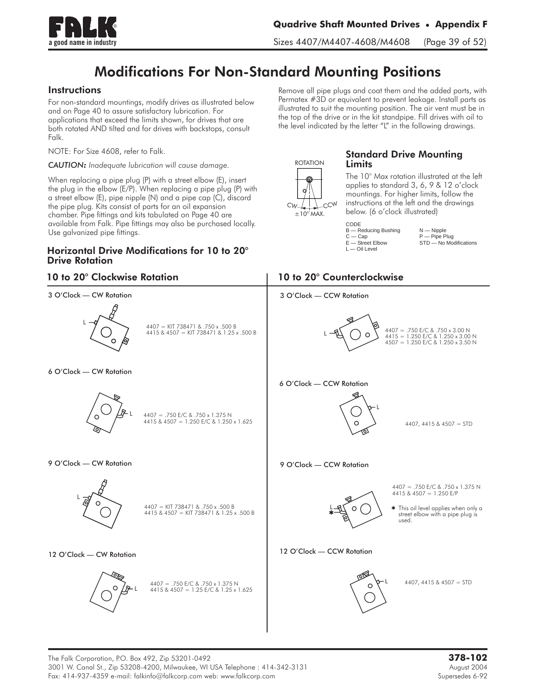

# Modifications For Non-Standard Mounting Position**s**

### **Instructions**

For non-standard mountings, modify drives as illustrated below and on Page 40 to assure satisfactory lubrication. For applications that exceed the limits shown, for drives that are both rotated AND tilted and for drives with backstops, consult Falk.

**NOTE:** For Size 4608, refer to Falk.

*CAUTION: Inadequate lubrication will cause damage.*

When replacing a pipe plug (P) with a street elbow (E), insert the plug in the elbow (E/P). When replacing a pipe plug (P) with a street elbow (E), pipe nipple (N) and a pipe cap (C), discard the pipe plug. Kits consist of parts for an oil expansion chamber. Pipe fittings and kits tabulated on Page 40 are available from Falk. Pipe fittings may also be purchased locally. Use galvanized pipe fittings.

### Horizontal Drive Modifications for 10 to 20° Drive Rotation

Remove all pipe plugs and coat them and the added parts, with Permatex #3D or equivalent to prevent leakage. Install parts as illustrated to suit the mounting position. The air vent must be in the top of the drive or in the kit standpipe. Fill drives with oil to the level indicated by the letter "L" in the following drawings.



### Standard Drive Mounting **Limits**

The 10° Max rotation illustrated at the left applies to standard 3, 6, 9 & 12 o'clock mountings. For higher limits, follow the instructions at the left and the drawings below. (6 o'clock illustrated)

- CODE B — Reducing Bushing  $N -$  Nipple L — Oil Level
- C Cap P Pipe Plug E Street Elbow STD No Modifications

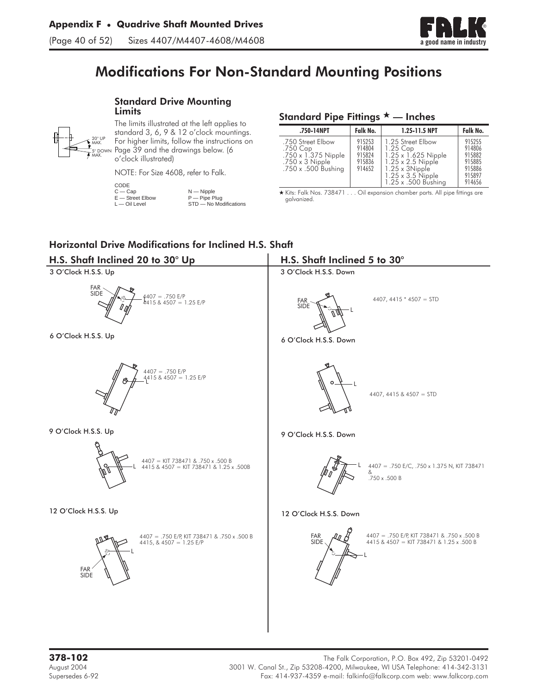

# **Modifications For Non-Standard Mounting Positions**

#### Standard Drive Mounting Limits



The limits illustrated at the left applies to standard 3, 6, 9 & 12 o'clock mountings. For higher limits, follow the instructions on Page 39 and the drawings below. (6 o'clock illustrated)

**NOTE:** For Size 4608, refer to Falk.

| CODE               |
|--------------------|
| $C - Cap$          |
| $E -$ Street Elbow |
| L — Oil Level      |

 $N - N$ ipple E — Street Elbow P — Pipe Plug L — Oil Level STD — No Modifications

# Standard Pipe Fittings  $\star$  — Inches

| .750-14NPT                                                                                     | Falk No.                                       | 1.25-11.5 NPT                                                                                                                           | Falk No.                                                           |
|------------------------------------------------------------------------------------------------|------------------------------------------------|-----------------------------------------------------------------------------------------------------------------------------------------|--------------------------------------------------------------------|
| .750 Street Elbow<br>.750 Cap<br>.750 x 1.375 Nipple<br>.750 x 3 Nipple<br>.750 x .500 Bushing | 915253<br>914804<br>915824<br>915836<br>914652 | 1.25 Street Elbow<br>1.25 Cap<br>1.25 x 1.625 Nipple<br>1.25 x 2.5 Nipple<br>1.25 x 3Nipple<br>1.25 x 3.5 Nipple<br>1.25 x .500 Bushing | 915255<br>914806<br>915882<br>915885<br>915886<br>915897<br>914656 |

 Kits: Falk Nos. 738471 . . . Oil expansion chamber parts. All pipe fittings are galvanized.

# Horizontal Drive Modifications for Inclined H.S. Shaft

| H.S. Shaft Inclined 20 to 30° Up                                                                            | H.S. Shaft Inclined 5 to 30°                                                                             |
|-------------------------------------------------------------------------------------------------------------|----------------------------------------------------------------------------------------------------------|
| 3 O'Clock H.S.S. Up                                                                                         | 3 O'Clock H.S.S. Down                                                                                    |
| FAR<br>SIDE<br>$4407 = .750 E/P$<br>$4415$ & 4507 = 1.25 E/P                                                | 4407, 4415 $*$ 4507 = STD<br>FAR<br>SIDE                                                                 |
| 6 O'Clock H.S.S. Up                                                                                         | 6 O'Clock H.S.S. Down                                                                                    |
| $4407 = .750 E/P$<br>$4415 8.4507 = 1.25 E/P$                                                               | $\circ$<br>4407, 4415 & 4507 = STD                                                                       |
| 9 O'Clock H.S.S. Up                                                                                         | 9 O'Clock H.S.S. Down                                                                                    |
| $4407 = KIT 738471 \& .750 x .500 B$<br>$4415 \& 4507 = KIT 738471 \& 1.25 x .500B$<br>$\mathcal{J}^Q$<br>M | 4407 = .750 E/C, .750 x 1.375 N, KIT 738471<br>&<br>.750 x .500 B                                        |
| 12 O'Clock H.S.S. Up                                                                                        | 12 O'Clock H.S.S. Down                                                                                   |
| 4407 = .750 E/P, KIT 738471 & .750 x .500 B<br>4415, & 4507 = 1.25 E/P<br>FAR <sup>/</sup><br>SIDE          | $4407 = .750$ E/P, KIT 738471 & .750 x .500 B<br>4415 & 4507 = KIT 738471 & 1.25 x .500 B<br>FAR<br>SIDE |
|                                                                                                             |                                                                                                          |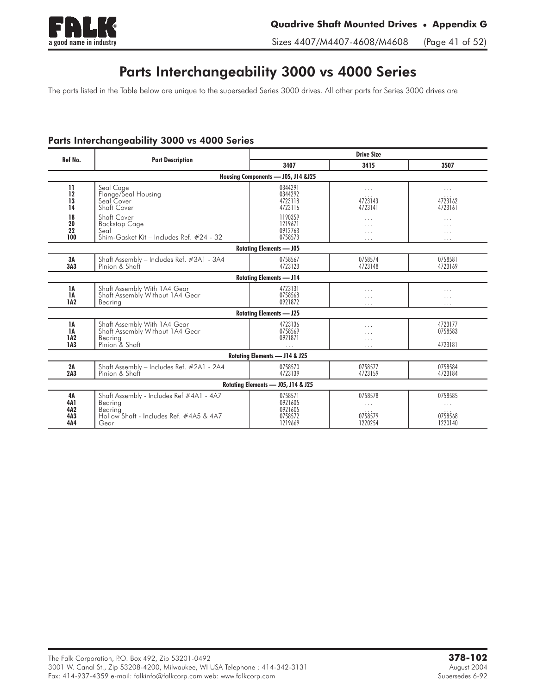

# Parts Interchangeability 3000 vs 4000 Serie**s**

The parts listed in the Table below are unique to the superseded Series 3000 drives. All other parts for Series 3000 drives are

# Parts Interchangeability 3000 vs 4000 Series

| Ref No.                                       |                                                                                                                                                          | <b>Drive Size</b>                                                                    |                                                                  |                                                                                                                 |  |  |  |  |
|-----------------------------------------------|----------------------------------------------------------------------------------------------------------------------------------------------------------|--------------------------------------------------------------------------------------|------------------------------------------------------------------|-----------------------------------------------------------------------------------------------------------------|--|--|--|--|
|                                               | <b>Part Description</b>                                                                                                                                  | 3407                                                                                 | 3415                                                             | 3507                                                                                                            |  |  |  |  |
|                                               |                                                                                                                                                          | Housing Components - J05, J14 &J25                                                   |                                                                  |                                                                                                                 |  |  |  |  |
| 11<br>12<br>13<br>14<br>18<br>20<br>22<br>100 | Seal Cage<br>Flange/Šeal Housing<br>Seal Cover<br>Shaft Cover<br>Shaft Cover<br><b>Backstop Cage</b><br>Seal<br>Shim-Gasket Kit - Includes Ref. #24 - 32 | 0344291<br>0344292<br>4723118<br>4723116<br>1190359<br>1219671<br>0912763<br>0758573 | $\cdots$<br>4723143<br>4723141<br>.<br>.<br>$\cdots$<br>$\cdots$ | $\ldots$<br>4723162<br>4723161<br>$\cdot$ $\cdot$ $\cdot$<br>$\cdot$ $\cdot$ $\cdot$<br>$\cdot$ $\cdot$ $\cdot$ |  |  |  |  |
|                                               |                                                                                                                                                          | <b>Rotating Elements - J05</b>                                                       |                                                                  |                                                                                                                 |  |  |  |  |
| 3A<br>3A3                                     | Shaft Assembly - Includes Ref. #3A1 - 3A4<br>Pinion & Shaff                                                                                              | 0758567<br>4723123                                                                   | 0758574<br>4723148                                               | 0758581<br>4723169                                                                                              |  |  |  |  |
| <b>Rotating Elements - J14</b>                |                                                                                                                                                          |                                                                                      |                                                                  |                                                                                                                 |  |  |  |  |
| 1A<br><b>1A</b><br><b>1A2</b>                 | Shaft Assembly With 1A4 Gear<br>Shaft Assembly Without 1A4 Gear<br>Bearing                                                                               | 4723131<br>0758568<br>0921872                                                        | $\cdots$<br>.<br>$\cdots$                                        | $\cdot$ $\cdot$ $\cdot$<br>$\cdots$<br>$\cdots$                                                                 |  |  |  |  |
|                                               |                                                                                                                                                          | <b>Rotating Elements - J25</b>                                                       |                                                                  |                                                                                                                 |  |  |  |  |
| <b>1A</b><br>1A<br><b>1A2</b><br>1A3          | Shaft Assembly With 1A4 Gear<br>Shaft Assembly Without 1A4 Gear<br>Bearing<br>Pinion & Shaft                                                             | 4723136<br>0758569<br>0921871<br>$\cdots$                                            | .<br>.<br>$\cdots$<br>$\cdots$                                   | 4723177<br>0758583<br>4723181                                                                                   |  |  |  |  |
|                                               |                                                                                                                                                          | <b>Rotating Elements - J14 &amp; J25</b>                                             |                                                                  |                                                                                                                 |  |  |  |  |
| 2A<br>2A3                                     | Shaft Assembly - Includes Ref. #2A1 - 2A4<br>Pinion & Shaff                                                                                              | 0758570<br>4723139                                                                   | 0758577<br>4723159                                               | 0758584<br>4723184                                                                                              |  |  |  |  |
|                                               |                                                                                                                                                          | Rotating Elements - J05, J14 & J25                                                   |                                                                  |                                                                                                                 |  |  |  |  |
| 4A<br><b>4A1</b><br>4A2<br>4A3<br>4A4         | Shaft Assembly - Includes Ref #4A1 - 4A7<br>Bearing<br>Bearing<br>Hollow Shaft - Includes Ref. #4A5 & 4A7<br>Gear                                        | 0758571<br>0921605<br>0921605<br>0758572<br>1219669                                  | 0758578<br>$\cdots$<br>0758579<br>1220254                        | 0758585<br>$\cdots$<br>0758568<br>1220140                                                                       |  |  |  |  |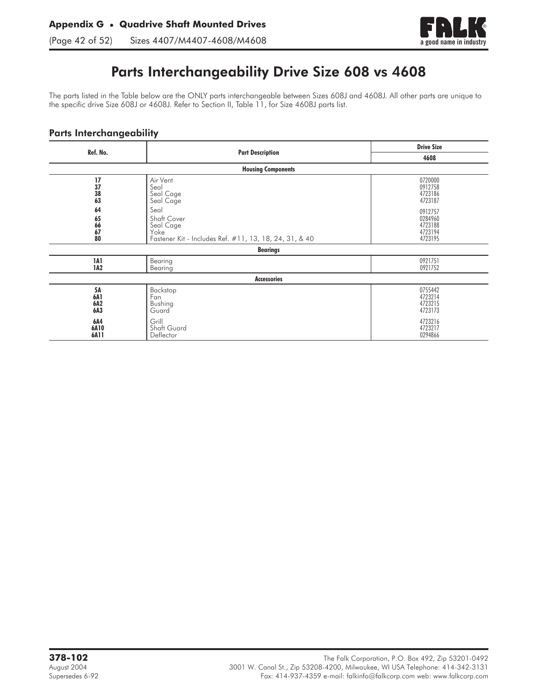

# Parts Interchangeability Drive Size 608 vs 460**8**

The parts listed in the Table below are the ONLY parts interchangeable between Sizes 608J and 4608J. All other parts are unique to the specific drive Size 608J or 4608J. Refer to Section II, Table 11, for Size 4608J parts list.

### Parts Interchangeability

| Ref. No.                       |                                                                                                    | <b>Drive Size</b>                                   |
|--------------------------------|----------------------------------------------------------------------------------------------------|-----------------------------------------------------|
|                                | <b>Part Description</b>                                                                            | 4608                                                |
|                                | <b>Housing Components</b>                                                                          |                                                     |
| 17<br>$\frac{37}{38}$<br>63    | Air Vent<br>Seal<br>Seal Cage<br>Seal Cage                                                         | 0720000<br>0912758<br>4723186<br>4723187            |
| 64<br>65<br>66<br>67<br>80     | Seal<br>Shaft Cover<br>Seal Cage<br>Yoke<br>Fastener Kit - Includes Ref. #11, 13, 18, 24, 31, & 40 | 0912757<br>0284960<br>4723188<br>4723194<br>4723195 |
|                                | <b>Bearings</b>                                                                                    |                                                     |
| <b>1A1</b><br>1A2              | Bearing<br>Bearing                                                                                 | 0921751<br>0921752                                  |
|                                | <b>Accessories</b>                                                                                 |                                                     |
| <b>5A</b><br>6A1<br>6A2<br>6A3 | Backstop<br>Fan<br>Bushing<br>Guard <sup>®</sup>                                                   | 0755442<br>4723214<br>4723215<br>4723173            |
| 6A4<br>6A10<br>6A11            | Grill<br><b>Shaft Guard</b><br>Deflector                                                           | 4723216<br>4723217<br>0294866                       |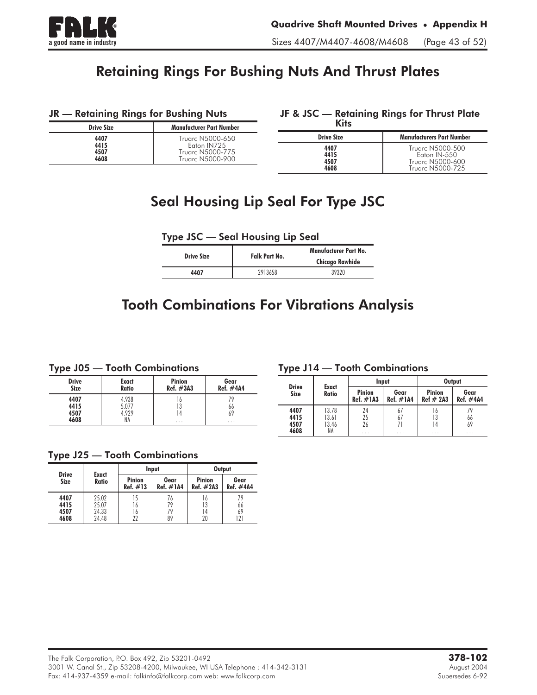

# Retaining Rings For Bushing Nuts And Thrust Plates

| JR - Retaining Rings for Bushing Nuts |                          |
|---------------------------------------|--------------------------|
| Driva Siza                            | Manufacturor Part Numbor |

| <b>Drive Size</b> | <b>Manufacturer Part Number</b> |
|-------------------|---------------------------------|
| 4407              | Truarc N5000-650                |
| 4415              | Eaton IN725                     |
| 4507              | Truarc N5000-775                |
| 4608              | Truarc N5000-900                |

#### JF & JSC — Retaining Rings for Thrust Plate **Kits**

| <b>Drive Size</b>            | Manufacturers Part Number                                                  |
|------------------------------|----------------------------------------------------------------------------|
| 4407<br>4415<br>4507<br>4608 | Truarc N5000-500<br>Eaton $IN-550$<br>Truarc N5000-600<br>Truarc N5000-725 |

# **Seal Housing Lip Seal For Type JSC**

|  | Type JSC — Seal Housing Lip Seal |  |
|--|----------------------------------|--|
|  |                                  |  |

|                   | <b>Falk Part No.</b> | Manufacturer Part No.  |  |  |  |
|-------------------|----------------------|------------------------|--|--|--|
| <b>Drive Size</b> |                      | <b>Chicago Rawhide</b> |  |  |  |
| 4407              | 2913658              | 39320                  |  |  |  |

# **Tooth Combinations For Vibrations Analysis**

Type J05 — Tooth Combinations

| <b>Drive</b>                 | <b>Exact</b>                  | Pinion        | Gear                                |
|------------------------------|-------------------------------|---------------|-------------------------------------|
| <b>Size</b>                  | <b>Ratio</b>                  | Ref. #3A3     | Ref. #4A4                           |
| 4407<br>4415<br>4507<br>4608 | 4.938<br>5.077<br>4.929<br>ΝA | J<br>$\cdots$ | 66<br>69<br>$\cdot$ $\cdot$ $\cdot$ |

Type J25 — Tooth Combinations

| <b>Drive</b>                 | <b>Exact</b>                     |                           | Input                | Output               |                       |  |
|------------------------------|----------------------------------|---------------------------|----------------------|----------------------|-----------------------|--|
| Size                         | <b>Ratio</b>                     | <b>Pinion</b><br>Ref. #13 | Gear<br>Ref. #1A4    | Pinion<br>Ref. #2A3  | Gear<br>Ref. #4A4     |  |
| 4407<br>4415<br>4507<br>4608 | 25.02<br>25.07<br>24.33<br>24.48 | 15<br>16<br>16<br>22      | 76<br>79<br>79<br>89 | 16<br>13<br>14<br>20 | 79<br>66<br>69<br>121 |  |

### Type J14 — Tooth Combinations

|                              |                               |                     | Input             | Output                        |                     |  |
|------------------------------|-------------------------------|---------------------|-------------------|-------------------------------|---------------------|--|
| <b>Drive</b><br>Size         | <b>Exact</b><br>Ratio         | Pinion<br>Ref. #1A3 | Gear<br>Ref. #1A4 | <b>Pinion</b><br>$Ref \# 2A3$ | Gear<br>Ref. #4A4   |  |
| 4407<br>4415<br>4507<br>4608 | 13.78<br>13.61<br>13.46<br>ΝA | 24<br>25<br>26<br>. | 67<br>67<br>.     | 16<br>13<br>14<br>.           | 79<br>66<br>69<br>. |  |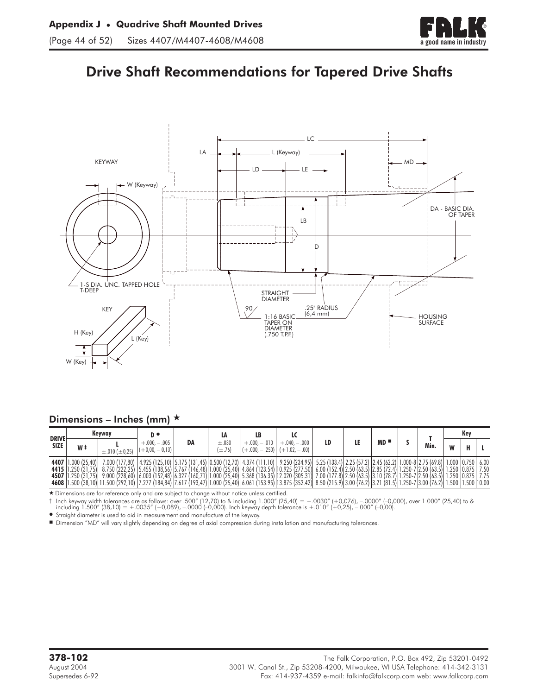

# **Drive Shaft Recommendations for Tapered Drive Shafts**



### Dimensions – Inches (mm)  $\star$

|                             |     | Kevwav                                                                                                                                                                                                                                                                                                                                                                                                                                                                                                                                                                                                                                                                                                                                                                                                                                             |                                   |    | LA                        |               |                                                      |    |    |      |   | Kev |  |
|-----------------------------|-----|----------------------------------------------------------------------------------------------------------------------------------------------------------------------------------------------------------------------------------------------------------------------------------------------------------------------------------------------------------------------------------------------------------------------------------------------------------------------------------------------------------------------------------------------------------------------------------------------------------------------------------------------------------------------------------------------------------------------------------------------------------------------------------------------------------------------------------------------------|-----------------------------------|----|---------------------------|---------------|------------------------------------------------------|----|----|------|---|-----|--|
| <b>DRIVE</b><br><b>SIZE</b> | w ‡ | $\pm .010$ ( $\pm$ 0.25)                                                                                                                                                                                                                                                                                                                                                                                                                                                                                                                                                                                                                                                                                                                                                                                                                           | $+.000.-.005$<br>$(+0.00, -0.13)$ | DA | $\pm .030$<br>$(\pm .76)$ | $+.000.-.010$ | $+.040-.000$<br>$  (+.000, -.250)   (+1.02, -.00)  $ | LD | MD | Min. | W |     |  |
|                             |     | 4.00 (1.000 (25,40) 7.000 (177,80) 4.925 (125,10) 5.175 (131,45) 0.500 (12,70) 4.374 (111.10) 9.250 (234.95) 5.25 (133.4) 2.25 (57.2) 2.45 (62.2) 1.000-8 2.75 (69.8) 1.000 0.750 6.00<br>4415 $[1.250 (31,75)]$ 8.750 $(222,25)$ 5.455 $(138,56)$ 5.767 $(146,48)$ 1.000 $(25,40)$ 4.864 $(123,54)$ 10.925 $(277,50)$ 6.00 $(152,4)$ 2.50 $(63,5)$ 2.85 $(72,4)$ 1.250 $(72,4)$ 1.250 $(72,4)$ 2.50 $(63,5)$ 1.250 $(03,5)$<br>450 1.250 (31,75) 9.000 (228,60) 6.003 (152,48) (6.327 (160,71) 1.000 (25,40) 5.368 (136.35) 12.020 (305.31) 7.00 (177.8) 2.50 (63.5) 3.10 (78.7) 1.250-7 [2.50 (63.5] 1.250 0.875 2.50 (63.5) 1.250 0.875 7.75<br>4608 1.500 (38,10) 11.500 (292,10) 1.277 (184,84) 7.617 (193,47) 1.000 (25,40) 6.061 (153.95) 13.875 (352.42) 8.50 (215.9) 3.00 (76.2) 3.21 (81.5) 1.250-7 [3.00 (76.2) 1.500 1.500 1.500 10.00 |                                   |    |                           |               |                                                      |    |    |      |   |     |  |

Dimensions are for reference only and are subject to change without notice unless certified.

4 Inch keyway width tolerances are as follows: over .500" (12,70) to & including 1.000" (25,40) = +.0030" (+0,076), -.0000" (-0,000), over 1.000" (25,40) to &<br>including 1.500" (38,10) = +.0035" (+0,089), –.0000 (–0,000). I

Straight diameter is used to aid in measurement and manufacture of the keyway.

■ Dimension "MD" will vary slightly depending on degree of axial compression during installation and manufacturing tolerances.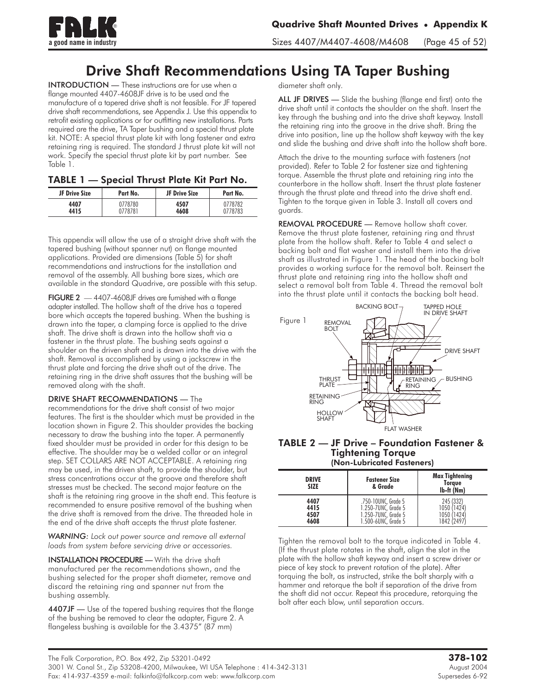

# **Drive Shaft Recommendations Using TA Taper Bushing**

INTRODUCTION — These instructions are for use when a flange mounted 4407-4608JF drive is to be used and the manufacture of a tapered drive shaft is not feasible. For JF tapered drive shaft recommendations, see Appendix J. Use this appendix to retrofit existing applications or for outfitting new installations. Parts required are the drive, TA Taper bushing and a special thrust plate kit. NOTE: A special thrust plate kit with long fastener and extra retaining ring is required. The standard J thrust plate kit will not work. Specify the special thrust plate kit by part number. See Table 1.

|                                    | TABLE 1 - Special Thrust Plate Kit Part No. |  |  |  |
|------------------------------------|---------------------------------------------|--|--|--|
| $\sim$ $\sim$ $\sim$ $\sim$ $\sim$ |                                             |  |  |  |

| <b>JF Drive Size</b> | Part No. | <b>JF Drive Size</b> | Part No. |
|----------------------|----------|----------------------|----------|
| 4407                 | 0778780  | 4507                 | 0778782  |
| 4415                 | 1778781  | 4608                 | )778783  |

This appendix will allow the use of a straight drive shaft with the tapered bushing (without spanner nut) on flange mounted applications. Provided are dimensions (Table 5) for shaft recommendations and instructions for the installation and removal of the assembly. All bushing bore sizes, which are available in the standard Quadrive, are possible with this setup.

FIGURE 2 **—** 4407-4608JF drives are furnished with a flange adapter installed. The hollow shaft of the drive has a tapered bore which accepts the tapered bushing. When the bushing is drawn into the taper, a clamping force is applied to the drive shaft. The drive shaft is drawn into the hollow shaft via a fastener in the thrust plate. The bushing seats against a shoulder on the driven shaft and is drawn into the drive with the shaft. Removal is accomplished by using a jackscrew in the thrust plate and forcing the drive shaft out of the drive. The retaining ring in the drive shaft assures that the bushing will be removed along with the shaft.

#### DRIVE SHAFT RECOMMENDATIONS — The

recommendations for the drive shaft consist of two major features. The first is the shoulder which must be provided in the location shown in Figure 2. This shoulder provides the backing necessary to draw the bushing into the taper. A permanently fixed shoulder must be provided in order for this design to be effective. The shoulder may be a welded collar or an integral step. SET COLLARS ARE NOT ACCEPTABLE. A retaining ring may be used, in the driven shaft, to provide the shoulder, but stress concentrations occur at the groove and therefore shaft stresses must be checked. The second major feature on the shaft is the retaining ring groove in the shaft end. This feature is recommended to ensure positive removal of the bushing when the drive shaft is removed from the drive. The threaded hole in the end of the drive shaft accepts the thrust plate fastener.

*WARNING: Lock out power source and remove all external loads from system before servicing drive or accessories.*

INSTALLATION PROCEDURE — With the drive shaft manufactured per the recommendations shown, and the bushing selected for the proper shaft diameter, remove and discard the retaining ring and spanner nut from the bushing assembly.

4407JF — Use of the tapered bushing requires that the flange of the bushing be removed to clear the adapter, Figure 2. A flangeless bushing is available for the 3.4375" (87 mm)

diameter shaft only.

ALL JF DRIVES — Slide the bushing (flange end first) onto the drive shaft until it contacts the shoulder on the shaft. Insert the key through the bushing and into the drive shaft keyway. Install the retaining ring into the groove in the drive shaft. Bring the drive into position, line up the hollow shaft keyway with the key and slide the bushing and drive shaft into the hollow shaft bore.

Attach the drive to the mounting surface with fasteners (not provided). Refer to Table 2 for fastener size and tightening torque. Assemble the thrust plate and retaining ring into the counterbore in the hollow shaft. Insert the thrust plate fastener through the thrust plate and thread into the drive shaft end. Tighten to the torque given in Table 3. Install all covers and guards.

REMOVAL PROCEDURE — Remove hollow shaft cover. Remove the thrust plate fastener, retaining ring and thrust plate from the hollow shaft. Refer to Table 4 and select a backing bolt and flat washer and install them into the drive shaft as illustrated in Figure 1. The head of the backing bolt provides a working surface for the removal bolt. Reinsert the thrust plate and retaining ring into the hollow shaft and select a removal bolt from Table 4. Thread the removal bolt into the thrust plate until it contacts the backing bolt head.



#### TABLE 2 — JF Drive – Foundation Fastener & Tightening Torque (Non-Lubricated Fasteners)

| <b>DRIVE</b><br><b>SIZE</b>  | <b>Fastener Size</b><br>& Grade                                                          | <b>Max Tightening</b><br><b>Torque</b><br>$lb$ -ft $(Nm)$ |
|------------------------------|------------------------------------------------------------------------------------------|-----------------------------------------------------------|
| 4407<br>4415<br>4507<br>4608 | .750-10UNC, Grade 5<br>1.250-7UNC, Grade 5<br>1.250-7UNC, Grade 5<br>1.500-6UNC, Grade 5 | 245 (332)<br>1050 (1424)<br>1050 (1424)<br>1842 (2497)    |

Tighten the removal bolt to the torque indicated in Table 4. (If the thrust plate rotates in the shaft, align the slot in the plate with the hollow shaft keyway and insert a screw driver or piece of key stock to prevent rotation of the plate). After torquing the bolt, as instructed, strike the bolt sharply with a hammer and retorque the bolt if separation of the drive from the shaft did not occur. Repeat this procedure, retorquing the bolt after each blow, until separation occurs.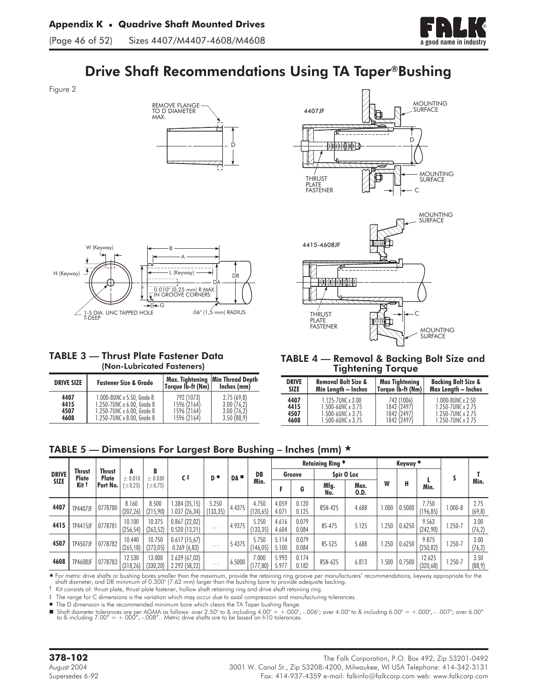

# **Drive Shaft Recommendations Using TA Taper®Bushing**

Figure 2







### TABLE 3 — Thrust Plate Fastener Data (Non-Lubricated Fasteners)

| <b>DRIVE SIZE</b> | <b>Fastener Size &amp; Grade</b> | Torave Ib-ft (Nm) | Max. Tightening Min Thread Depth<br>Inches (mm) |  |  |
|-------------------|----------------------------------|-------------------|-------------------------------------------------|--|--|
| 4407              | 1.000-8UNC x 5.50, Grade 8       | 792 (1073)        | 2.75(69.8)                                      |  |  |
| 4415              | 1.250-7UNC x 6.00, Grade 8       | 1596 (2164)       | 3.00(76.2)                                      |  |  |
| 4507              | 1.250-7UNC x 6.00, Grade 8       | 1596 (2164)       | 3.00(76.2)                                      |  |  |
| 4608              | 1.250-7UNC x 8.00, Grade 8       | 1596 (2164)       | 3.50(88.9)                                      |  |  |

TABLE 4 — Removal & Backing Bolt Size and Tightening Torque

MOUNTING

THRUST<br>PLATE MINIT

FASTENER

| <b>DRIVE</b> | <b>Removal Bolt Size &amp;</b> | <b>Max Tightening</b> | <b>Backing Bolt Size &amp;</b> |
|--------------|--------------------------------|-----------------------|--------------------------------|
| <b>SIZE</b>  | Min Length - Inches            | Torque Ib-ft (Nm)     | Max Length - Inches            |
| 4407         | 1.125-7UNC x 3.00              | 742 (1006)            | 1.000-8UNC x 2.50              |
| 4415         | 1.500-6UNC x 3.75              | 1842 (2497)           | 1.250-7UNC x 2.75              |
| 4507         | 1.500-6UNC x 3.75              | 1842 (2497)           | 1.250-7UNC x 2.75              |
| 4608         | 1.500-6UNC x 3.75              | 1842 (2497)           | 1.250-7UNC x 2.75              |

### TABLE 5 — Dimensions For Largest Bore Bushing – Inches (mm)  $\star$

|              |                                         |                 |                     |                     |                                |                    |        |                    | <b>Retaining Ring ♦</b> |                |                | Keyway *     |      |        |                    |             |                 |
|--------------|-----------------------------------------|-----------------|---------------------|---------------------|--------------------------------|--------------------|--------|--------------------|-------------------------|----------------|----------------|--------------|------|--------|--------------------|-------------|-----------------|
| <b>DRIVE</b> | Thrust<br>Plate<br><b>SIZE</b><br>Kit † | Thrust<br>Plate | A<br>± 0.010        | B<br>± 0.030        | C‡                             | D.                 | DA     | DB<br>Min.         | Groove                  |                | Spir O Lox     |              |      |        |                    |             |                 |
|              |                                         | Part No.        | $(\pm 0.25)$        | $(\pm 0.75)$        |                                |                    |        |                    |                         | G              | Mfg.<br>No.    | Max.<br>0.D. | W    | н      | Min.               |             | Min.            |
| 4407         | TP4407JF                                | 0778780         | 8.160<br>(207, 26)  | 8.500<br>(215,90)   | 1.384 (35,15)<br>1.037 (26,34) | 5.250<br>(133, 35) | 4.4375 | 4.750<br>(120, 65) | 4.059<br>4.071          | 0.120<br>0.125 | <b>RSN-425</b> | 4.688        | 0001 | 0.5000 | 7.750<br>(196, 85) | $1.000 - 8$ | 2.75<br>(69, 8) |
| 4415         | TP4415JF                                | 0778781         | 10.100<br>(256, 54) | 10.375<br>(263, 52) | 0.867(22,02)<br>0.520(13,21)   | $\cdots$           | 4.9375 | 5.250<br>(133, 35) | 4.616<br>4.604          | 0.079<br>0.084 | <b>RS-475</b>  | 5.125        | .250 | 0.6250 | 9.563<br>(242,90)  | $1.250 - 7$ | 3.00<br>(76, 2) |
| 4507         | TP4507JF                                | 0778782         | 10.440<br>(265, 18) | 10.750<br>(273, 05) | 0.617(15,67)<br>0.269(6,83)    | $\cdots$           | 5.4375 | 5.750<br>(146, 05) | 5.114<br>5.100          | 0.079<br>0.084 | RS-525         | 5.688        | .250 | 0.6250 | 9.875<br>(250, 82) | $.250 - 7$  | 3.00<br>(76, 2) |
| 4608         | TP4608JF                                | 0778783         | 12.530<br>(318, 26) | 13.000<br>(330, 20) | 2.639(67,03)<br>2.292 (58,22)  | $\cdots$           | 6.5000 | 7.000<br>(177, 80) | 5.993<br>5.977          | 0.174<br>0.182 | <b>RSN-625</b> | 6.813        | .500 | 0.7500 | 12.625<br>(320,68) | $1.250 - 7$ | 3.50<br>(88, 9) |

★ For metric drive shafts or bushing bores smaller than the maximum, provide the retaining ring groove per manufacturers' recommendations, keyway appropriate for the<br>shaft diameter, and DB minimum of 0.300" (7.62 mm) larg

† Kit consists of: thrust plate, thrust plate fastener, hollow shaft retaining ring and drive shaft retaining ring.

‡ The range for C dimensions is the variation which may occur due to axial compression and manufacturing tolerances.

The D dimension is the recommended minimum bore which clears the TA Taper bushing flange.

Shaft diameter tolerances are per AGMA as follows: over 2.50" to & including 4.00" = +.000", -.006"; over 4.00" to & including 6.00" = +.000", - .007"; over 6.00"<br>to & including 7.00" = +.000", -.008".. Metric drive shaft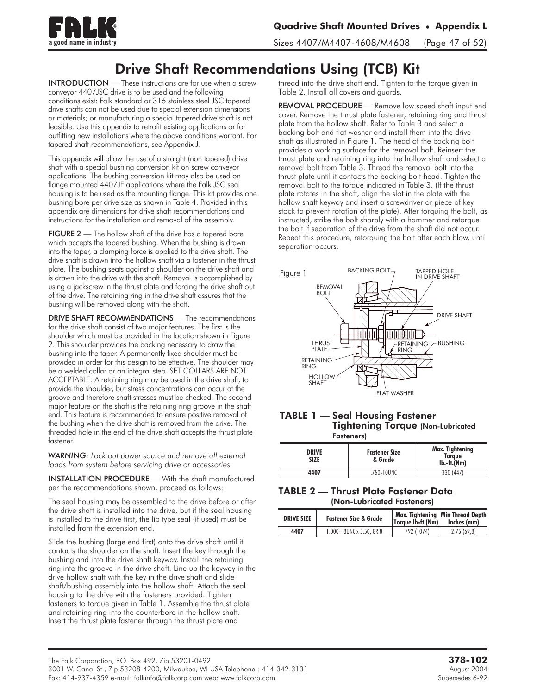

 $\frac{1}{\sqrt{2}}$ 

# **Drive Shaft Recommendations Using (TCB) Kit**

INTRODUCTION — These instructions are for use when a screw conveyor 4407JSC drive is to be used and the following conditions exist: Falk standard or 316 stainless steel JSC tapered drive shafts can not be used due to special extension dimensions or materials; or manufacturing a special tapered drive shaft is not feasible. Use this appendix to retrofit existing applications or for outfitting new installations where the above conditions warrant. For tapered shaft recommendations, see Appendix J.

This appendix will allow the use of a straight (non tapered) drive shaft with a special bushing conversion kit on screw conveyor applications. The bushing conversion kit may also be used on flange mounted 4407JF applications where the Falk JSC seal housing is to be used as the mounting flange. This kit provides one bushing bore per drive size as shown in Table 4. Provided in this appendix are dimensions for drive shaft recommendations and instructions for the installation and removal of the assembly.

FIGURE 2 — The hollow shaft of the drive has a tapered bore which accepts the tapered bushing. When the bushing is drawn into the taper, a clamping force is applied to the drive shaft. The drive shaft is drawn into the hollow shaft via a fastener in the thrust plate. The bushing seats against a shoulder on the drive shaft and is drawn into the drive with the shaft. Removal is accomplished by using a jackscrew in the thrust plate and forcing the drive shaft out of the drive. The retaining ring in the drive shaft assures that the bushing will be removed along with the shaft.

DRIVE SHAFT RECOMMENDATIONS **—** The recommendations for the drive shaft consist of two major features. The first is the shoulder which must be provided in the location shown in Figure 2. This shoulder provides the backing necessary to draw the bushing into the taper. A permanently fixed shoulder must be provided in order for this design to be effective. The shoulder may be a welded collar or an integral step. SET COLLARS ARE NOT ACCEPTABLE. A retaining ring may be used in the drive shaft, to provide the shoulder, but stress concentrations can occur at the groove and therefore shaft stresses must be checked. The second major feature on the shaft is the retaining ring groove in the shaft end. This feature is recommended to ensure positive removal of the bushing when the drive shaft is removed from the drive. The threaded hole in the end of the drive shaft accepts the thrust plate fastener.

*WARNING: Lock out power source and remove all external loads from system before servicing drive or accessories.*

INSTALLATION PROCEDURE **—** With the shaft manufactured per the recommendations shown, proceed as follows:

The seal housing may be assembled to the drive before or after the drive shaft is installed into the drive, but if the seal housing is installed to the drive first, the lip type seal (if used) must be installed from the extension end.

Slide the bushing (large end first) onto the drive shaft until it contacts the shoulder on the shaft. Insert the key through the bushing and into the drive shaft keyway. Install the retaining ring into the groove in the drive shaft. Line up the keyway in the drive hollow shaft with the key in the drive shaft and slide shaft/bushing assembly into the hollow shaft. Attach the seal housing to the drive with the fasteners provided. Tighten fasteners to torque given in Table 1. Assemble the thrust plate and retaining ring into the counterbore in the hollow shaft. Insert the thrust plate fastener through the thrust plate and

thread into the drive shaft end. Tighten to the torque given in Table 2. Install all covers and guards.

REMOVAL PROCEDURE **—** Remove low speed shaft input end cover. Remove the thrust plate fastener, retaining ring and thrust plate from the hollow shaft. Refer to Table 3 and select a backing bolt and flat washer and install them into the drive shaft as illustrated in Figure 1. The head of the backing bolt provides a working surface for the removal bolt. Reinsert the thrust plate and retaining ring into the hollow shaft and select a removal bolt from Table 3. Thread the removal bolt into the thrust plate until it contacts the backing bolt head. Tighten the removal bolt to the torque indicated in Table 3. (If the thrust plate rotates in the shaft, align the slot in the plate with the hollow shaft keyway and insert a screwdriver or piece of key stock to prevent rotation of the plate). After torquing the bolt, as instructed, strike the bolt sharply with a hammer and retorque the bolt if separation of the drive from the shaft did not occur. Repeat this procedure, retorquing the bolt after each blow, until separation occurs.



#### TABLE 1 — Seal Housing Fastener Tightening Torque (Non-Lubricated Fasteners)

| <b>DRIVE</b><br><b>SIZE</b> | <b>Fastener Size</b><br>& Grade | <b>Max. Tightening</b><br><b>Torave</b><br>$Ib.-ft.(Nm)$ |
|-----------------------------|---------------------------------|----------------------------------------------------------|
| 4407                        | .750-10UNC                      | 330 (447)                                                |

#### TABLE 2 — Thrust Plate Fastener Data (Non-Lubricated Fasteners)

| <b>DRIVE SIZE</b> | <b>Fastener Size &amp; Grade</b> | Torave Ib-ft (Nm) | Max. Tightening Min Thread Depth<br>Inches (mm) |  |
|-------------------|----------------------------------|-------------------|-------------------------------------------------|--|
| 4407              | $1.000 - 8$ UNC x 5.50, GR.8     | 792 (1074)        | 2.75(69.8)                                      |  |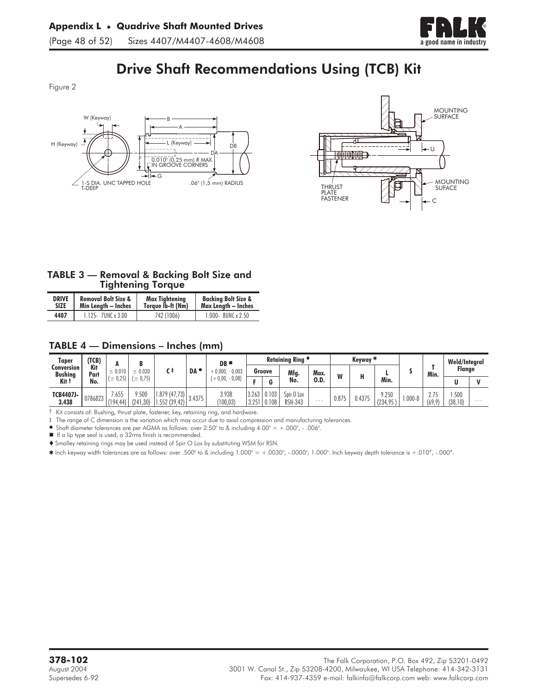

# **Drive Shaft Recommendations Using (TCB) Kit**

Figure 2





### TABLE 3 — Removal & Backing Bolt Size and Tightening Torque

| <b>DRIVE</b> | <b>Removal Bolt Size &amp;</b> | <b>Max Tightening</b> | <b>Backing Bolt Size &amp;</b> |
|--------------|--------------------------------|-----------------------|--------------------------------|
| <b>SIZE</b>  | Min Lenath - Inches            | Torave Ib-ft (Nm)     | Max Length - Inches            |
| 4407         | 1.125- 7UNC x 3.00             | 742 (1006)            | $1.000 - 8$ UNC x 2.50         |

### TABLE 4 — Dimensions – Inches (mm)

| Taper                        | (TCB)       |                             |                    |                                |        |                   | DB<br>Groove   |                | <b>Retaining Ring '</b>      |          |       | Keyway * |                   |            |                | Weld/Integral   |          |
|------------------------------|-------------|-----------------------------|--------------------|--------------------------------|--------|-------------------|----------------|----------------|------------------------------|----------|-------|----------|-------------------|------------|----------------|-----------------|----------|
| Conversion<br><b>Bushing</b> | Kit<br>Part | 0.010<br><b>Select</b><br>- | ± 0.030            | C ‡                            | DA "   | $+0.000, -0.003$  |                |                |                              |          | Mfa.  | Max.     | W                 |            |                |                 | Min.     |
| Kit 1                        | No.         | $\pm$ 0.25)                 | $(\pm 0.75)$       |                                |        | $(+0.00, -0.08)$  |                | 灬              | No.                          | 0.D.     |       | п        | Min.              |            |                |                 |          |
| <b>TCB4407J-</b><br>3.438    | 0786823     | 7.655<br>(194.44)           | 9.500<br>(241, 30) | 1.879 (47,73)<br>1.552 (39,42) | 3.4375 | 3.938<br>(100.03) | 3.263<br>3.251 | 0.103<br>0.108 | Spir O Lox<br><b>RSN-343</b> | $\cdots$ | 0.875 | 0.4375   | 9.250<br>(234.95) | $.000 - 8$ | 2.75<br>(69.9) | .500<br>(38.10) | $\cdots$ |

† Kit consists of: Bushing, thrust plate, fastener, key, retaining ring, and hardware.

‡ The range of C dimension is the variation which may occur due to axial compression and manufacturing tolerances.

Shaft diameter tolerances are per AGMA as follows: over 2.50" to & including 4.00" = +.000", - .006".

If a lip type seal is used, a 32rms finish is recommended.

 $\blacklozenge$  Smalley retaining rings may be used instead of Spir O Lox by substituting WSM for RSN.

 $\star$  Inch keyway width tolerances are as follows: over .500" to & including  $1.000" = +.0030"$ , -.0000";  $1.000"$ . Inch keyway depth tolerance is  $+.010"$ , -.000".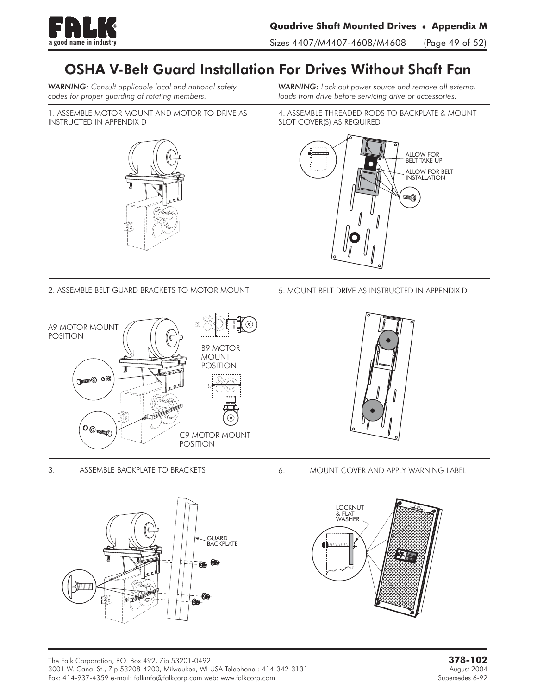

 $\frac{1}{\sqrt{3}}$ 

# **OSHA V-Belt Guard Installation For Drives Without Shaft Fan**

*WARNING: Consult applicable local and national safety codes for proper guarding of rotating members.*

*WARNING: Lock out power source and remove all external loads from drive before servicing drive or accessories.*

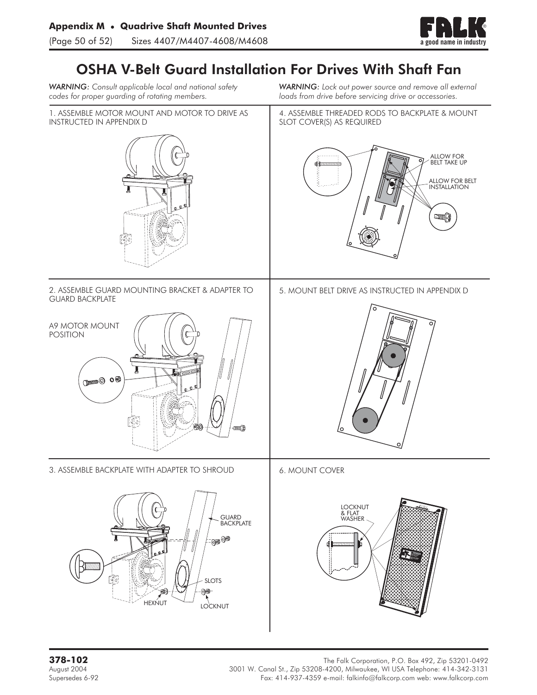

# **OSHA V-Belt Guard Installation For Drives With Shaft Fan**

*WARNING: Consult applicable local and national safety codes for proper guarding of rotating members.*

*WARNING: Lock out power source and remove all external loads from drive before servicing drive or accessories.*



**378-102** The Falk Corporation, P.O. Box 492, Zip 53201-0492 3001 W. Canal St., Zip 53208-4200, Milwaukee, WI USA Telephone: 414-342-3131 Supersedes 6-92 Fax: 414-937-4359 e-mail: falkinfo@falkcorp.com web: www.falkcorp.com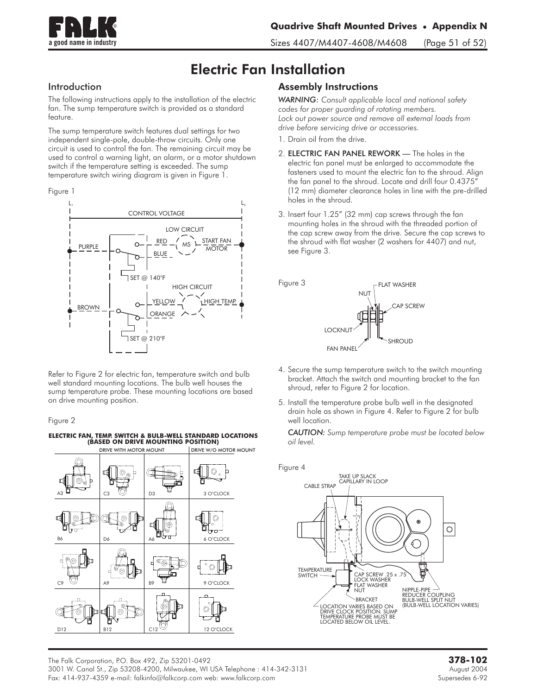

 $\frac{1}{\sqrt{3}}$ 

# **Electric Fan Installation**

### Introduction

The following instructions apply to the installation of the electric fan. The sump temperature switch is provided as a standard feature.

The sump temperature switch features dual settings for two independent single-pole, double-throw circuits. Only one circuit is used to control the fan. The remaining circuit may be used to control a warning light, an alarm, or a motor shutdown switch if the temperature setting is exceeded. The sump temperature switch wiring diagram is given in Figure 1.

Figure 1



Refer to Figure 2 for electric fan, temperature switch and bulb well standard mounting locations. The bulb well houses the sump temperature probe. These mounting locations are based on drive mounting position.

#### Figure 2

# **ELECTRIC FAN, TEMP. SWITCH & BULB-WELL STANDARD LOCATIONS (BASED ON DRIVE MOUNTING POSITION)**



# Assembly Instructions

*WARNING: Consult applicable local and national safety codes for proper guarding of rotating members. Lock out power source and remove all external loads from drive before servicing drive or accessories.*

- 1. Drain oil from the drive.
- 2. **ELECTRIC FAN PANEL REWORK** The holes in the electric fan panel must be enlarged to accommodate the fasteners used to mount the electric fan to the shroud. Align the fan panel to the shroud. Locate and drill four 0.4375" (12 mm) diameter clearance holes in line with the pre-drilled holes in the shroud.
- 3. Insert four 1.25" (32 mm) cap screws through the fan mounting holes in the shroud with the threaded portion of the cap screw away from the drive. Secure the cap screws to the shroud with flat washer (2 washers for 4407) and nut, see Figure 3.



- 4. Secure the sump temperature switch to the switch mounting bracket. Attach the switch and mounting bracket to the fan shroud, refer to Figure 2 for location.
- 5. Install the temperature probe bulb well in the designated drain hole as shown in Figure 4. Refer to Figure 2 for bulb well location.

*CAUTION: Sump temperature probe must be located below oil level.*